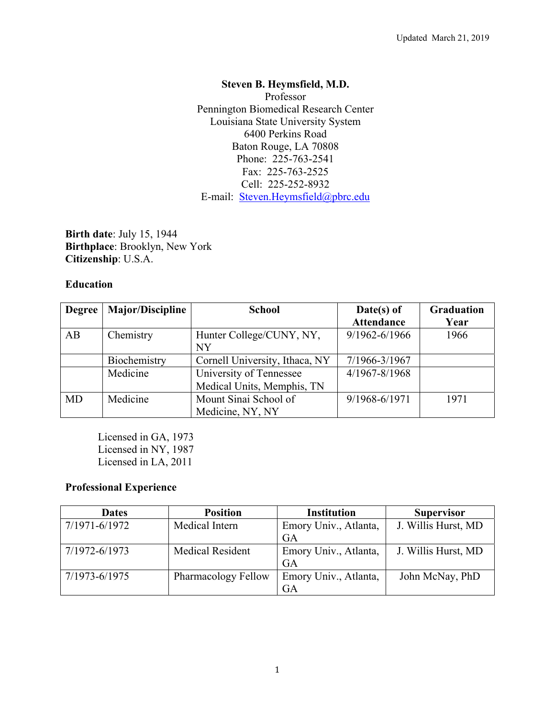# **Steven B. Heymsfield, M.D.**

Professor Pennington Biomedical Research Center Louisiana State University System 6400 Perkins Road Baton Rouge, LA 70808 Phone: 225-763-2541 Fax: 225-763-2525 Cell: 225-252-8932 E-mail: Steven.Heymsfield@pbrc.edu

**Birth date**: July 15, 1944 **Birthplace**: Brooklyn, New York **Citizenship**: U.S.A.

### **Education**

| <b>Degree</b> | <b>Major/Discipline</b> | <b>School</b>                  | $Date(s)$ of      | Graduation |
|---------------|-------------------------|--------------------------------|-------------------|------------|
|               |                         |                                | <b>Attendance</b> | Year       |
| AB            | Chemistry               | Hunter College/CUNY, NY,       | $9/1962 - 6/1966$ | 1966       |
|               |                         | <b>NY</b>                      |                   |            |
|               | Biochemistry            | Cornell University, Ithaca, NY | 7/1966-3/1967     |            |
|               | Medicine                | University of Tennessee        | 4/1967-8/1968     |            |
|               |                         | Medical Units, Memphis, TN     |                   |            |
| <b>MD</b>     | Medicine                | Mount Sinai School of          | 9/1968-6/1971     | 1971       |
|               |                         | Medicine, NY, NY               |                   |            |

Licensed in GA, 1973 Licensed in NY, 1987 Licensed in LA, 2011

## **Professional Experience**

| <b>Dates</b>  | <b>Position</b>         | <b>Institution</b>    | <b>Supervisor</b>   |
|---------------|-------------------------|-----------------------|---------------------|
| 7/1971-6/1972 | Medical Intern          | Emory Univ., Atlanta, | J. Willis Hurst, MD |
|               |                         | GA                    |                     |
| 7/1972-6/1973 | <b>Medical Resident</b> | Emory Univ., Atlanta, | J. Willis Hurst, MD |
|               |                         | <b>GA</b>             |                     |
| 7/1973-6/1975 | Pharmacology Fellow     | Emory Univ., Atlanta, | John McNay, PhD     |
|               |                         | GА                    |                     |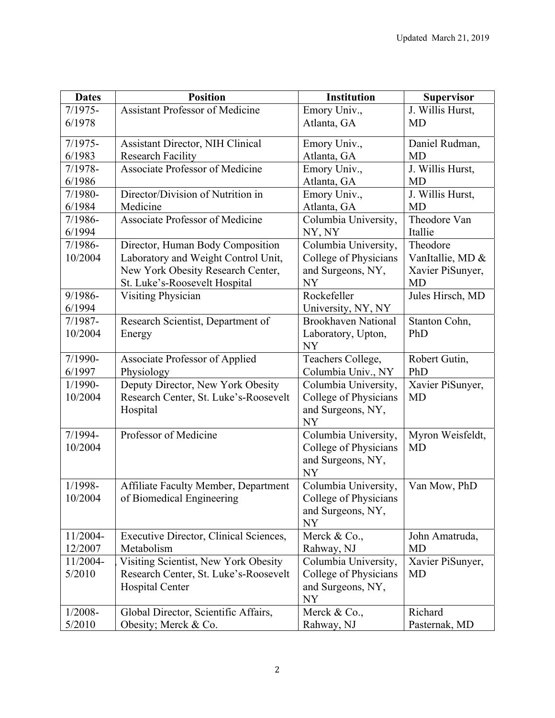| <b>Dates</b>        | <b>Position</b>                                      | <b>Institution</b>                 | <b>Supervisor</b>           |
|---------------------|------------------------------------------------------|------------------------------------|-----------------------------|
| $7/1975-$           | <b>Assistant Professor of Medicine</b>               | Emory Univ.,                       | J. Willis Hurst,            |
| 6/1978              |                                                      | Atlanta, GA                        | MD                          |
| $7/1975-$           | <b>Assistant Director, NIH Clinical</b>              | Emory Univ.,                       | Daniel Rudman,              |
| 6/1983              | <b>Research Facility</b>                             | Atlanta, GA                        | MD                          |
| $7/1978-$           | <b>Associate Professor of Medicine</b>               | Emory Univ.,                       | J. Willis Hurst,            |
| 6/1986              |                                                      | Atlanta, GA                        | <b>MD</b>                   |
| 7/1980-             | Director/Division of Nutrition in                    | Emory Univ.,                       | J. Willis Hurst,            |
| 6/1984              | Medicine                                             | Atlanta, GA                        | <b>MD</b>                   |
| 7/1986-             | <b>Associate Professor of Medicine</b>               | Columbia University,               | Theodore Van                |
| 6/1994              |                                                      | NY, NY                             | Itallie                     |
| 7/1986-             | Director, Human Body Composition                     | Columbia University,               | Theodore                    |
| 10/2004             | Laboratory and Weight Control Unit,                  | College of Physicians              | VanItallie, MD &            |
|                     | New York Obesity Research Center,                    | and Surgeons, NY,                  | Xavier PiSunyer,            |
|                     | St. Luke's-Roosevelt Hospital                        | NY                                 | <b>MD</b>                   |
| 9/1986-             | <b>Visiting Physician</b>                            | Rockefeller                        | Jules Hirsch, MD            |
| 6/1994              |                                                      | University, NY, NY                 |                             |
| $7/1987 -$          | Research Scientist, Department of                    | <b>Brookhaven National</b>         | Stanton Cohn,               |
| 10/2004             | Energy                                               | Laboratory, Upton,                 | PhD                         |
|                     |                                                      | <b>NY</b>                          |                             |
| 7/1990-             | <b>Associate Professor of Applied</b>                | Teachers College,                  | Robert Gutin,               |
| 6/1997              | Physiology                                           | Columbia Univ., NY                 | PhD                         |
| 1/1990-             | Deputy Director, New York Obesity                    | Columbia University,               | Xavier PiSunyer,            |
| 10/2004             | Research Center, St. Luke's-Roosevelt                | College of Physicians              | <b>MD</b>                   |
|                     | Hospital                                             | and Surgeons, NY,                  |                             |
|                     |                                                      | NY                                 |                             |
| 7/1994-             | Professor of Medicine                                | Columbia University,               | Myron Weisfeldt,            |
| 10/2004             |                                                      | College of Physicians              | <b>MD</b>                   |
|                     |                                                      | and Surgeons, NY,                  |                             |
|                     |                                                      | <b>NY</b>                          |                             |
| 1/1998-             | Affiliate Faculty Member, Department                 | Columbia University,               | Van Mow, PhD                |
| 10/2004             | of Biomedical Engineering                            | College of Physicians              |                             |
|                     |                                                      | and Surgeons, NY,                  |                             |
|                     |                                                      | <b>NY</b>                          |                             |
| 11/2004-<br>12/2007 | Executive Director, Clinical Sciences,<br>Metabolism | Merck & Co.,                       | John Amatruda,<br><b>MD</b> |
| 11/2004-            | Visiting Scientist, New York Obesity                 | Rahway, NJ<br>Columbia University, | Xavier PiSunyer,            |
| 5/2010              | Research Center, St. Luke's-Roosevelt                | College of Physicians              | MD                          |
|                     | <b>Hospital Center</b>                               | and Surgeons, NY,                  |                             |
|                     |                                                      | <b>NY</b>                          |                             |
| $1/2008 -$          | Global Director, Scientific Affairs,                 | Merck & Co.,                       | Richard                     |
| 5/2010              | Obesity; Merck & Co.                                 | Rahway, NJ                         | Pasternak, MD               |
|                     |                                                      |                                    |                             |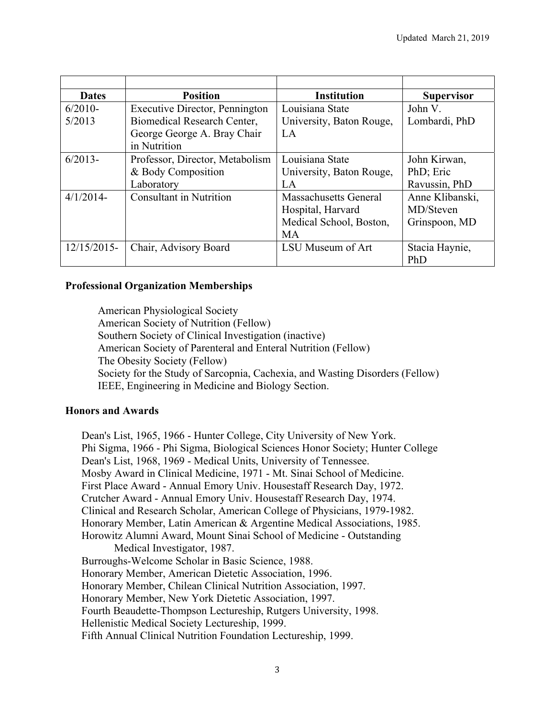| <b>Dates</b> | <b>Position</b>                 | <b>Institution</b>       | <b>Supervisor</b> |
|--------------|---------------------------------|--------------------------|-------------------|
| $6/2010-$    | Executive Director, Pennington  | Louisiana State          | John V.           |
| 5/2013       | Biomedical Research Center,     | University, Baton Rouge, | Lombardi, PhD     |
|              | George George A. Bray Chair     | LA                       |                   |
|              | in Nutrition                    |                          |                   |
| $6/2013-$    | Professor, Director, Metabolism | Louisiana State          | John Kirwan,      |
|              | & Body Composition              | University, Baton Rouge, | PhD; Eric         |
|              | Laboratory                      | LA                       | Ravussin, PhD     |
| $4/1/2014$ - | <b>Consultant in Nutrition</b>  | Massachusetts General    | Anne Klibanski,   |
|              |                                 | Hospital, Harvard        | MD/Steven         |
|              |                                 | Medical School, Boston,  | Grinspoon, MD     |
|              |                                 | <b>MA</b>                |                   |
| 12/15/2015-  | Chair, Advisory Board           | LSU Museum of Art        | Stacia Haynie,    |
|              |                                 |                          | PhD               |

### **Professional Organization Memberships**

American Physiological Society American Society of Nutrition (Fellow) Southern Society of Clinical Investigation (inactive) American Society of Parenteral and Enteral Nutrition (Fellow) The Obesity Society (Fellow) Society for the Study of Sarcopnia, Cachexia, and Wasting Disorders (Fellow) IEEE, Engineering in Medicine and Biology Section.

#### **Honors and Awards**

Dean's List, 1965, 1966 - Hunter College, City University of New York. Phi Sigma, 1966 - Phi Sigma, Biological Sciences Honor Society; Hunter College Dean's List, 1968, 1969 - Medical Units, University of Tennessee. Mosby Award in Clinical Medicine, 1971 - Mt. Sinai School of Medicine. First Place Award - Annual Emory Univ. Housestaff Research Day, 1972. Crutcher Award - Annual Emory Univ. Housestaff Research Day, 1974. Clinical and Research Scholar, American College of Physicians, 1979-1982. Honorary Member, Latin American & Argentine Medical Associations, 1985. Horowitz Alumni Award, Mount Sinai School of Medicine - Outstanding Medical Investigator, 1987. Burroughs-Welcome Scholar in Basic Science, 1988. Honorary Member, American Dietetic Association, 1996. Honorary Member, Chilean Clinical Nutrition Association, 1997. Honorary Member, New York Dietetic Association, 1997. Fourth Beaudette-Thompson Lectureship, Rutgers University, 1998. Hellenistic Medical Society Lectureship, 1999. Fifth Annual Clinical Nutrition Foundation Lectureship, 1999.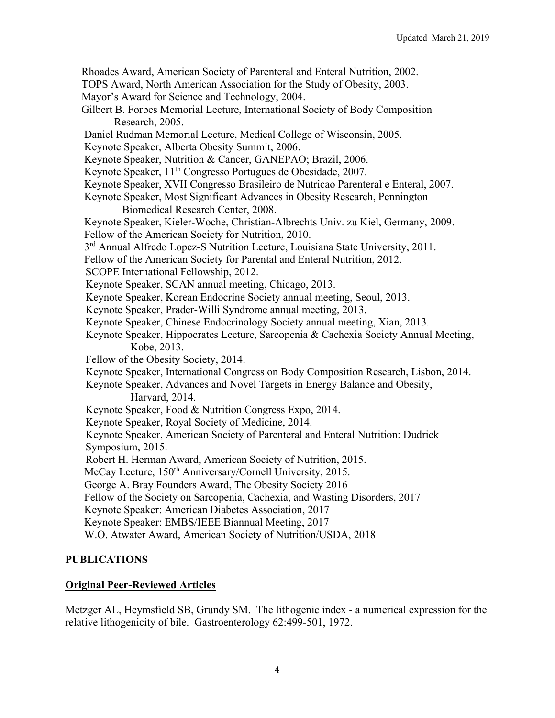Rhoades Award, American Society of Parenteral and Enteral Nutrition, 2002.

TOPS Award, North American Association for the Study of Obesity, 2003.

Mayor's Award for Science and Technology, 2004.

- Gilbert B. Forbes Memorial Lecture, International Society of Body Composition Research, 2005.
- Daniel Rudman Memorial Lecture, Medical College of Wisconsin, 2005.

Keynote Speaker, Alberta Obesity Summit, 2006.

- Keynote Speaker, Nutrition & Cancer, GANEPAO; Brazil, 2006.
- Keynote Speaker, 11<sup>th</sup> Congresso Portugues de Obesidade, 2007.
- Keynote Speaker, XVII Congresso Brasileiro de Nutricao Parenteral e Enteral, 2007.
- Keynote Speaker, Most Significant Advances in Obesity Research, Pennington Biomedical Research Center, 2008.

 Keynote Speaker, Kieler-Woche, Christian-Albrechts Univ. zu Kiel, Germany, 2009. Fellow of the American Society for Nutrition, 2010.

3<sup>rd</sup> Annual Alfredo Lopez-S Nutrition Lecture, Louisiana State University, 2011.

Fellow of the American Society for Parental and Enteral Nutrition, 2012.

SCOPE International Fellowship, 2012.

- Keynote Speaker, SCAN annual meeting, Chicago, 2013.
- Keynote Speaker, Korean Endocrine Society annual meeting, Seoul, 2013.
- Keynote Speaker, Prader-Willi Syndrome annual meeting, 2013.

Keynote Speaker, Chinese Endocrinology Society annual meeting, Xian, 2013.

- Keynote Speaker, Hippocrates Lecture, Sarcopenia & Cachexia Society Annual Meeting, Kobe, 2013.
- Fellow of the Obesity Society, 2014.
- Keynote Speaker, International Congress on Body Composition Research, Lisbon, 2014.

Keynote Speaker, Advances and Novel Targets in Energy Balance and Obesity, Harvard, 2014.

Keynote Speaker, Food & Nutrition Congress Expo, 2014.

Keynote Speaker, Royal Society of Medicine, 2014.

Keynote Speaker, American Society of Parenteral and Enteral Nutrition: Dudrick Symposium, 2015.

Robert H. Herman Award, American Society of Nutrition, 2015.

McCay Lecture, 150<sup>th</sup> Anniversary/Cornell University, 2015.

George A. Bray Founders Award, The Obesity Society 2016

Fellow of the Society on Sarcopenia, Cachexia, and Wasting Disorders, 2017

Keynote Speaker: American Diabetes Association, 2017

Keynote Speaker: EMBS/IEEE Biannual Meeting, 2017

W.O. Atwater Award, American Society of Nutrition/USDA, 2018

## **PUBLICATIONS**

## **Original Peer-Reviewed Articles**

Metzger AL, Heymsfield SB, Grundy SM. The lithogenic index - a numerical expression for the relative lithogenicity of bile. Gastroenterology 62:499-501, 1972.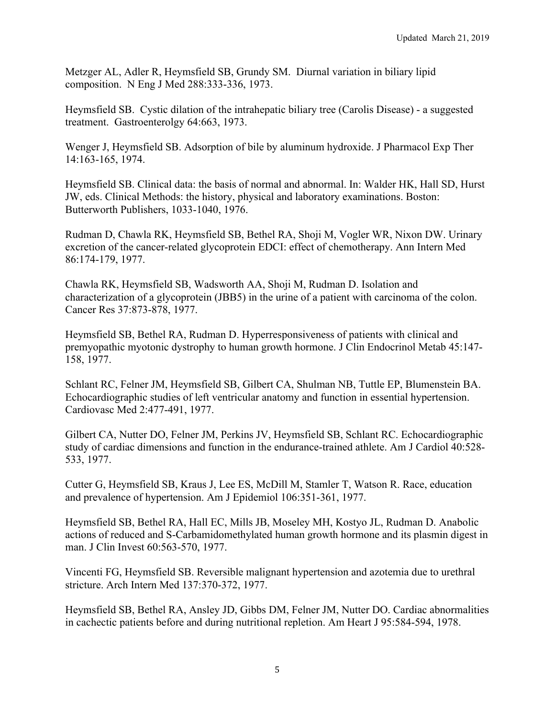Metzger AL, Adler R, Heymsfield SB, Grundy SM. Diurnal variation in biliary lipid composition. N Eng J Med 288:333-336, 1973.

Heymsfield SB. Cystic dilation of the intrahepatic biliary tree (Carolis Disease) - a suggested treatment. Gastroenterolgy 64:663, 1973.

Wenger J, Heymsfield SB. Adsorption of bile by aluminum hydroxide. J Pharmacol Exp Ther 14:163-165, 1974.

Heymsfield SB. Clinical data: the basis of normal and abnormal. In: Walder HK, Hall SD, Hurst JW, eds. Clinical Methods: the history, physical and laboratory examinations. Boston: Butterworth Publishers, 1033-1040, 1976.

Rudman D, Chawla RK, Heymsfield SB, Bethel RA, Shoji M, Vogler WR, Nixon DW. Urinary excretion of the cancer-related glycoprotein EDCI: effect of chemotherapy. Ann Intern Med 86:174-179, 1977.

Chawla RK, Heymsfield SB, Wadsworth AA, Shoji M, Rudman D. Isolation and characterization of a glycoprotein (JBB5) in the urine of a patient with carcinoma of the colon. Cancer Res 37:873-878, 1977.

Heymsfield SB, Bethel RA, Rudman D. Hyperresponsiveness of patients with clinical and premyopathic myotonic dystrophy to human growth hormone. J Clin Endocrinol Metab 45:147- 158, 1977.

Schlant RC, Felner JM, Heymsfield SB, Gilbert CA, Shulman NB, Tuttle EP, Blumenstein BA. Echocardiographic studies of left ventricular anatomy and function in essential hypertension. Cardiovasc Med 2:477-491, 1977.

Gilbert CA, Nutter DO, Felner JM, Perkins JV, Heymsfield SB, Schlant RC. Echocardiographic study of cardiac dimensions and function in the endurance-trained athlete. Am J Cardiol 40:528- 533, 1977.

Cutter G, Heymsfield SB, Kraus J, Lee ES, McDill M, Stamler T, Watson R. Race, education and prevalence of hypertension. Am J Epidemiol 106:351-361, 1977.

Heymsfield SB, Bethel RA, Hall EC, Mills JB, Moseley MH, Kostyo JL, Rudman D. Anabolic actions of reduced and S-Carbamidomethylated human growth hormone and its plasmin digest in man. J Clin Invest 60:563-570, 1977.

Vincenti FG, Heymsfield SB. Reversible malignant hypertension and azotemia due to urethral stricture. Arch Intern Med 137:370-372, 1977.

Heymsfield SB, Bethel RA, Ansley JD, Gibbs DM, Felner JM, Nutter DO. Cardiac abnormalities in cachectic patients before and during nutritional repletion. Am Heart J 95:584-594, 1978.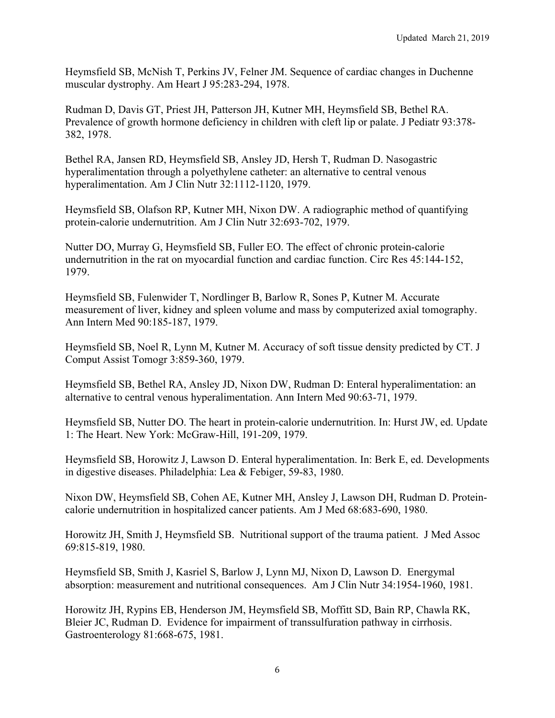Heymsfield SB, McNish T, Perkins JV, Felner JM. Sequence of cardiac changes in Duchenne muscular dystrophy. Am Heart J 95:283-294, 1978.

Rudman D, Davis GT, Priest JH, Patterson JH, Kutner MH, Heymsfield SB, Bethel RA. Prevalence of growth hormone deficiency in children with cleft lip or palate. J Pediatr 93:378- 382, 1978.

Bethel RA, Jansen RD, Heymsfield SB, Ansley JD, Hersh T, Rudman D. Nasogastric hyperalimentation through a polyethylene catheter: an alternative to central venous hyperalimentation. Am J Clin Nutr 32:1112-1120, 1979.

Heymsfield SB, Olafson RP, Kutner MH, Nixon DW. A radiographic method of quantifying protein-calorie undernutrition. Am J Clin Nutr 32:693-702, 1979.

Nutter DO, Murray G, Heymsfield SB, Fuller EO. The effect of chronic protein-calorie undernutrition in the rat on myocardial function and cardiac function. Circ Res 45:144-152, 1979.

Heymsfield SB, Fulenwider T, Nordlinger B, Barlow R, Sones P, Kutner M. Accurate measurement of liver, kidney and spleen volume and mass by computerized axial tomography. Ann Intern Med 90:185-187, 1979.

Heymsfield SB, Noel R, Lynn M, Kutner M. Accuracy of soft tissue density predicted by CT. J Comput Assist Tomogr 3:859-360, 1979.

Heymsfield SB, Bethel RA, Ansley JD, Nixon DW, Rudman D: Enteral hyperalimentation: an alternative to central venous hyperalimentation. Ann Intern Med 90:63-71, 1979.

Heymsfield SB, Nutter DO. The heart in protein-calorie undernutrition. In: Hurst JW, ed. Update 1: The Heart. New York: McGraw-Hill, 191-209, 1979.

Heymsfield SB, Horowitz J, Lawson D. Enteral hyperalimentation. In: Berk E, ed. Developments in digestive diseases. Philadelphia: Lea & Febiger, 59-83, 1980.

Nixon DW, Heymsfield SB, Cohen AE, Kutner MH, Ansley J, Lawson DH, Rudman D. Proteincalorie undernutrition in hospitalized cancer patients. Am J Med 68:683-690, 1980.

Horowitz JH, Smith J, Heymsfield SB. Nutritional support of the trauma patient. J Med Assoc 69:815-819, 1980.

Heymsfield SB, Smith J, Kasriel S, Barlow J, Lynn MJ, Nixon D, Lawson D. Energymal absorption: measurement and nutritional consequences. Am J Clin Nutr 34:1954-1960, 1981.

Horowitz JH, Rypins EB, Henderson JM, Heymsfield SB, Moffitt SD, Bain RP, Chawla RK, Bleier JC, Rudman D. Evidence for impairment of transsulfuration pathway in cirrhosis. Gastroenterology 81:668-675, 1981.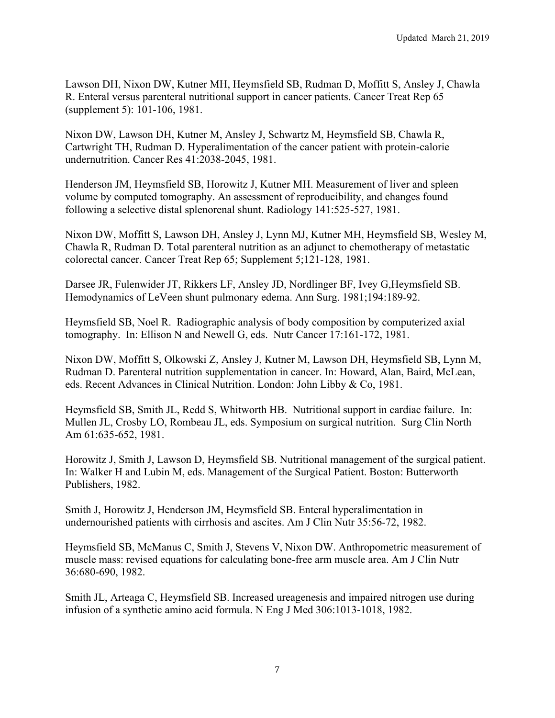Lawson DH, Nixon DW, Kutner MH, Heymsfield SB, Rudman D, Moffitt S, Ansley J, Chawla R. Enteral versus parenteral nutritional support in cancer patients. Cancer Treat Rep 65 (supplement 5): 101-106, 1981.

Nixon DW, Lawson DH, Kutner M, Ansley J, Schwartz M, Heymsfield SB, Chawla R, Cartwright TH, Rudman D. Hyperalimentation of the cancer patient with protein-calorie undernutrition. Cancer Res 41:2038-2045, 1981.

Henderson JM, Heymsfield SB, Horowitz J, Kutner MH. Measurement of liver and spleen volume by computed tomography. An assessment of reproducibility, and changes found following a selective distal splenorenal shunt. Radiology 141:525-527, 1981.

Nixon DW, Moffitt S, Lawson DH, Ansley J, Lynn MJ, Kutner MH, Heymsfield SB, Wesley M, Chawla R, Rudman D. Total parenteral nutrition as an adjunct to chemotherapy of metastatic colorectal cancer. Cancer Treat Rep 65; Supplement 5;121-128, 1981.

Darsee JR, Fulenwider JT, Rikkers LF, Ansley JD, Nordlinger BF, Ivey G,Heymsfield SB. Hemodynamics of LeVeen shunt pulmonary edema. Ann Surg. 1981;194:189-92.

Heymsfield SB, Noel R. Radiographic analysis of body composition by computerized axial tomography. In: Ellison N and Newell G, eds. Nutr Cancer 17:161-172, 1981.

Nixon DW, Moffitt S, Olkowski Z, Ansley J, Kutner M, Lawson DH, Heymsfield SB, Lynn M, Rudman D. Parenteral nutrition supplementation in cancer. In: Howard, Alan, Baird, McLean, eds. Recent Advances in Clinical Nutrition. London: John Libby & Co, 1981.

Heymsfield SB, Smith JL, Redd S, Whitworth HB. Nutritional support in cardiac failure. In: Mullen JL, Crosby LO, Rombeau JL, eds. Symposium on surgical nutrition. Surg Clin North Am 61:635-652, 1981.

Horowitz J, Smith J, Lawson D, Heymsfield SB. Nutritional management of the surgical patient. In: Walker H and Lubin M, eds. Management of the Surgical Patient. Boston: Butterworth Publishers, 1982.

Smith J, Horowitz J, Henderson JM, Heymsfield SB. Enteral hyperalimentation in undernourished patients with cirrhosis and ascites. Am J Clin Nutr 35:56-72, 1982.

Heymsfield SB, McManus C, Smith J, Stevens V, Nixon DW. Anthropometric measurement of muscle mass: revised equations for calculating bone-free arm muscle area. Am J Clin Nutr 36:680-690, 1982.

Smith JL, Arteaga C, Heymsfield SB. Increased ureagenesis and impaired nitrogen use during infusion of a synthetic amino acid formula. N Eng J Med 306:1013-1018, 1982.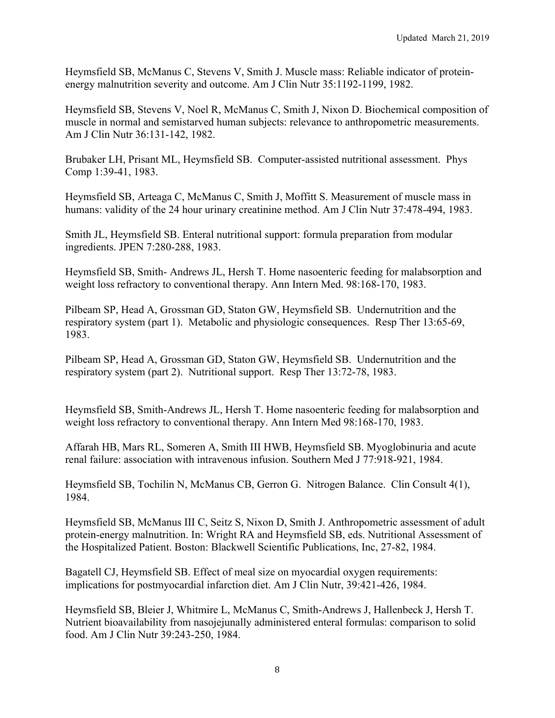Heymsfield SB, McManus C, Stevens V, Smith J. Muscle mass: Reliable indicator of proteinenergy malnutrition severity and outcome. Am J Clin Nutr 35:1192-1199, 1982.

Heymsfield SB, Stevens V, Noel R, McManus C, Smith J, Nixon D. Biochemical composition of muscle in normal and semistarved human subjects: relevance to anthropometric measurements. Am J Clin Nutr 36:131-142, 1982.

Brubaker LH, Prisant ML, Heymsfield SB. Computer-assisted nutritional assessment. Phys Comp 1:39-41, 1983.

Heymsfield SB, Arteaga C, McManus C, Smith J, Moffitt S. Measurement of muscle mass in humans: validity of the 24 hour urinary creatinine method. Am J Clin Nutr 37:478-494, 1983.

Smith JL, Heymsfield SB. Enteral nutritional support: formula preparation from modular ingredients. JPEN 7:280-288, 1983.

Heymsfield SB, Smith- Andrews JL, Hersh T. Home nasoenteric feeding for malabsorption and weight loss refractory to conventional therapy. Ann Intern Med. 98:168-170, 1983.

Pilbeam SP, Head A, Grossman GD, Staton GW, Heymsfield SB. Undernutrition and the respiratory system (part 1). Metabolic and physiologic consequences. Resp Ther 13:65-69, 1983.

Pilbeam SP, Head A, Grossman GD, Staton GW, Heymsfield SB. Undernutrition and the respiratory system (part 2). Nutritional support. Resp Ther 13:72-78, 1983.

Heymsfield SB, Smith-Andrews JL, Hersh T. Home nasoenteric feeding for malabsorption and weight loss refractory to conventional therapy. Ann Intern Med 98:168-170, 1983.

Affarah HB, Mars RL, Someren A, Smith III HWB, Heymsfield SB. Myoglobinuria and acute renal failure: association with intravenous infusion. Southern Med J 77:918-921, 1984.

Heymsfield SB, Tochilin N, McManus CB, Gerron G. Nitrogen Balance. Clin Consult 4(1), 1984.

Heymsfield SB, McManus III C, Seitz S, Nixon D, Smith J. Anthropometric assessment of adult protein-energy malnutrition. In: Wright RA and Heymsfield SB, eds. Nutritional Assessment of the Hospitalized Patient. Boston: Blackwell Scientific Publications, Inc, 27-82, 1984.

Bagatell CJ, Heymsfield SB. Effect of meal size on myocardial oxygen requirements: implications for postmyocardial infarction diet. Am J Clin Nutr, 39:421-426, 1984.

Heymsfield SB, Bleier J, Whitmire L, McManus C, Smith-Andrews J, Hallenbeck J, Hersh T. Nutrient bioavailability from nasojejunally administered enteral formulas: comparison to solid food. Am J Clin Nutr 39:243-250, 1984.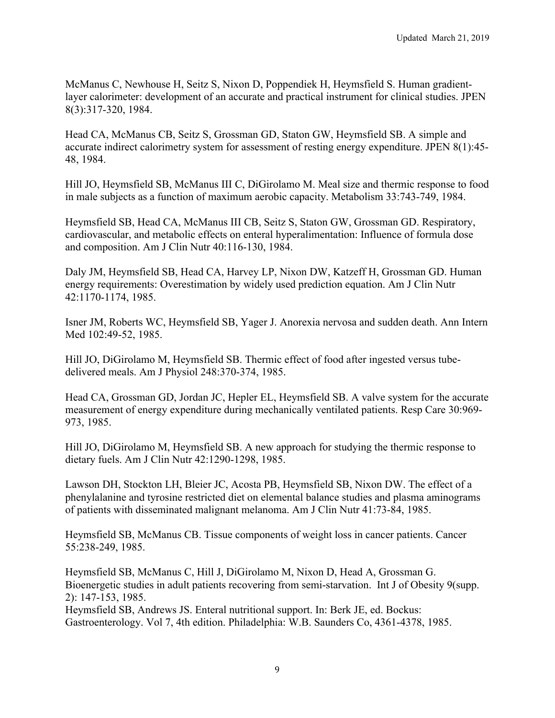McManus C, Newhouse H, Seitz S, Nixon D, Poppendiek H, Heymsfield S. Human gradientlayer calorimeter: development of an accurate and practical instrument for clinical studies. JPEN 8(3):317-320, 1984.

Head CA, McManus CB, Seitz S, Grossman GD, Staton GW, Heymsfield SB. A simple and accurate indirect calorimetry system for assessment of resting energy expenditure. JPEN 8(1):45- 48, 1984.

Hill JO, Heymsfield SB, McManus III C, DiGirolamo M. Meal size and thermic response to food in male subjects as a function of maximum aerobic capacity. Metabolism 33:743-749, 1984.

Heymsfield SB, Head CA, McManus III CB, Seitz S, Staton GW, Grossman GD. Respiratory, cardiovascular, and metabolic effects on enteral hyperalimentation: Influence of formula dose and composition. Am J Clin Nutr 40:116-130, 1984.

Daly JM, Heymsfield SB, Head CA, Harvey LP, Nixon DW, Katzeff H, Grossman GD. Human energy requirements: Overestimation by widely used prediction equation. Am J Clin Nutr 42:1170-1174, 1985.

Isner JM, Roberts WC, Heymsfield SB, Yager J. Anorexia nervosa and sudden death. Ann Intern Med 102:49-52, 1985.

Hill JO, DiGirolamo M, Heymsfield SB. Thermic effect of food after ingested versus tubedelivered meals. Am J Physiol 248:370-374, 1985.

Head CA, Grossman GD, Jordan JC, Hepler EL, Heymsfield SB. A valve system for the accurate measurement of energy expenditure during mechanically ventilated patients. Resp Care 30:969- 973, 1985.

Hill JO, DiGirolamo M, Heymsfield SB. A new approach for studying the thermic response to dietary fuels. Am J Clin Nutr 42:1290-1298, 1985.

Lawson DH, Stockton LH, Bleier JC, Acosta PB, Heymsfield SB, Nixon DW. The effect of a phenylalanine and tyrosine restricted diet on elemental balance studies and plasma aminograms of patients with disseminated malignant melanoma. Am J Clin Nutr 41:73-84, 1985.

Heymsfield SB, McManus CB. Tissue components of weight loss in cancer patients. Cancer 55:238-249, 1985.

Heymsfield SB, McManus C, Hill J, DiGirolamo M, Nixon D, Head A, Grossman G. Bioenergetic studies in adult patients recovering from semi-starvation. Int J of Obesity 9(supp. 2): 147-153, 1985. Heymsfield SB, Andrews JS. Enteral nutritional support. In: Berk JE, ed. Bockus:

Gastroenterology. Vol 7, 4th edition. Philadelphia: W.B. Saunders Co, 4361-4378, 1985.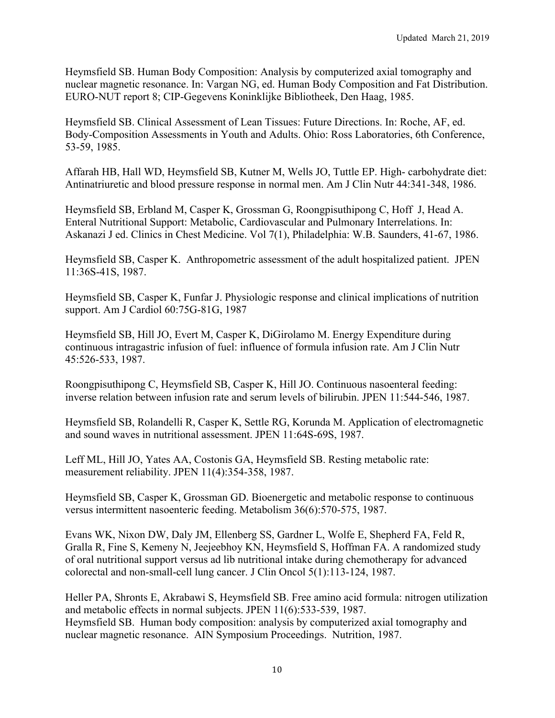Heymsfield SB. Human Body Composition: Analysis by computerized axial tomography and nuclear magnetic resonance. In: Vargan NG, ed. Human Body Composition and Fat Distribution. EURO-NUT report 8; CIP-Gegevens Koninklijke Bibliotheek, Den Haag, 1985.

Heymsfield SB. Clinical Assessment of Lean Tissues: Future Directions. In: Roche, AF, ed. Body-Composition Assessments in Youth and Adults. Ohio: Ross Laboratories, 6th Conference, 53-59, 1985.

Affarah HB, Hall WD, Heymsfield SB, Kutner M, Wells JO, Tuttle EP. High- carbohydrate diet: Antinatriuretic and blood pressure response in normal men. Am J Clin Nutr 44:341-348, 1986.

Heymsfield SB, Erbland M, Casper K, Grossman G, Roongpisuthipong C, Hoff J, Head A. Enteral Nutritional Support: Metabolic, Cardiovascular and Pulmonary Interrelations. In: Askanazi J ed. Clinics in Chest Medicine. Vol 7(1), Philadelphia: W.B. Saunders, 41-67, 1986.

Heymsfield SB, Casper K. Anthropometric assessment of the adult hospitalized patient. JPEN 11:36S-41S, 1987.

Heymsfield SB, Casper K, Funfar J. Physiologic response and clinical implications of nutrition support. Am J Cardiol 60:75G-81G, 1987

Heymsfield SB, Hill JO, Evert M, Casper K, DiGirolamo M. Energy Expenditure during continuous intragastric infusion of fuel: influence of formula infusion rate. Am J Clin Nutr 45:526-533, 1987.

Roongpisuthipong C, Heymsfield SB, Casper K, Hill JO. Continuous nasoenteral feeding: inverse relation between infusion rate and serum levels of bilirubin. JPEN 11:544-546, 1987.

Heymsfield SB, Rolandelli R, Casper K, Settle RG, Korunda M. Application of electromagnetic and sound waves in nutritional assessment. JPEN 11:64S-69S, 1987.

Leff ML, Hill JO, Yates AA, Costonis GA, Heymsfield SB. Resting metabolic rate: measurement reliability. JPEN 11(4):354-358, 1987.

Heymsfield SB, Casper K, Grossman GD. Bioenergetic and metabolic response to continuous versus intermittent nasoenteric feeding. Metabolism 36(6):570-575, 1987.

Evans WK, Nixon DW, Daly JM, Ellenberg SS, Gardner L, Wolfe E, Shepherd FA, Feld R, Gralla R, Fine S, Kemeny N, Jeejeebhoy KN, Heymsfield S, Hoffman FA. A randomized study of oral nutritional support versus ad lib nutritional intake during chemotherapy for advanced colorectal and non-small-cell lung cancer. J Clin Oncol 5(1):113-124, 1987.

Heller PA, Shronts E, Akrabawi S, Heymsfield SB. Free amino acid formula: nitrogen utilization and metabolic effects in normal subjects. JPEN 11(6):533-539, 1987. Heymsfield SB. Human body composition: analysis by computerized axial tomography and nuclear magnetic resonance. AIN Symposium Proceedings. Nutrition, 1987.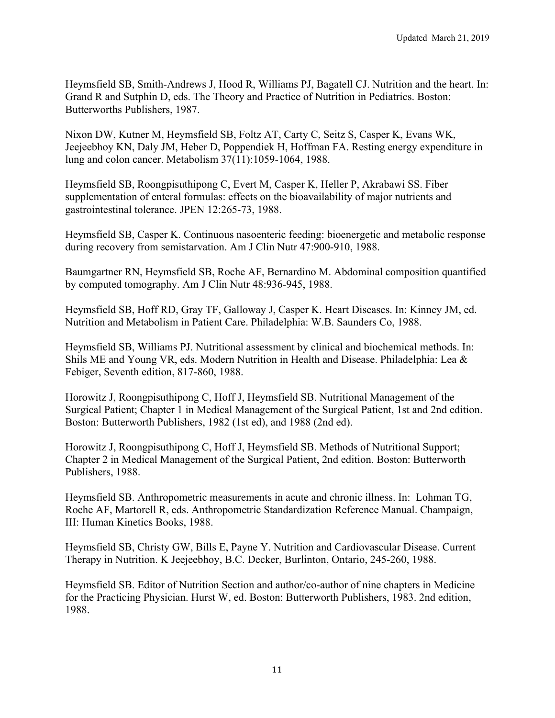Heymsfield SB, Smith-Andrews J, Hood R, Williams PJ, Bagatell CJ. Nutrition and the heart. In: Grand R and Sutphin D, eds. The Theory and Practice of Nutrition in Pediatrics. Boston: Butterworths Publishers, 1987.

Nixon DW, Kutner M, Heymsfield SB, Foltz AT, Carty C, Seitz S, Casper K, Evans WK, Jeejeebhoy KN, Daly JM, Heber D, Poppendiek H, Hoffman FA. Resting energy expenditure in lung and colon cancer. Metabolism 37(11):1059-1064, 1988.

Heymsfield SB, Roongpisuthipong C, Evert M, Casper K, Heller P, Akrabawi SS. Fiber supplementation of enteral formulas: effects on the bioavailability of major nutrients and gastrointestinal tolerance. JPEN 12:265-73, 1988.

Heymsfield SB, Casper K. Continuous nasoenteric feeding: bioenergetic and metabolic response during recovery from semistarvation. Am J Clin Nutr 47:900-910, 1988.

Baumgartner RN, Heymsfield SB, Roche AF, Bernardino M. Abdominal composition quantified by computed tomography. Am J Clin Nutr 48:936-945, 1988.

Heymsfield SB, Hoff RD, Gray TF, Galloway J, Casper K. Heart Diseases. In: Kinney JM, ed. Nutrition and Metabolism in Patient Care. Philadelphia: W.B. Saunders Co, 1988.

Heymsfield SB, Williams PJ. Nutritional assessment by clinical and biochemical methods. In: Shils ME and Young VR, eds. Modern Nutrition in Health and Disease. Philadelphia: Lea & Febiger, Seventh edition, 817-860, 1988.

Horowitz J, Roongpisuthipong C, Hoff J, Heymsfield SB. Nutritional Management of the Surgical Patient; Chapter 1 in Medical Management of the Surgical Patient, 1st and 2nd edition. Boston: Butterworth Publishers, 1982 (1st ed), and 1988 (2nd ed).

Horowitz J, Roongpisuthipong C, Hoff J, Heymsfield SB. Methods of Nutritional Support; Chapter 2 in Medical Management of the Surgical Patient, 2nd edition. Boston: Butterworth Publishers, 1988.

Heymsfield SB. Anthropometric measurements in acute and chronic illness. In: Lohman TG, Roche AF, Martorell R, eds. Anthropometric Standardization Reference Manual. Champaign, III: Human Kinetics Books, 1988.

Heymsfield SB, Christy GW, Bills E, Payne Y. Nutrition and Cardiovascular Disease. Current Therapy in Nutrition. K Jeejeebhoy, B.C. Decker, Burlinton, Ontario, 245-260, 1988.

Heymsfield SB. Editor of Nutrition Section and author/co-author of nine chapters in Medicine for the Practicing Physician. Hurst W, ed. Boston: Butterworth Publishers, 1983. 2nd edition, 1988.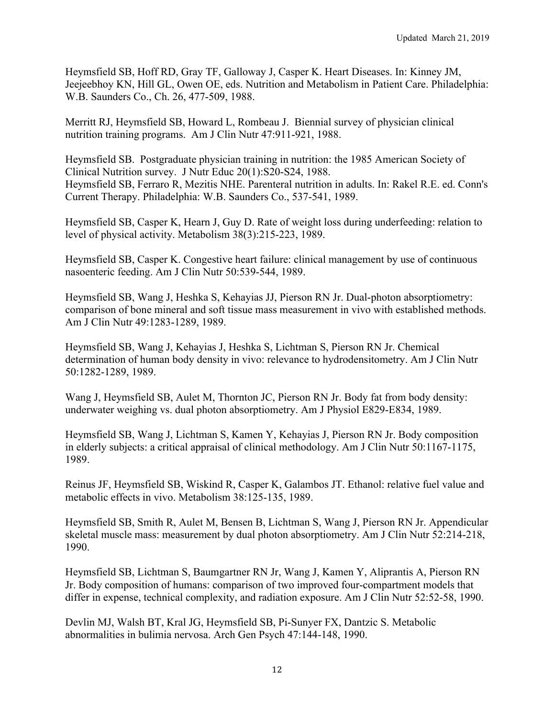Heymsfield SB, Hoff RD, Gray TF, Galloway J, Casper K. Heart Diseases. In: Kinney JM, Jeejeebhoy KN, Hill GL, Owen OE, eds. Nutrition and Metabolism in Patient Care. Philadelphia: W.B. Saunders Co., Ch. 26, 477-509, 1988.

Merritt RJ, Heymsfield SB, Howard L, Rombeau J. Biennial survey of physician clinical nutrition training programs. Am J Clin Nutr 47:911-921, 1988.

Heymsfield SB. Postgraduate physician training in nutrition: the 1985 American Society of Clinical Nutrition survey. J Nutr Educ 20(1):S20-S24, 1988. Heymsfield SB, Ferraro R, Mezitis NHE. Parenteral nutrition in adults. In: Rakel R.E. ed. Conn's Current Therapy. Philadelphia: W.B. Saunders Co., 537-541, 1989.

Heymsfield SB, Casper K, Hearn J, Guy D. Rate of weight loss during underfeeding: relation to level of physical activity. Metabolism 38(3):215-223, 1989.

Heymsfield SB, Casper K. Congestive heart failure: clinical management by use of continuous nasoenteric feeding. Am J Clin Nutr 50:539-544, 1989.

Heymsfield SB, Wang J, Heshka S, Kehayias JJ, Pierson RN Jr. Dual-photon absorptiometry: comparison of bone mineral and soft tissue mass measurement in vivo with established methods. Am J Clin Nutr 49:1283-1289, 1989.

Heymsfield SB, Wang J, Kehayias J, Heshka S, Lichtman S, Pierson RN Jr. Chemical determination of human body density in vivo: relevance to hydrodensitometry. Am J Clin Nutr 50:1282-1289, 1989.

Wang J, Heymsfield SB, Aulet M, Thornton JC, Pierson RN Jr. Body fat from body density: underwater weighing vs. dual photon absorptiometry. Am J Physiol E829-E834, 1989.

Heymsfield SB, Wang J, Lichtman S, Kamen Y, Kehayias J, Pierson RN Jr. Body composition in elderly subjects: a critical appraisal of clinical methodology. Am J Clin Nutr 50:1167-1175, 1989.

Reinus JF, Heymsfield SB, Wiskind R, Casper K, Galambos JT. Ethanol: relative fuel value and metabolic effects in vivo. Metabolism 38:125-135, 1989.

Heymsfield SB, Smith R, Aulet M, Bensen B, Lichtman S, Wang J, Pierson RN Jr. Appendicular skeletal muscle mass: measurement by dual photon absorptiometry. Am J Clin Nutr 52:214-218, 1990.

Heymsfield SB, Lichtman S, Baumgartner RN Jr, Wang J, Kamen Y, Aliprantis A, Pierson RN Jr. Body composition of humans: comparison of two improved four-compartment models that differ in expense, technical complexity, and radiation exposure. Am J Clin Nutr 52:52-58, 1990.

Devlin MJ, Walsh BT, Kral JG, Heymsfield SB, Pi-Sunyer FX, Dantzic S. Metabolic abnormalities in bulimia nervosa. Arch Gen Psych 47:144-148, 1990.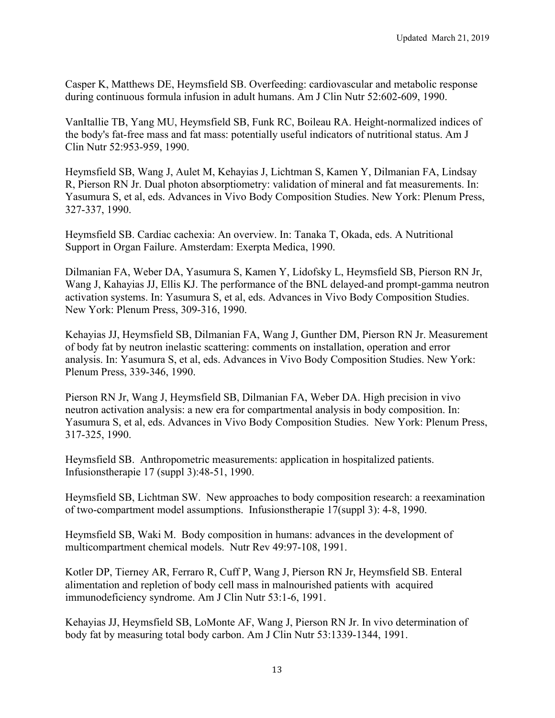Casper K, Matthews DE, Heymsfield SB. Overfeeding: cardiovascular and metabolic response during continuous formula infusion in adult humans. Am J Clin Nutr 52:602-609, 1990.

VanItallie TB, Yang MU, Heymsfield SB, Funk RC, Boileau RA. Height-normalized indices of the body's fat-free mass and fat mass: potentially useful indicators of nutritional status. Am J Clin Nutr 52:953-959, 1990.

Heymsfield SB, Wang J, Aulet M, Kehayias J, Lichtman S, Kamen Y, Dilmanian FA, Lindsay R, Pierson RN Jr. Dual photon absorptiometry: validation of mineral and fat measurements. In: Yasumura S, et al, eds. Advances in Vivo Body Composition Studies. New York: Plenum Press, 327-337, 1990.

Heymsfield SB. Cardiac cachexia: An overview. In: Tanaka T, Okada, eds. A Nutritional Support in Organ Failure. Amsterdam: Exerpta Medica, 1990.

Dilmanian FA, Weber DA, Yasumura S, Kamen Y, Lidofsky L, Heymsfield SB, Pierson RN Jr, Wang J, Kahayias JJ, Ellis KJ. The performance of the BNL delayed-and prompt-gamma neutron activation systems. In: Yasumura S, et al, eds. Advances in Vivo Body Composition Studies. New York: Plenum Press, 309-316, 1990.

Kehayias JJ, Heymsfield SB, Dilmanian FA, Wang J, Gunther DM, Pierson RN Jr. Measurement of body fat by neutron inelastic scattering: comments on installation, operation and error analysis. In: Yasumura S, et al, eds. Advances in Vivo Body Composition Studies. New York: Plenum Press, 339-346, 1990.

Pierson RN Jr, Wang J, Heymsfield SB, Dilmanian FA, Weber DA. High precision in vivo neutron activation analysis: a new era for compartmental analysis in body composition. In: Yasumura S, et al, eds. Advances in Vivo Body Composition Studies. New York: Plenum Press, 317-325, 1990.

Heymsfield SB. Anthropometric measurements: application in hospitalized patients. Infusionstherapie 17 (suppl 3):48-51, 1990.

Heymsfield SB, Lichtman SW. New approaches to body composition research: a reexamination of two-compartment model assumptions. Infusionstherapie 17(suppl 3): 4-8, 1990.

Heymsfield SB, Waki M. Body composition in humans: advances in the development of multicompartment chemical models. Nutr Rev 49:97-108, 1991.

Kotler DP, Tierney AR, Ferraro R, Cuff P, Wang J, Pierson RN Jr, Heymsfield SB. Enteral alimentation and repletion of body cell mass in malnourished patients with acquired immunodeficiency syndrome. Am J Clin Nutr 53:1-6, 1991.

Kehayias JJ, Heymsfield SB, LoMonte AF, Wang J, Pierson RN Jr. In vivo determination of body fat by measuring total body carbon. Am J Clin Nutr 53:1339-1344, 1991.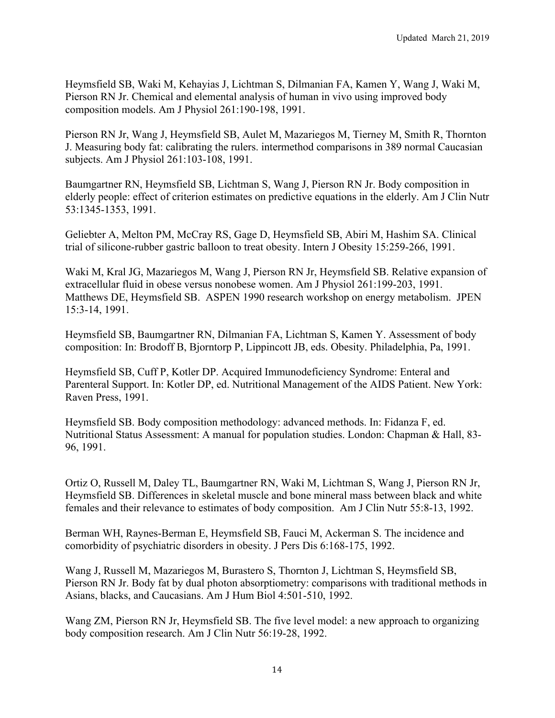Heymsfield SB, Waki M, Kehayias J, Lichtman S, Dilmanian FA, Kamen Y, Wang J, Waki M, Pierson RN Jr. Chemical and elemental analysis of human in vivo using improved body composition models. Am J Physiol 261:190-198, 1991.

Pierson RN Jr, Wang J, Heymsfield SB, Aulet M, Mazariegos M, Tierney M, Smith R, Thornton J. Measuring body fat: calibrating the rulers. intermethod comparisons in 389 normal Caucasian subjects. Am J Physiol 261:103-108, 1991.

Baumgartner RN, Heymsfield SB, Lichtman S, Wang J, Pierson RN Jr. Body composition in elderly people: effect of criterion estimates on predictive equations in the elderly. Am J Clin Nutr 53:1345-1353, 1991.

Geliebter A, Melton PM, McCray RS, Gage D, Heymsfield SB, Abiri M, Hashim SA. Clinical trial of silicone-rubber gastric balloon to treat obesity. Intern J Obesity 15:259-266, 1991.

Waki M, Kral JG, Mazariegos M, Wang J, Pierson RN Jr, Heymsfield SB. Relative expansion of extracellular fluid in obese versus nonobese women. Am J Physiol 261:199-203, 1991. Matthews DE, Heymsfield SB. ASPEN 1990 research workshop on energy metabolism. JPEN 15:3-14, 1991.

Heymsfield SB, Baumgartner RN, Dilmanian FA, Lichtman S, Kamen Y. Assessment of body composition: In: Brodoff B, Bjorntorp P, Lippincott JB, eds. Obesity. Philadelphia, Pa, 1991.

Heymsfield SB, Cuff P, Kotler DP. Acquired Immunodeficiency Syndrome: Enteral and Parenteral Support. In: Kotler DP, ed. Nutritional Management of the AIDS Patient. New York: Raven Press, 1991.

Heymsfield SB. Body composition methodology: advanced methods. In: Fidanza F, ed. Nutritional Status Assessment: A manual for population studies. London: Chapman & Hall, 83- 96, 1991.

Ortiz O, Russell M, Daley TL, Baumgartner RN, Waki M, Lichtman S, Wang J, Pierson RN Jr, Heymsfield SB. Differences in skeletal muscle and bone mineral mass between black and white females and their relevance to estimates of body composition. Am J Clin Nutr 55:8-13, 1992.

Berman WH, Raynes-Berman E, Heymsfield SB, Fauci M, Ackerman S. The incidence and comorbidity of psychiatric disorders in obesity. J Pers Dis 6:168-175, 1992.

Wang J, Russell M, Mazariegos M, Burastero S, Thornton J, Lichtman S, Heymsfield SB, Pierson RN Jr. Body fat by dual photon absorptiometry: comparisons with traditional methods in Asians, blacks, and Caucasians. Am J Hum Biol 4:501-510, 1992.

Wang ZM, Pierson RN Jr, Heymsfield SB. The five level model: a new approach to organizing body composition research. Am J Clin Nutr 56:19-28, 1992.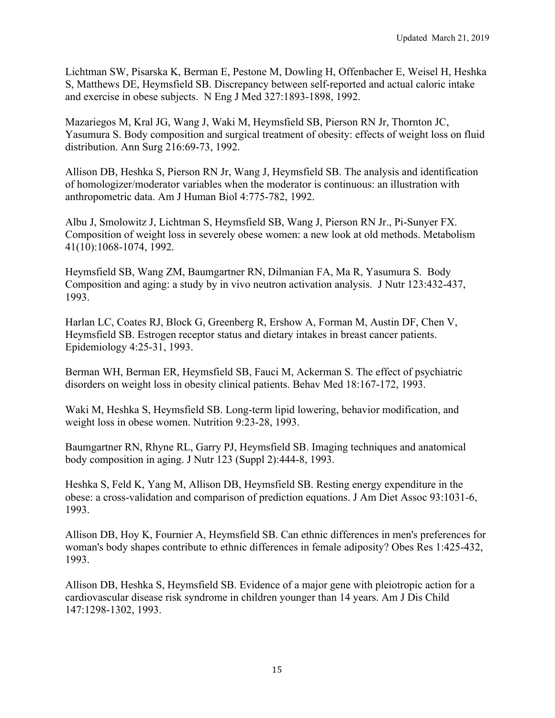Lichtman SW, Pisarska K, Berman E, Pestone M, Dowling H, Offenbacher E, Weisel H, Heshka S, Matthews DE, Heymsfield SB. Discrepancy between self-reported and actual caloric intake and exercise in obese subjects. N Eng J Med 327:1893-1898, 1992.

Mazariegos M, Kral JG, Wang J, Waki M, Heymsfield SB, Pierson RN Jr, Thornton JC, Yasumura S. Body composition and surgical treatment of obesity: effects of weight loss on fluid distribution. Ann Surg 216:69-73, 1992.

Allison DB, Heshka S, Pierson RN Jr, Wang J, Heymsfield SB. The analysis and identification of homologizer/moderator variables when the moderator is continuous: an illustration with anthropometric data. Am J Human Biol 4:775-782, 1992.

Albu J, Smolowitz J, Lichtman S, Heymsfield SB, Wang J, Pierson RN Jr., Pi-Sunyer FX. Composition of weight loss in severely obese women: a new look at old methods. Metabolism 41(10):1068-1074, 1992.

Heymsfield SB, Wang ZM, Baumgartner RN, Dilmanian FA, Ma R, Yasumura S. Body Composition and aging: a study by in vivo neutron activation analysis. J Nutr 123:432-437, 1993.

Harlan LC, Coates RJ, Block G, Greenberg R, Ershow A, Forman M, Austin DF, Chen V, Heymsfield SB. Estrogen receptor status and dietary intakes in breast cancer patients. Epidemiology 4:25-31, 1993.

Berman WH, Berman ER, Heymsfield SB, Fauci M, Ackerman S. The effect of psychiatric disorders on weight loss in obesity clinical patients. Behav Med 18:167-172, 1993.

Waki M, Heshka S, Heymsfield SB. Long-term lipid lowering, behavior modification, and weight loss in obese women. Nutrition 9:23-28, 1993.

Baumgartner RN, Rhyne RL, Garry PJ, Heymsfield SB. Imaging techniques and anatomical body composition in aging. J Nutr 123 (Suppl 2):444-8, 1993.

Heshka S, Feld K, Yang M, Allison DB, Heymsfield SB. Resting energy expenditure in the obese: a cross-validation and comparison of prediction equations. J Am Diet Assoc 93:1031-6, 1993.

Allison DB, Hoy K, Fournier A, Heymsfield SB. Can ethnic differences in men's preferences for woman's body shapes contribute to ethnic differences in female adiposity? Obes Res 1:425-432, 1993.

Allison DB, Heshka S, Heymsfield SB. Evidence of a major gene with pleiotropic action for a cardiovascular disease risk syndrome in children younger than 14 years. Am J Dis Child 147:1298-1302, 1993.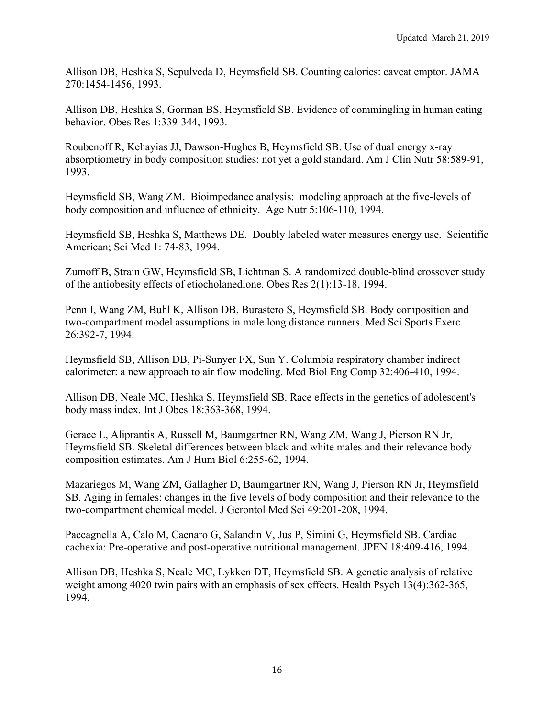Allison DB, Heshka S, Sepulveda D, Heymsfield SB. Counting calories: caveat emptor. JAMA 270:1454-1456, 1993.

Allison DB, Heshka S, Gorman BS, Heymsfield SB. Evidence of commingling in human eating behavior. Obes Res 1:339-344, 1993.

Roubenoff R, Kehayias JJ, Dawson-Hughes B, Heymsfield SB. Use of dual energy x-ray absorptiometry in body composition studies: not yet a gold standard. Am J Clin Nutr 58:589-91, 1993.

Heymsfield SB, Wang ZM. Bioimpedance analysis: modeling approach at the five-levels of body composition and influence of ethnicity. Age Nutr 5:106-110, 1994.

Heymsfield SB, Heshka S, Matthews DE. Doubly labeled water measures energy use. Scientific American; Sci Med 1: 74-83, 1994.

Zumoff B, Strain GW, Heymsfield SB, Lichtman S. A randomized double-blind crossover study of the antiobesity effects of etiocholanedione. Obes Res 2(1):13-18, 1994.

Penn I, Wang ZM, Buhl K, Allison DB, Burastero S, Heymsfield SB. Body composition and two-compartment model assumptions in male long distance runners. Med Sci Sports Exerc 26:392-7, 1994.

Heymsfield SB, Allison DB, Pi-Sunyer FX, Sun Y. Columbia respiratory chamber indirect calorimeter: a new approach to air flow modeling. Med Biol Eng Comp 32:406-410, 1994.

Allison DB, Neale MC, Heshka S, Heymsfield SB. Race effects in the genetics of adolescent's body mass index. Int J Obes 18:363-368, 1994.

Gerace L, Aliprantis A, Russell M, Baumgartner RN, Wang ZM, Wang J, Pierson RN Jr, Heymsfield SB. Skeletal differences between black and white males and their relevance body composition estimates. Am J Hum Biol 6:255-62, 1994.

Mazariegos M, Wang ZM, Gallagher D, Baumgartner RN, Wang J, Pierson RN Jr, Heymsfield SB. Aging in females: changes in the five levels of body composition and their relevance to the two-compartment chemical model. J Gerontol Med Sci 49:201-208, 1994.

Paccagnella A, Calo M, Caenaro G, Salandin V, Jus P, Simini G, Heymsfield SB. Cardiac cachexia: Pre-operative and post-operative nutritional management. JPEN 18:409-416, 1994.

Allison DB, Heshka S, Neale MC, Lykken DT, Heymsfield SB. A genetic analysis of relative weight among 4020 twin pairs with an emphasis of sex effects. Health Psych 13(4):362-365, 1994.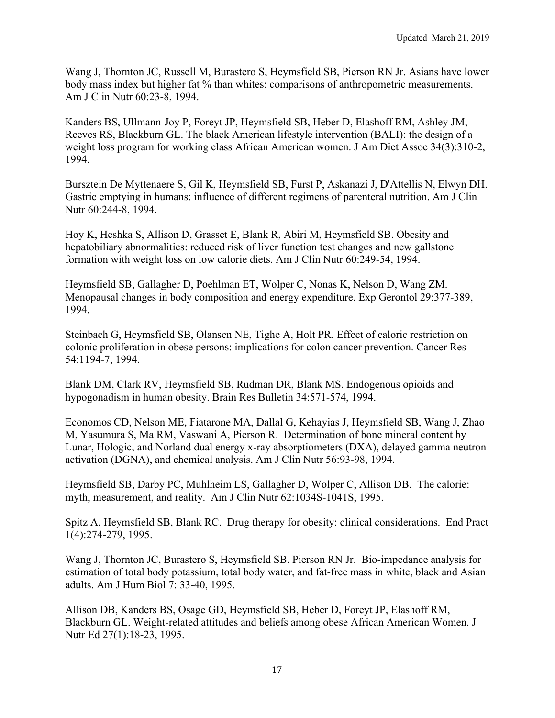Wang J, Thornton JC, Russell M, Burastero S, Heymsfield SB, Pierson RN Jr. Asians have lower body mass index but higher fat % than whites: comparisons of anthropometric measurements. Am J Clin Nutr 60:23-8, 1994.

Kanders BS, Ullmann-Joy P, Foreyt JP, Heymsfield SB, Heber D, Elashoff RM, Ashley JM, Reeves RS, Blackburn GL. The black American lifestyle intervention (BALI): the design of a weight loss program for working class African American women. J Am Diet Assoc 34(3):310-2, 1994.

Bursztein De Myttenaere S, Gil K, Heymsfield SB, Furst P, Askanazi J, D'Attellis N, Elwyn DH. Gastric emptying in humans: influence of different regimens of parenteral nutrition. Am J Clin Nutr 60:244-8, 1994.

Hoy K, Heshka S, Allison D, Grasset E, Blank R, Abiri M, Heymsfield SB. Obesity and hepatobiliary abnormalities: reduced risk of liver function test changes and new gallstone formation with weight loss on low calorie diets. Am J Clin Nutr 60:249-54, 1994.

Heymsfield SB, Gallagher D, Poehlman ET, Wolper C, Nonas K, Nelson D, Wang ZM. Menopausal changes in body composition and energy expenditure. Exp Gerontol 29:377-389, 1994.

Steinbach G, Heymsfield SB, Olansen NE, Tighe A, Holt PR. Effect of caloric restriction on colonic proliferation in obese persons: implications for colon cancer prevention. Cancer Res 54:1194-7, 1994.

Blank DM, Clark RV, Heymsfield SB, Rudman DR, Blank MS. Endogenous opioids and hypogonadism in human obesity. Brain Res Bulletin 34:571-574, 1994.

Economos CD, Nelson ME, Fiatarone MA, Dallal G, Kehayias J, Heymsfield SB, Wang J, Zhao M, Yasumura S, Ma RM, Vaswani A, Pierson R. Determination of bone mineral content by Lunar, Hologic, and Norland dual energy x-ray absorptiometers (DXA), delayed gamma neutron activation (DGNA), and chemical analysis. Am J Clin Nutr 56:93-98, 1994.

Heymsfield SB, Darby PC, Muhlheim LS, Gallagher D, Wolper C, Allison DB. The calorie: myth, measurement, and reality. Am J Clin Nutr 62:1034S-1041S, 1995.

Spitz A, Heymsfield SB, Blank RC. Drug therapy for obesity: clinical considerations. End Pract 1(4):274-279, 1995.

Wang J, Thornton JC, Burastero S, Heymsfield SB. Pierson RN Jr. Bio-impedance analysis for estimation of total body potassium, total body water, and fat-free mass in white, black and Asian adults. Am J Hum Biol 7: 33-40, 1995.

Allison DB, Kanders BS, Osage GD, Heymsfield SB, Heber D, Foreyt JP, Elashoff RM, Blackburn GL. Weight-related attitudes and beliefs among obese African American Women. J Nutr Ed 27(1):18-23, 1995.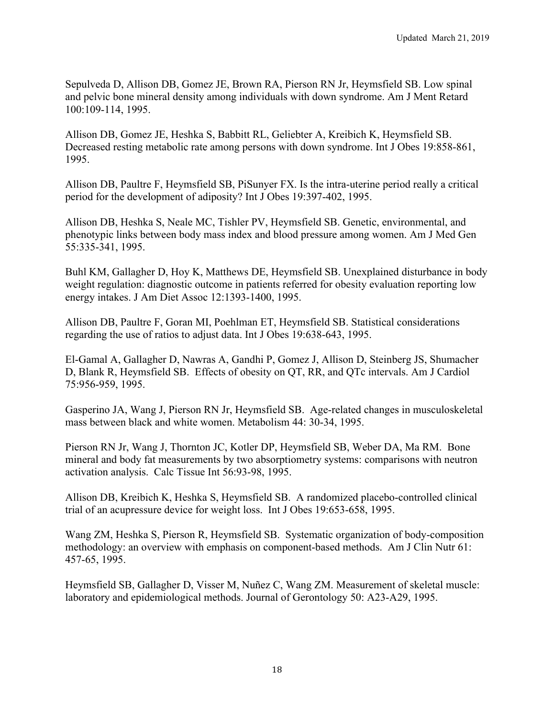Sepulveda D, Allison DB, Gomez JE, Brown RA, Pierson RN Jr, Heymsfield SB. Low spinal and pelvic bone mineral density among individuals with down syndrome. Am J Ment Retard 100:109-114, 1995.

Allison DB, Gomez JE, Heshka S, Babbitt RL, Geliebter A, Kreibich K, Heymsfield SB. Decreased resting metabolic rate among persons with down syndrome. Int J Obes 19:858-861, 1995.

Allison DB, Paultre F, Heymsfield SB, PiSunyer FX. Is the intra-uterine period really a critical period for the development of adiposity? Int J Obes 19:397-402, 1995.

Allison DB, Heshka S, Neale MC, Tishler PV, Heymsfield SB. Genetic, environmental, and phenotypic links between body mass index and blood pressure among women. Am J Med Gen 55:335-341, 1995.

Buhl KM, Gallagher D, Hoy K, Matthews DE, Heymsfield SB. Unexplained disturbance in body weight regulation: diagnostic outcome in patients referred for obesity evaluation reporting low energy intakes. J Am Diet Assoc 12:1393-1400, 1995.

Allison DB, Paultre F, Goran MI, Poehlman ET, Heymsfield SB. Statistical considerations regarding the use of ratios to adjust data. Int J Obes 19:638-643, 1995.

El-Gamal A, Gallagher D, Nawras A, Gandhi P, Gomez J, Allison D, Steinberg JS, Shumacher D, Blank R, Heymsfield SB. Effects of obesity on QT, RR, and QTc intervals. Am J Cardiol 75:956-959, 1995.

Gasperino JA, Wang J, Pierson RN Jr, Heymsfield SB. Age-related changes in musculoskeletal mass between black and white women. Metabolism 44: 30-34, 1995.

Pierson RN Jr, Wang J, Thornton JC, Kotler DP, Heymsfield SB, Weber DA, Ma RM. Bone mineral and body fat measurements by two absorptiometry systems: comparisons with neutron activation analysis. Calc Tissue Int 56:93-98, 1995.

Allison DB, Kreibich K, Heshka S, Heymsfield SB. A randomized placebo-controlled clinical trial of an acupressure device for weight loss. Int J Obes 19:653-658, 1995.

Wang ZM, Heshka S, Pierson R, Heymsfield SB. Systematic organization of body-composition methodology: an overview with emphasis on component-based methods. Am J Clin Nutr 61: 457-65, 1995.

Heymsfield SB, Gallagher D, Visser M, Nuñez C, Wang ZM. Measurement of skeletal muscle: laboratory and epidemiological methods. Journal of Gerontology 50: A23-A29, 1995.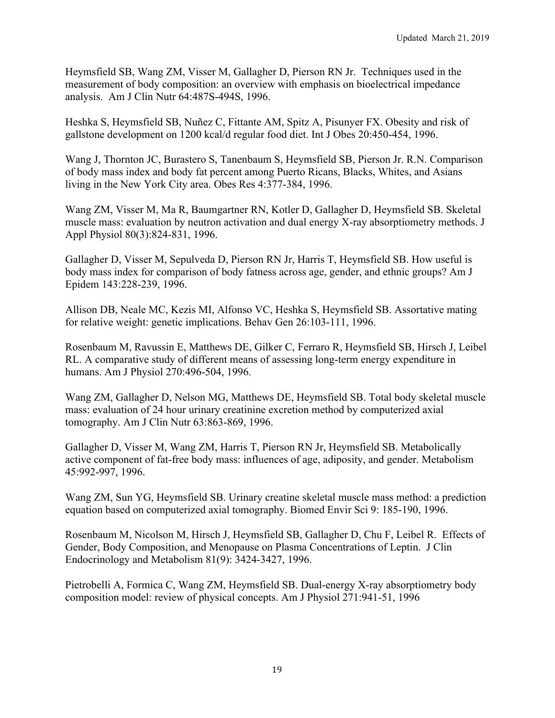Heymsfield SB, Wang ZM, Visser M, Gallagher D, Pierson RN Jr. Techniques used in the measurement of body composition: an overview with emphasis on bioelectrical impedance analysis. Am J Clin Nutr 64:487S-494S, 1996.

Heshka S, Heymsfield SB, Nuñez C, Fittante AM, Spitz A, Pisunyer FX. Obesity and risk of gallstone development on 1200 kcal/d regular food diet. Int J Obes 20:450-454, 1996.

Wang J, Thornton JC, Burastero S, Tanenbaum S, Heymsfield SB, Pierson Jr. R.N. Comparison of body mass index and body fat percent among Puerto Ricans, Blacks, Whites, and Asians living in the New York City area. Obes Res 4:377-384, 1996.

Wang ZM, Visser M, Ma R, Baumgartner RN, Kotler D, Gallagher D, Heymsfield SB. Skeletal muscle mass: evaluation by neutron activation and dual energy X-ray absorptiometry methods. J Appl Physiol 80(3):824-831, 1996.

Gallagher D, Visser M, Sepulveda D, Pierson RN Jr, Harris T, Heymsfield SB. How useful is body mass index for comparison of body fatness across age, gender, and ethnic groups? Am J Epidem 143:228-239, 1996.

Allison DB, Neale MC, Kezis MI, Alfonso VC, Heshka S, Heymsfield SB. Assortative mating for relative weight: genetic implications. Behav Gen 26:103-111, 1996.

Rosenbaum M, Ravussin E, Matthews DE, Gilker C, Ferraro R, Heymsfield SB, Hirsch J, Leibel RL. A comparative study of different means of assessing long-term energy expenditure in humans. Am J Physiol 270:496-504, 1996.

Wang ZM, Gallagher D, Nelson MG, Matthews DE, Heymsfield SB. Total body skeletal muscle mass: evaluation of 24 hour urinary creatinine excretion method by computerized axial tomography. Am J Clin Nutr 63:863-869, 1996.

Gallagher D, Visser M, Wang ZM, Harris T, Pierson RN Jr, Heymsfield SB. Metabolically active component of fat-free body mass: influences of age, adiposity, and gender. Metabolism 45:992-997, 1996.

Wang ZM, Sun YG, Heymsfield SB. Urinary creatine skeletal muscle mass method: a prediction equation based on computerized axial tomography. Biomed Envir Sci 9: 185-190, 1996.

Rosenbaum M, Nicolson M, Hirsch J, Heymsfield SB, Gallagher D, Chu F, Leibel R. Effects of Gender, Body Composition, and Menopause on Plasma Concentrations of Leptin. J Clin Endocrinology and Metabolism 81(9): 3424-3427, 1996.

Pietrobelli A, Formica C, Wang ZM, Heymsfield SB. Dual-energy X-ray absorptiometry body composition model: review of physical concepts. Am J Physiol 271:941-51, 1996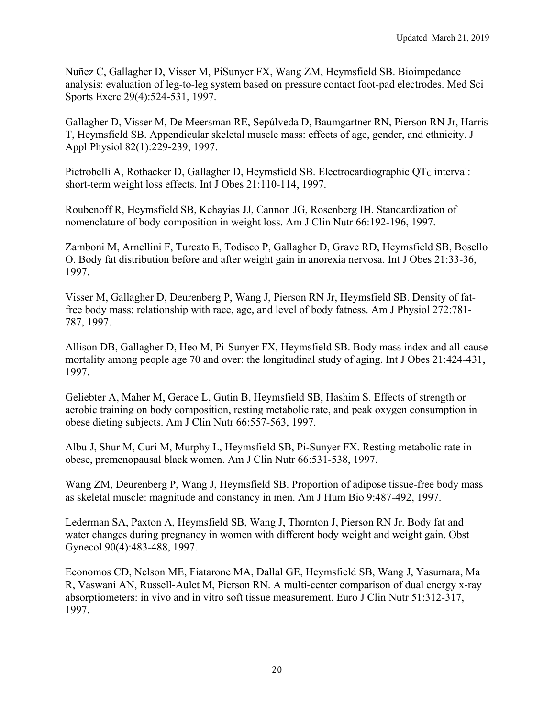Nuñez C, Gallagher D, Visser M, PiSunyer FX, Wang ZM, Heymsfield SB. Bioimpedance analysis: evaluation of leg-to-leg system based on pressure contact foot-pad electrodes. Med Sci Sports Exerc 29(4):524-531, 1997.

Gallagher D, Visser M, De Meersman RE, Sepúlveda D, Baumgartner RN, Pierson RN Jr, Harris T, Heymsfield SB. Appendicular skeletal muscle mass: effects of age, gender, and ethnicity. J Appl Physiol 82(1):229-239, 1997.

Pietrobelli A, Rothacker D, Gallagher D, Heymsfield SB. Electrocardiographic OT<sub>C</sub> interval: short-term weight loss effects. Int J Obes 21:110-114, 1997.

Roubenoff R, Heymsfield SB, Kehayias JJ, Cannon JG, Rosenberg IH. Standardization of nomenclature of body composition in weight loss. Am J Clin Nutr 66:192-196, 1997.

Zamboni M, Arnellini F, Turcato E, Todisco P, Gallagher D, Grave RD, Heymsfield SB, Bosello O. Body fat distribution before and after weight gain in anorexia nervosa. Int J Obes 21:33-36, 1997.

Visser M, Gallagher D, Deurenberg P, Wang J, Pierson RN Jr, Heymsfield SB. Density of fatfree body mass: relationship with race, age, and level of body fatness. Am J Physiol 272:781- 787, 1997.

Allison DB, Gallagher D, Heo M, Pi-Sunyer FX, Heymsfield SB. Body mass index and all-cause mortality among people age 70 and over: the longitudinal study of aging. Int J Obes 21:424-431, 1997.

Geliebter A, Maher M, Gerace L, Gutin B, Heymsfield SB, Hashim S. Effects of strength or aerobic training on body composition, resting metabolic rate, and peak oxygen consumption in obese dieting subjects. Am J Clin Nutr 66:557-563, 1997.

Albu J, Shur M, Curi M, Murphy L, Heymsfield SB, Pi-Sunyer FX. Resting metabolic rate in obese, premenopausal black women. Am J Clin Nutr 66:531-538, 1997.

Wang ZM, Deurenberg P, Wang J, Heymsfield SB. Proportion of adipose tissue-free body mass as skeletal muscle: magnitude and constancy in men. Am J Hum Bio 9:487-492, 1997.

Lederman SA, Paxton A, Heymsfield SB, Wang J, Thornton J, Pierson RN Jr. Body fat and water changes during pregnancy in women with different body weight and weight gain. Obst Gynecol 90(4):483-488, 1997.

Economos CD, Nelson ME, Fiatarone MA, Dallal GE, Heymsfield SB, Wang J, Yasumara, Ma R, Vaswani AN, Russell-Aulet M, Pierson RN. A multi-center comparison of dual energy x-ray absorptiometers: in vivo and in vitro soft tissue measurement. Euro J Clin Nutr 51:312-317, 1997.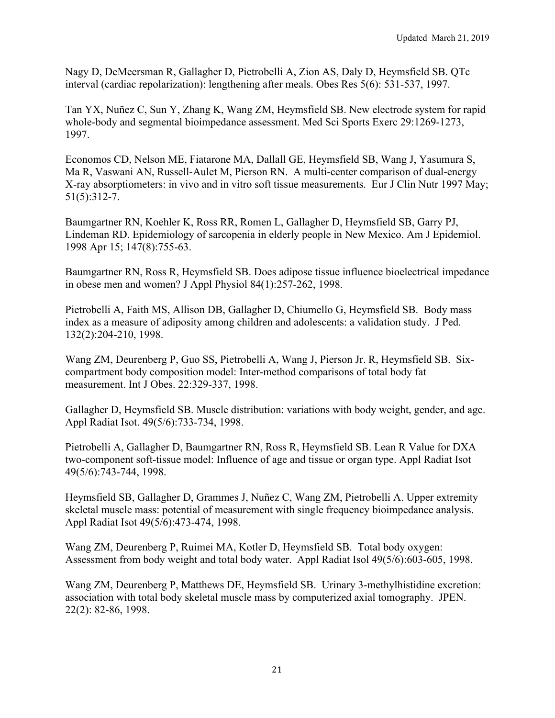Nagy D, DeMeersman R, Gallagher D, Pietrobelli A, Zion AS, Daly D, Heymsfield SB. QTc interval (cardiac repolarization): lengthening after meals. Obes Res 5(6): 531-537, 1997.

Tan YX, Nuñez C, Sun Y, Zhang K, Wang ZM, Heymsfield SB. New electrode system for rapid whole-body and segmental bioimpedance assessment. Med Sci Sports Exerc 29:1269-1273, 1997.

Economos CD, Nelson ME, Fiatarone MA, Dallall GE, Heymsfield SB, Wang J, Yasumura S, Ma R, Vaswani AN, Russell-Aulet M, Pierson RN. A multi-center comparison of dual-energy X-ray absorptiometers: in vivo and in vitro soft tissue measurements. Eur J Clin Nutr 1997 May; 51(5):312-7.

Baumgartner RN, Koehler K, Ross RR, Romen L, Gallagher D, Heymsfield SB, Garry PJ, Lindeman RD. Epidemiology of sarcopenia in elderly people in New Mexico. Am J Epidemiol. 1998 Apr 15; 147(8):755-63.

Baumgartner RN, Ross R, Heymsfield SB. Does adipose tissue influence bioelectrical impedance in obese men and women? J Appl Physiol 84(1):257-262, 1998.

Pietrobelli A, Faith MS, Allison DB, Gallagher D, Chiumello G, Heymsfield SB. Body mass index as a measure of adiposity among children and adolescents: a validation study. J Ped. 132(2):204-210, 1998.

Wang ZM, Deurenberg P, Guo SS, Pietrobelli A, Wang J, Pierson Jr. R, Heymsfield SB. Sixcompartment body composition model: Inter-method comparisons of total body fat measurement. Int J Obes. 22:329-337, 1998.

Gallagher D, Heymsfield SB. Muscle distribution: variations with body weight, gender, and age. Appl Radiat Isot. 49(5/6):733-734, 1998.

Pietrobelli A, Gallagher D, Baumgartner RN, Ross R, Heymsfield SB. Lean R Value for DXA two-component soft-tissue model: Influence of age and tissue or organ type. Appl Radiat Isot 49(5/6):743-744, 1998.

Heymsfield SB, Gallagher D, Grammes J, Nuñez C, Wang ZM, Pietrobelli A. Upper extremity skeletal muscle mass: potential of measurement with single frequency bioimpedance analysis. Appl Radiat Isot 49(5/6):473-474, 1998.

Wang ZM, Deurenberg P, Ruimei MA, Kotler D, Heymsfield SB. Total body oxygen: Assessment from body weight and total body water. Appl Radiat Isol 49(5/6):603-605, 1998.

Wang ZM, Deurenberg P, Matthews DE, Heymsfield SB. Urinary 3-methylhistidine excretion: association with total body skeletal muscle mass by computerized axial tomography. JPEN. 22(2): 82-86, 1998.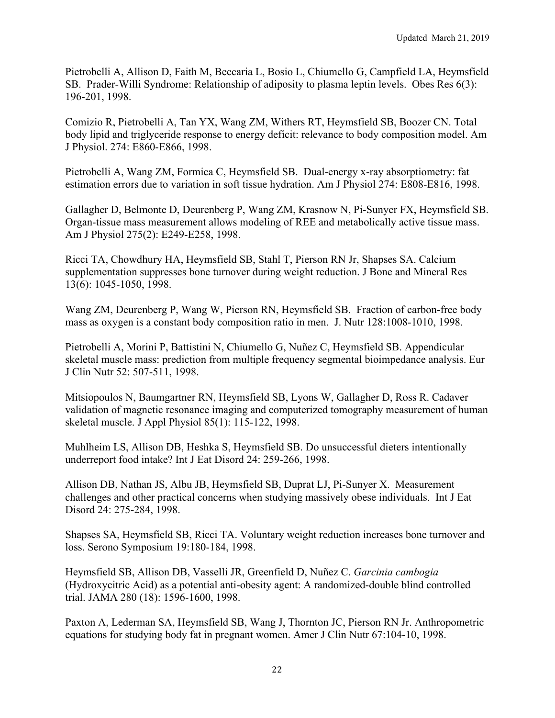Pietrobelli A, Allison D, Faith M, Beccaria L, Bosio L, Chiumello G, Campfield LA, Heymsfield SB. Prader-Willi Syndrome: Relationship of adiposity to plasma leptin levels. Obes Res 6(3): 196-201, 1998.

Comizio R, Pietrobelli A, Tan YX, Wang ZM, Withers RT, Heymsfield SB, Boozer CN. Total body lipid and triglyceride response to energy deficit: relevance to body composition model. Am J Physiol. 274: E860-E866, 1998.

Pietrobelli A, Wang ZM, Formica C, Heymsfield SB. Dual-energy x-ray absorptiometry: fat estimation errors due to variation in soft tissue hydration. Am J Physiol 274: E808-E816, 1998.

Gallagher D, Belmonte D, Deurenberg P, Wang ZM, Krasnow N, Pi-Sunyer FX, Heymsfield SB. Organ-tissue mass measurement allows modeling of REE and metabolically active tissue mass. Am J Physiol 275(2): E249-E258, 1998.

Ricci TA, Chowdhury HA, Heymsfield SB, Stahl T, Pierson RN Jr, Shapses SA. Calcium supplementation suppresses bone turnover during weight reduction. J Bone and Mineral Res 13(6): 1045-1050, 1998.

Wang ZM, Deurenberg P, Wang W, Pierson RN, Heymsfield SB. Fraction of carbon-free body mass as oxygen is a constant body composition ratio in men. J. Nutr 128:1008-1010, 1998.

Pietrobelli A, Morini P, Battistini N, Chiumello G, Nuñez C, Heymsfield SB. Appendicular skeletal muscle mass: prediction from multiple frequency segmental bioimpedance analysis. Eur J Clin Nutr 52: 507-511, 1998.

Mitsiopoulos N, Baumgartner RN, Heymsfield SB, Lyons W, Gallagher D, Ross R. Cadaver validation of magnetic resonance imaging and computerized tomography measurement of human skeletal muscle. J Appl Physiol 85(1): 115-122, 1998.

Muhlheim LS, Allison DB, Heshka S, Heymsfield SB. Do unsuccessful dieters intentionally underreport food intake? Int J Eat Disord 24: 259-266, 1998.

Allison DB, Nathan JS, Albu JB, Heymsfield SB, Duprat LJ, Pi-Sunyer X. Measurement challenges and other practical concerns when studying massively obese individuals. Int J Eat Disord 24: 275-284, 1998.

Shapses SA, Heymsfield SB, Ricci TA. Voluntary weight reduction increases bone turnover and loss. Serono Symposium 19:180-184, 1998.

Heymsfield SB, Allison DB, Vasselli JR, Greenfield D, Nuñez C. *Garcinia cambogia* (Hydroxycitric Acid) as a potential anti-obesity agent: A randomized-double blind controlled trial. JAMA 280 (18): 1596-1600, 1998.

Paxton A, Lederman SA, Heymsfield SB, Wang J, Thornton JC, Pierson RN Jr. Anthropometric equations for studying body fat in pregnant women. Amer J Clin Nutr 67:104-10, 1998.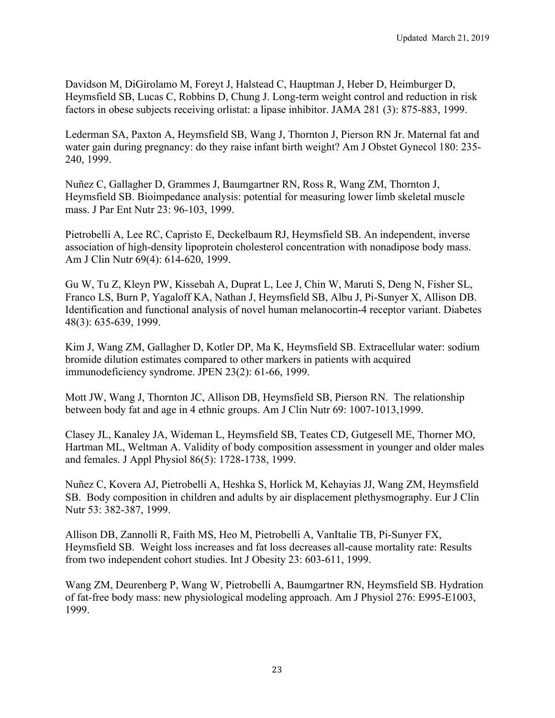Davidson M, DiGirolamo M, Foreyt J, Halstead C, Hauptman J, Heber D, Heimburger D, Heymsfield SB, Lucas C, Robbins D, Chung J. Long-term weight control and reduction in risk factors in obese subjects receiving orlistat: a lipase inhibitor. JAMA 281 (3): 875-883, 1999.

Lederman SA, Paxton A, Heymsfield SB, Wang J, Thornton J, Pierson RN Jr. Maternal fat and water gain during pregnancy: do they raise infant birth weight? Am J Obstet Gynecol 180: 235- 240, 1999.

Nuñez C, Gallagher D, Grammes J, Baumgartner RN, Ross R, Wang ZM, Thornton J, Heymsfield SB. Bioimpedance analysis: potential for measuring lower limb skeletal muscle mass. J Par Ent Nutr 23: 96-103, 1999.

Pietrobelli A, Lee RC, Capristo E, Deckelbaum RJ, Heymsfield SB. An independent, inverse association of high-density lipoprotein cholesterol concentration with nonadipose body mass. Am J Clin Nutr 69(4): 614-620, 1999.

Gu W, Tu Z, Kleyn PW, Kissebah A, Duprat L, Lee J, Chin W, Maruti S, Deng N, Fisher SL, Franco LS, Burn P, Yagaloff KA, Nathan J, Heymsfield SB, Albu J, Pi-Sunyer X, Allison DB. Identification and functional analysis of novel human melanocortin-4 receptor variant. Diabetes 48(3): 635-639, 1999.

Kim J, Wang ZM, Gallagher D, Kotler DP, Ma K, Heymsfield SB. Extracellular water: sodium bromide dilution estimates compared to other markers in patients with acquired immunodeficiency syndrome. JPEN 23(2): 61-66, 1999.

Mott JW, Wang J, Thornton JC, Allison DB, Heymsfield SB, Pierson RN. The relationship between body fat and age in 4 ethnic groups. Am J Clin Nutr 69: 1007-1013,1999.

Clasey JL, Kanaley JA, Wideman L, Heymsfield SB, Teates CD, Gutgesell ME, Thorner MO, Hartman ML, Weltman A. Validity of body composition assessment in younger and older males and females. J Appl Physiol 86(5): 1728-1738, 1999.

Nuñez C, Kovera AJ, Pietrobelli A, Heshka S, Horlick M, Kehayias JJ, Wang ZM, Heymsfield SB. Body composition in children and adults by air displacement plethysmography. Eur J Clin Nutr 53: 382-387, 1999.

Allison DB, Zannolli R, Faith MS, Heo M, Pietrobelli A, VanItalie TB, Pi-Sunyer FX, Heymsfield SB. Weight loss increases and fat loss decreases all-cause mortality rate: Results from two independent cohort studies. Int J Obesity 23: 603-611, 1999.

Wang ZM, Deurenberg P, Wang W, Pietrobelli A, Baumgartner RN, Heymsfield SB. Hydration of fat-free body mass: new physiological modeling approach. Am J Physiol 276: E995-E1003, 1999.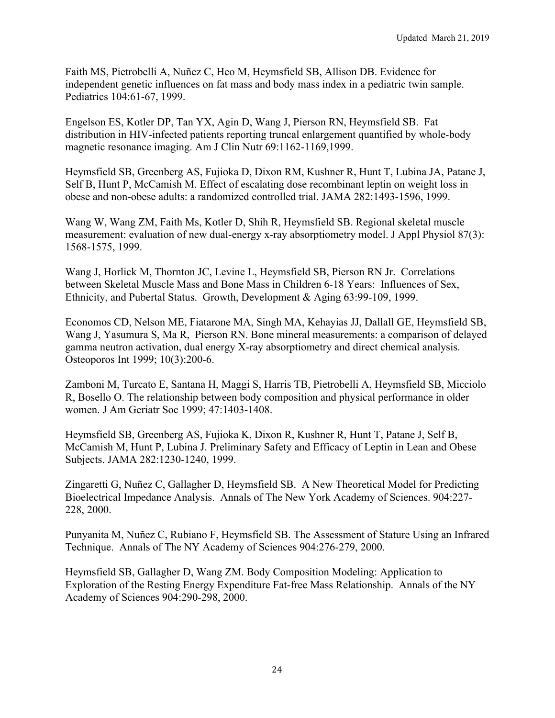Faith MS, Pietrobelli A, Nuñez C, Heo M, Heymsfield SB, Allison DB. Evidence for independent genetic influences on fat mass and body mass index in a pediatric twin sample. Pediatrics 104:61-67, 1999.

Engelson ES, Kotler DP, Tan YX, Agin D, Wang J, Pierson RN, Heymsfield SB. Fat distribution in HIV-infected patients reporting truncal enlargement quantified by whole-body magnetic resonance imaging. Am J Clin Nutr 69:1162-1169,1999.

Heymsfield SB, Greenberg AS, Fujioka D, Dixon RM, Kushner R, Hunt T, Lubina JA, Patane J, Self B, Hunt P, McCamish M. Effect of escalating dose recombinant leptin on weight loss in obese and non-obese adults: a randomized controlled trial. JAMA 282:1493-1596, 1999.

Wang W, Wang ZM, Faith Ms, Kotler D, Shih R, Heymsfield SB. Regional skeletal muscle measurement: evaluation of new dual-energy x-ray absorptiometry model. J Appl Physiol 87(3): 1568-1575, 1999.

Wang J, Horlick M, Thornton JC, Levine L, Heymsfield SB, Pierson RN Jr. Correlations between Skeletal Muscle Mass and Bone Mass in Children 6-18 Years: Influences of Sex, Ethnicity, and Pubertal Status. Growth, Development & Aging 63:99-109, 1999.

Economos CD, Nelson ME, Fiatarone MA, Singh MA, Kehayias JJ, Dallall GE, Heymsfield SB, Wang J, Yasumura S, Ma R, Pierson RN. Bone mineral measurements: a comparison of delayed gamma neutron activation, dual energy X-ray absorptiometry and direct chemical analysis. Osteoporos Int 1999; 10(3):200-6.

Zamboni M, Turcato E, Santana H, Maggi S, Harris TB, Pietrobelli A, Heymsfield SB, Micciolo R, Bosello O. The relationship between body composition and physical performance in older women. J Am Geriatr Soc 1999; 47:1403-1408.

Heymsfield SB, Greenberg AS, Fujioka K, Dixon R, Kushner R, Hunt T, Patane J, Self B, McCamish M, Hunt P, Lubina J. Preliminary Safety and Efficacy of Leptin in Lean and Obese Subjects. JAMA 282:1230-1240, 1999.

Zingaretti G, Nuñez C, Gallagher D, Heymsfield SB. A New Theoretical Model for Predicting Bioelectrical Impedance Analysis. Annals of The New York Academy of Sciences. 904:227- 228, 2000.

Punyanita M, Nuñez C, Rubiano F, Heymsfield SB. The Assessment of Stature Using an Infrared Technique. Annals of The NY Academy of Sciences 904:276-279, 2000.

Heymsfield SB, Gallagher D, Wang ZM. Body Composition Modeling: Application to Exploration of the Resting Energy Expenditure Fat-free Mass Relationship. Annals of the NY Academy of Sciences 904:290-298, 2000.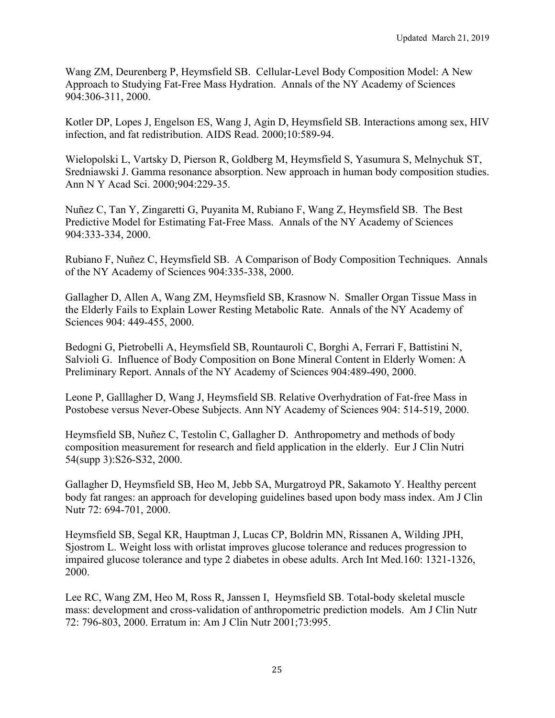Wang ZM, Deurenberg P, Heymsfield SB. Cellular-Level Body Composition Model: A New Approach to Studying Fat-Free Mass Hydration. Annals of the NY Academy of Sciences 904:306-311, 2000.

Kotler DP, Lopes J, Engelson ES, Wang J, Agin D, Heymsfield SB. Interactions among sex, HIV infection, and fat redistribution. AIDS Read. 2000;10:589-94.

Wielopolski L, Vartsky D, Pierson R, Goldberg M, Heymsfield S, Yasumura S, Melnychuk ST, Sredniawski J. Gamma resonance absorption. New approach in human body composition studies. Ann N Y Acad Sci. 2000;904:229-35.

Nuñez C, Tan Y, Zingaretti G, Puyanita M, Rubiano F, Wang Z, Heymsfield SB. The Best Predictive Model for Estimating Fat-Free Mass. Annals of the NY Academy of Sciences 904:333-334, 2000.

Rubiano F, Nuñez C, Heymsfield SB. A Comparison of Body Composition Techniques. Annals of the NY Academy of Sciences 904:335-338, 2000.

Gallagher D, Allen A, Wang ZM, Heymsfield SB, Krasnow N. Smaller Organ Tissue Mass in the Elderly Fails to Explain Lower Resting Metabolic Rate. Annals of the NY Academy of Sciences 904: 449-455, 2000.

Bedogni G, Pietrobelli A, Heymsfield SB, Rountauroli C, Borghi A, Ferrari F, Battistini N, Salvioli G. Influence of Body Composition on Bone Mineral Content in Elderly Women: A Preliminary Report. Annals of the NY Academy of Sciences 904:489-490, 2000.

Leone P, Galllagher D, Wang J, Heymsfield SB. Relative Overhydration of Fat-free Mass in Postobese versus Never-Obese Subjects. Ann NY Academy of Sciences 904: 514-519, 2000.

Heymsfield SB, Nuñez C, Testolin C, Gallagher D. Anthropometry and methods of body composition measurement for research and field application in the elderly. Eur J Clin Nutri 54(supp 3):S26-S32, 2000.

Gallagher D, Heymsfield SB, Heo M, Jebb SA, Murgatroyd PR, Sakamoto Y. Healthy percent body fat ranges: an approach for developing guidelines based upon body mass index. Am J Clin Nutr 72: 694-701, 2000.

Heymsfield SB, Segal KR, Hauptman J, Lucas CP, Boldrin MN, Rissanen A, Wilding JPH, Sjostrom L. Weight loss with orlistat improves glucose tolerance and reduces progression to impaired glucose tolerance and type 2 diabetes in obese adults. Arch Int Med.160: 1321-1326, 2000.

Lee RC, Wang ZM, Heo M, Ross R, Janssen I, Heymsfield SB. Total-body skeletal muscle mass: development and cross-validation of anthropometric prediction models. Am J Clin Nutr 72: 796-803, 2000. Erratum in: Am J Clin Nutr 2001;73:995.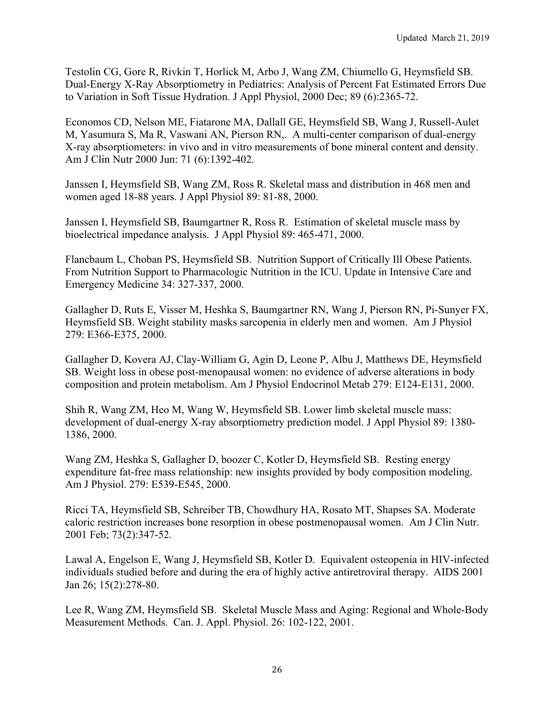Testolin CG, Gore R, Rivkin T, Horlick M, Arbo J, Wang ZM, Chiumello G, Heymsfield SB. Dual-Energy X-Ray Absorptiometry in Pediatrics: Analysis of Percent Fat Estimated Errors Due to Variation in Soft Tissue Hydration. J Appl Physiol, 2000 Dec; 89 (6):2365-72.

Economos CD, Nelson ME, Fiatarone MA, Dallall GE, Heymsfield SB, Wang J, Russell-Aulet M, Yasumura S, Ma R, Vaswani AN, Pierson RN,. A multi-center comparison of dual-energy X-ray absorptiometers: in vivo and in vitro measurements of bone mineral content and density. Am J Clin Nutr 2000 Jun: 71 (6):1392-402.

Janssen I, Heymsfield SB, Wang ZM, Ross R. Skeletal mass and distribution in 468 men and women aged 18-88 years. J Appl Physiol 89: 81-88, 2000.

Janssen I, Heymsfield SB, Baumgartner R, Ross R. Estimation of skeletal muscle mass by bioelectrical impedance analysis. J Appl Physiol 89: 465-471, 2000.

Flancbaum L, Choban PS, Heymsfield SB. Nutrition Support of Critically Ill Obese Patients. From Nutrition Support to Pharmacologic Nutrition in the ICU. Update in Intensive Care and Emergency Medicine 34: 327-337, 2000.

Gallagher D, Ruts E, Visser M, Heshka S, Baumgartner RN, Wang J, Pierson RN, Pi-Sunyer FX, Heymsfield SB. Weight stability masks sarcopenia in elderly men and women. Am J Physiol 279: E366-E375, 2000.

Gallagher D, Kovera AJ, Clay-William G, Agin D, Leone P, Albu J, Matthews DE, Heymsfield SB. Weight loss in obese post-menopausal women: no evidence of adverse alterations in body composition and protein metabolism. Am J Physiol Endocrinol Metab 279: E124-E131, 2000.

Shih R, Wang ZM, Heo M, Wang W, Heymsfield SB. Lower limb skeletal muscle mass: development of dual-energy X-ray absorptiometry prediction model. J Appl Physiol 89: 1380- 1386, 2000.

Wang ZM, Heshka S, Gallagher D, boozer C, Kotler D, Heymsfield SB. Resting energy expenditure fat-free mass relationship: new insights provided by body composition modeling. Am J Physiol. 279: E539-E545, 2000.

Ricci TA, Heymsfield SB, Schreiber TB, Chowdhury HA, Rosato MT, Shapses SA. Moderate caloric restriction increases bone resorption in obese postmenopausal women. Am J Clin Nutr. 2001 Feb; 73(2):347-52.

Lawal A, Engelson E, Wang J, Heymsfield SB, Kotler D. Equivalent osteopenia in HIV-infected individuals studied before and during the era of highly active antiretroviral therapy. AIDS 2001 Jan 26; 15(2):278-80.

Lee R, Wang ZM, Heymsfield SB. Skeletal Muscle Mass and Aging: Regional and Whole-Body Measurement Methods. Can. J. Appl. Physiol. 26: 102-122, 2001.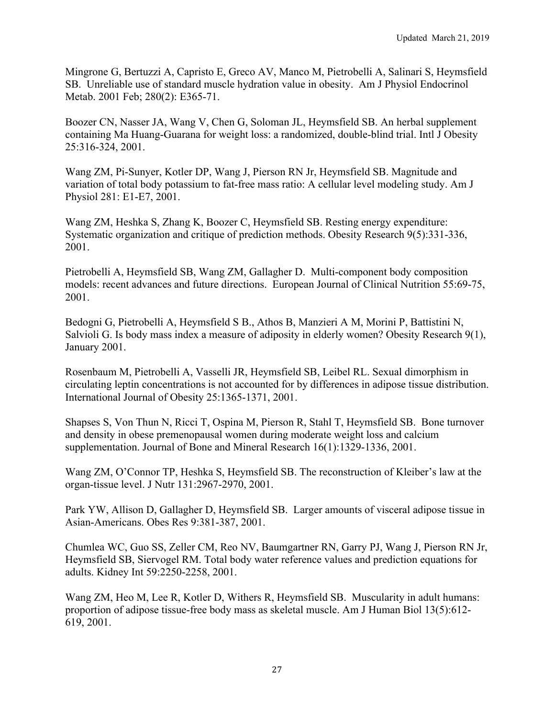Mingrone G, Bertuzzi A, Capristo E, Greco AV, Manco M, Pietrobelli A, Salinari S, Heymsfield SB. Unreliable use of standard muscle hydration value in obesity. Am J Physiol Endocrinol Metab. 2001 Feb; 280(2): E365-71.

Boozer CN, Nasser JA, Wang V, Chen G, Soloman JL, Heymsfield SB. An herbal supplement containing Ma Huang-Guarana for weight loss: a randomized, double-blind trial. Intl J Obesity 25:316-324, 2001.

Wang ZM, Pi-Sunyer, Kotler DP, Wang J, Pierson RN Jr, Heymsfield SB. Magnitude and variation of total body potassium to fat-free mass ratio: A cellular level modeling study. Am J Physiol 281: E1-E7, 2001.

Wang ZM, Heshka S, Zhang K, Boozer C, Heymsfield SB. Resting energy expenditure: Systematic organization and critique of prediction methods. Obesity Research 9(5):331-336, 2001.

Pietrobelli A, Heymsfield SB, Wang ZM, Gallagher D. Multi-component body composition models: recent advances and future directions. European Journal of Clinical Nutrition 55:69-75, 2001.

Bedogni G, Pietrobelli A, Heymsfield S B., Athos B, Manzieri A M, Morini P, Battistini N, Salvioli G. Is body mass index a measure of adiposity in elderly women? Obesity Research 9(1), January 2001.

Rosenbaum M, Pietrobelli A, Vasselli JR, Heymsfield SB, Leibel RL. Sexual dimorphism in circulating leptin concentrations is not accounted for by differences in adipose tissue distribution. International Journal of Obesity 25:1365-1371, 2001.

Shapses S, Von Thun N, Ricci T, Ospina M, Pierson R, Stahl T, Heymsfield SB. Bone turnover and density in obese premenopausal women during moderate weight loss and calcium supplementation. Journal of Bone and Mineral Research 16(1):1329-1336, 2001.

Wang ZM, O'Connor TP, Heshka S, Heymsfield SB. The reconstruction of Kleiber's law at the organ-tissue level. J Nutr 131:2967-2970, 2001.

Park YW, Allison D, Gallagher D, Heymsfield SB. Larger amounts of visceral adipose tissue in Asian-Americans. Obes Res 9:381-387, 2001.

Chumlea WC, Guo SS, Zeller CM, Reo NV, Baumgartner RN, Garry PJ, Wang J, Pierson RN Jr, Heymsfield SB, Siervogel RM. Total body water reference values and prediction equations for adults. Kidney Int 59:2250-2258, 2001.

Wang ZM, Heo M, Lee R, Kotler D, Withers R, Heymsfield SB. Muscularity in adult humans: proportion of adipose tissue-free body mass as skeletal muscle. Am J Human Biol 13(5):612- 619, 2001.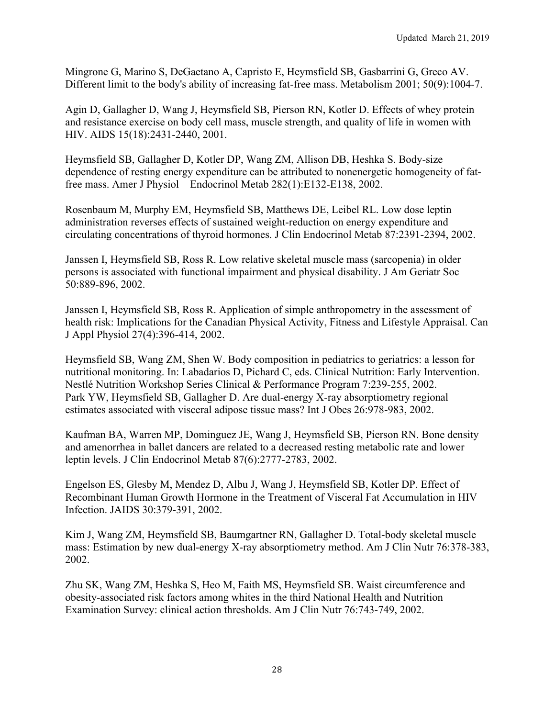Mingrone G, Marino S, DeGaetano A, Capristo E, Heymsfield SB, Gasbarrini G, Greco AV. Different limit to the body's ability of increasing fat-free mass. Metabolism 2001; 50(9):1004-7.

Agin D, Gallagher D, Wang J, Heymsfield SB, Pierson RN, Kotler D. Effects of whey protein and resistance exercise on body cell mass, muscle strength, and quality of life in women with HIV. AIDS 15(18):2431-2440, 2001.

Heymsfield SB, Gallagher D, Kotler DP, Wang ZM, Allison DB, Heshka S. Body-size dependence of resting energy expenditure can be attributed to nonenergetic homogeneity of fatfree mass. Amer J Physiol – Endocrinol Metab 282(1):E132-E138, 2002.

Rosenbaum M, Murphy EM, Heymsfield SB, Matthews DE, Leibel RL. Low dose leptin administration reverses effects of sustained weight-reduction on energy expenditure and circulating concentrations of thyroid hormones. J Clin Endocrinol Metab 87:2391-2394, 2002.

Janssen I, Heymsfield SB, Ross R. Low relative skeletal muscle mass (sarcopenia) in older persons is associated with functional impairment and physical disability. J Am Geriatr Soc 50:889-896, 2002.

Janssen I, Heymsfield SB, Ross R. Application of simple anthropometry in the assessment of health risk: Implications for the Canadian Physical Activity, Fitness and Lifestyle Appraisal. Can J Appl Physiol 27(4):396-414, 2002.

Heymsfield SB, Wang ZM, Shen W. Body composition in pediatrics to geriatrics: a lesson for nutritional monitoring. In: Labadarios D, Pichard C, eds. Clinical Nutrition: Early Intervention. Nestlé Nutrition Workshop Series Clinical & Performance Program 7:239-255, 2002. Park YW, Heymsfield SB, Gallagher D. Are dual-energy X-ray absorptiometry regional estimates associated with visceral adipose tissue mass? Int J Obes 26:978-983, 2002.

Kaufman BA, Warren MP, Dominguez JE, Wang J, Heymsfield SB, Pierson RN. Bone density and amenorrhea in ballet dancers are related to a decreased resting metabolic rate and lower leptin levels. J Clin Endocrinol Metab 87(6):2777-2783, 2002.

Engelson ES, Glesby M, Mendez D, Albu J, Wang J, Heymsfield SB, Kotler DP. Effect of Recombinant Human Growth Hormone in the Treatment of Visceral Fat Accumulation in HIV Infection. JAIDS 30:379-391, 2002.

Kim J, Wang ZM, Heymsfield SB, Baumgartner RN, Gallagher D. Total-body skeletal muscle mass: Estimation by new dual-energy X-ray absorptiometry method. Am J Clin Nutr 76:378-383, 2002.

Zhu SK, Wang ZM, Heshka S, Heo M, Faith MS, Heymsfield SB. Waist circumference and obesity-associated risk factors among whites in the third National Health and Nutrition Examination Survey: clinical action thresholds. Am J Clin Nutr 76:743-749, 2002.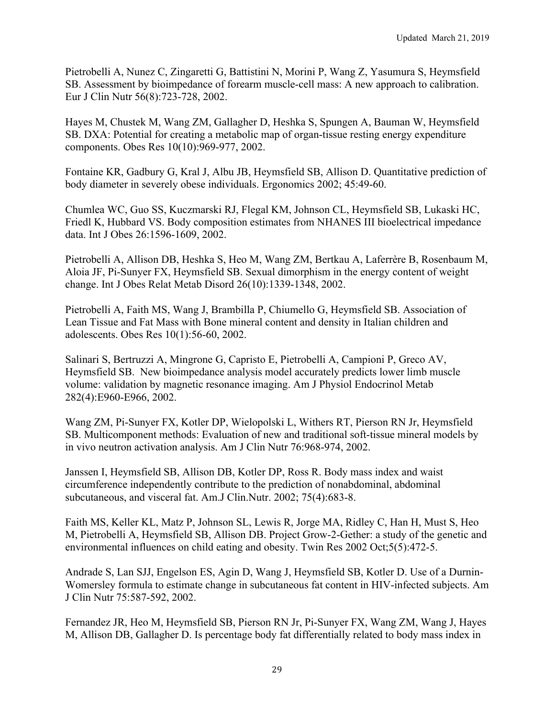Pietrobelli A, Nunez C, Zingaretti G, Battistini N, Morini P, Wang Z, Yasumura S, Heymsfield SB. Assessment by bioimpedance of forearm muscle-cell mass: A new approach to calibration. Eur J Clin Nutr 56(8):723-728, 2002.

Hayes M, Chustek M, Wang ZM, Gallagher D, Heshka S, Spungen A, Bauman W, Heymsfield SB. DXA: Potential for creating a metabolic map of organ-tissue resting energy expenditure components. Obes Res 10(10):969-977, 2002.

Fontaine KR, Gadbury G, Kral J, Albu JB, Heymsfield SB, Allison D. Quantitative prediction of body diameter in severely obese individuals. Ergonomics 2002; 45:49-60.

Chumlea WC, Guo SS, Kuczmarski RJ, Flegal KM, Johnson CL, Heymsfield SB, Lukaski HC, Friedl K, Hubbard VS. Body composition estimates from NHANES III bioelectrical impedance data. Int J Obes 26:1596-1609, 2002.

Pietrobelli A, Allison DB, Heshka S, Heo M, Wang ZM, Bertkau A, Laferrère B, Rosenbaum M, Aloia JF, Pi-Sunyer FX, Heymsfield SB. Sexual dimorphism in the energy content of weight change. Int J Obes Relat Metab Disord 26(10):1339-1348, 2002.

Pietrobelli A, Faith MS, Wang J, Brambilla P, Chiumello G, Heymsfield SB. Association of Lean Tissue and Fat Mass with Bone mineral content and density in Italian children and adolescents. Obes Res 10(1):56-60, 2002.

Salinari S, Bertruzzi A, Mingrone G, Capristo E, Pietrobelli A, Campioni P, Greco AV, Heymsfield SB. New bioimpedance analysis model accurately predicts lower limb muscle volume: validation by magnetic resonance imaging. Am J Physiol Endocrinol Metab 282(4):E960-E966, 2002.

Wang ZM, Pi-Sunyer FX, Kotler DP, Wielopolski L, Withers RT, Pierson RN Jr, Heymsfield SB. Multicomponent methods: Evaluation of new and traditional soft-tissue mineral models by in vivo neutron activation analysis. Am J Clin Nutr 76:968-974, 2002.

Janssen I, Heymsfield SB, Allison DB, Kotler DP, Ross R. Body mass index and waist circumference independently contribute to the prediction of nonabdominal, abdominal subcutaneous, and visceral fat. Am.J Clin.Nutr. 2002; 75(4):683-8.

Faith MS, Keller KL, Matz P, Johnson SL, Lewis R, Jorge MA, Ridley C, Han H, Must S, Heo M, Pietrobelli A, Heymsfield SB, Allison DB. Project Grow-2-Gether: a study of the genetic and environmental influences on child eating and obesity. Twin Res 2002 Oct;5(5):472-5.

Andrade S, Lan SJJ, Engelson ES, Agin D, Wang J, Heymsfield SB, Kotler D. Use of a Durnin-Womersley formula to estimate change in subcutaneous fat content in HIV-infected subjects. Am J Clin Nutr 75:587-592, 2002.

Fernandez JR, Heo M, Heymsfield SB, Pierson RN Jr, Pi-Sunyer FX, Wang ZM, Wang J, Hayes M, Allison DB, Gallagher D. Is percentage body fat differentially related to body mass index in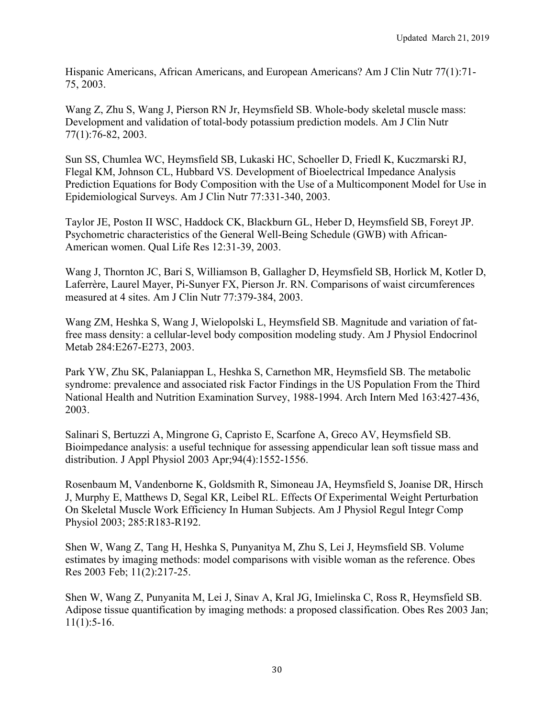Hispanic Americans, African Americans, and European Americans? Am J Clin Nutr 77(1):71- 75, 2003.

Wang Z, Zhu S, Wang J, Pierson RN Jr, Heymsfield SB. Whole-body skeletal muscle mass: Development and validation of total-body potassium prediction models. Am J Clin Nutr 77(1):76-82, 2003.

Sun SS, Chumlea WC, Heymsfield SB, Lukaski HC, Schoeller D, Friedl K, Kuczmarski RJ, Flegal KM, Johnson CL, Hubbard VS. Development of Bioelectrical Impedance Analysis Prediction Equations for Body Composition with the Use of a Multicomponent Model for Use in Epidemiological Surveys. Am J Clin Nutr 77:331-340, 2003.

Taylor JE, Poston II WSC, Haddock CK, Blackburn GL, Heber D, Heymsfield SB, Foreyt JP. Psychometric characteristics of the General Well-Being Schedule (GWB) with African-American women. Qual Life Res 12:31-39, 2003.

Wang J, Thornton JC, Bari S, Williamson B, Gallagher D, Heymsfield SB, Horlick M, Kotler D, Laferrère, Laurel Mayer, Pi-Sunyer FX, Pierson Jr. RN. Comparisons of waist circumferences measured at 4 sites. Am J Clin Nutr 77:379-384, 2003.

Wang ZM, Heshka S, Wang J, Wielopolski L, Heymsfield SB. Magnitude and variation of fatfree mass density: a cellular-level body composition modeling study. Am J Physiol Endocrinol Metab 284:E267-E273, 2003.

Park YW, Zhu SK, Palaniappan L, Heshka S, Carnethon MR, Heymsfield SB. The metabolic syndrome: prevalence and associated risk Factor Findings in the US Population From the Third National Health and Nutrition Examination Survey, 1988-1994. Arch Intern Med 163:427-436, 2003.

Salinari S, Bertuzzi A, Mingrone G, Capristo E, Scarfone A, Greco AV, Heymsfield SB. Bioimpedance analysis: a useful technique for assessing appendicular lean soft tissue mass and distribution. J Appl Physiol 2003 Apr;94(4):1552-1556.

Rosenbaum M, Vandenborne K, Goldsmith R, Simoneau JA, Heymsfield S, Joanise DR, Hirsch J, Murphy E, Matthews D, Segal KR, Leibel RL. Effects Of Experimental Weight Perturbation On Skeletal Muscle Work Efficiency In Human Subjects. Am J Physiol Regul Integr Comp Physiol 2003; 285:R183-R192.

Shen W, Wang Z, Tang H, Heshka S, Punyanitya M, Zhu S, Lei J, Heymsfield SB. Volume estimates by imaging methods: model comparisons with visible woman as the reference. Obes Res 2003 Feb; 11(2):217-25.

Shen W, Wang Z, Punyanita M, Lei J, Sinav A, Kral JG, Imielinska C, Ross R, Heymsfield SB. Adipose tissue quantification by imaging methods: a proposed classification. Obes Res 2003 Jan;  $11(1):5-16.$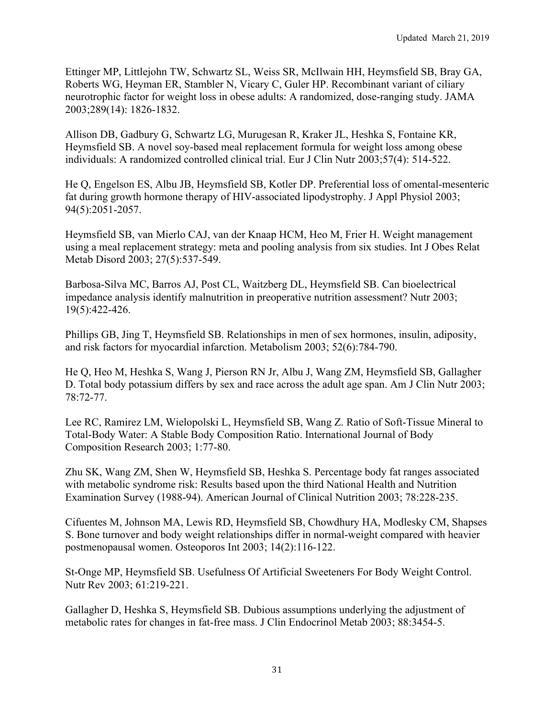Ettinger MP, Littlejohn TW, Schwartz SL, Weiss SR, McIlwain HH, Heymsfield SB, Bray GA, Roberts WG, Heyman ER, Stambler N, Vicary C, Guler HP. Recombinant variant of ciliary neurotrophic factor for weight loss in obese adults: A randomized, dose-ranging study. JAMA 2003;289(14): 1826-1832.

Allison DB, Gadbury G, Schwartz LG, Murugesan R, Kraker JL, Heshka S, Fontaine KR, Heymsfield SB. A novel soy-based meal replacement formula for weight loss among obese individuals: A randomized controlled clinical trial. Eur J Clin Nutr 2003;57(4): 514-522.

He Q, Engelson ES, Albu JB, Heymsfield SB, Kotler DP. Preferential loss of omental-mesenteric fat during growth hormone therapy of HIV-associated lipodystrophy. J Appl Physiol 2003; 94(5):2051-2057.

Heymsfield SB, van Mierlo CAJ, van der Knaap HCM, Heo M, Frier H. Weight management using a meal replacement strategy: meta and pooling analysis from six studies. Int J Obes Relat Metab Disord 2003; 27(5):537-549.

Barbosa-Silva MC, Barros AJ, Post CL, Waitzberg DL, Heymsfield SB. Can bioelectrical impedance analysis identify malnutrition in preoperative nutrition assessment? Nutr 2003; 19(5):422-426.

Phillips GB, Jing T, Heymsfield SB. Relationships in men of sex hormones, insulin, adiposity, and risk factors for myocardial infarction. Metabolism 2003; 52(6):784-790.

He Q, Heo M, Heshka S, Wang J, Pierson RN Jr, Albu J, Wang ZM, Heymsfield SB, Gallagher D. Total body potassium differs by sex and race across the adult age span. Am J Clin Nutr 2003; 78:72-77.

Lee RC, Ramirez LM, Wielopolski L, Heymsfield SB, Wang Z. Ratio of Soft-Tissue Mineral to Total-Body Water: A Stable Body Composition Ratio. International Journal of Body Composition Research 2003; 1:77-80.

Zhu SK, Wang ZM, Shen W, Heymsfield SB, Heshka S. Percentage body fat ranges associated with metabolic syndrome risk: Results based upon the third National Health and Nutrition Examination Survey (1988-94). American Journal of Clinical Nutrition 2003; 78:228-235.

Cifuentes M, Johnson MA, Lewis RD, Heymsfield SB, Chowdhury HA, Modlesky CM, Shapses S. Bone turnover and body weight relationships differ in normal-weight compared with heavier postmenopausal women. Osteoporos Int 2003; 14(2):116-122.

St-Onge MP, Heymsfield SB. Usefulness Of Artificial Sweeteners For Body Weight Control. Nutr Rev 2003; 61:219-221.

Gallagher D, Heshka S, Heymsfield SB. Dubious assumptions underlying the adjustment of metabolic rates for changes in fat-free mass. J Clin Endocrinol Metab 2003; 88:3454-5.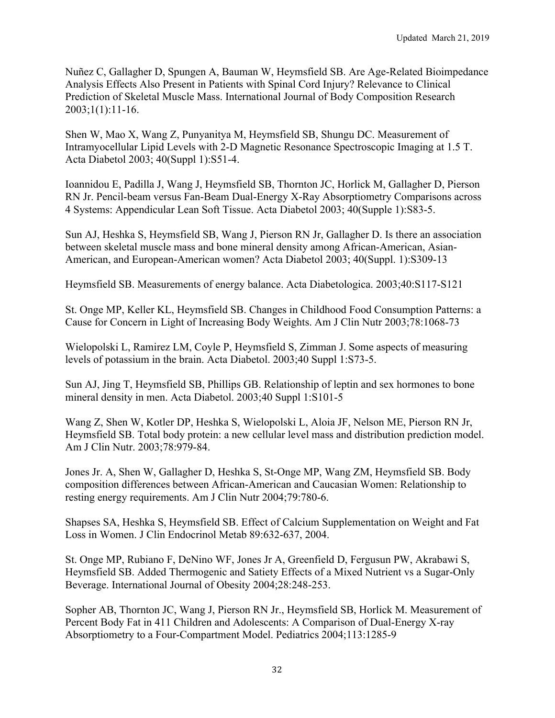Nuñez C, Gallagher D, Spungen A, Bauman W, Heymsfield SB. Are Age-Related Bioimpedance Analysis Effects Also Present in Patients with Spinal Cord Injury? Relevance to Clinical Prediction of Skeletal Muscle Mass. International Journal of Body Composition Research 2003;1(1):11-16.

Shen W, Mao X, Wang Z, Punyanitya M, Heymsfield SB, Shungu DC. Measurement of Intramyocellular Lipid Levels with 2-D Magnetic Resonance Spectroscopic Imaging at 1.5 T. Acta Diabetol 2003; 40(Suppl 1):S51-4.

Ioannidou E, Padilla J, Wang J, Heymsfield SB, Thornton JC, Horlick M, Gallagher D, Pierson RN Jr. Pencil-beam versus Fan-Beam Dual-Energy X-Ray Absorptiometry Comparisons across 4 Systems: Appendicular Lean Soft Tissue. Acta Diabetol 2003; 40(Supple 1):S83-5.

Sun AJ, Heshka S, Heymsfield SB, Wang J, Pierson RN Jr, Gallagher D. Is there an association between skeletal muscle mass and bone mineral density among African-American, Asian-American, and European-American women? Acta Diabetol 2003; 40(Suppl. 1):S309-13

Heymsfield SB. Measurements of energy balance. Acta Diabetologica. 2003;40:S117-S121

St. Onge MP, Keller KL, Heymsfield SB. Changes in Childhood Food Consumption Patterns: a Cause for Concern in Light of Increasing Body Weights. Am J Clin Nutr 2003;78:1068-73

Wielopolski L, Ramirez LM, Coyle P, Heymsfield S, Zimman J. Some aspects of measuring levels of potassium in the brain. Acta Diabetol. 2003;40 Suppl 1:S73-5.

Sun AJ, Jing T, Heymsfield SB, Phillips GB. Relationship of leptin and sex hormones to bone mineral density in men. Acta Diabetol. 2003;40 Suppl 1:S101-5

Wang Z, Shen W, Kotler DP, Heshka S, Wielopolski L, Aloia JF, Nelson ME, Pierson RN Jr, Heymsfield SB. Total body protein: a new cellular level mass and distribution prediction model. Am J Clin Nutr. 2003;78:979-84.

Jones Jr. A, Shen W, Gallagher D, Heshka S, St-Onge MP, Wang ZM, Heymsfield SB. Body composition differences between African-American and Caucasian Women: Relationship to resting energy requirements. Am J Clin Nutr 2004;79:780-6.

Shapses SA, Heshka S, Heymsfield SB. Effect of Calcium Supplementation on Weight and Fat Loss in Women. J Clin Endocrinol Metab 89:632-637, 2004.

St. Onge MP, Rubiano F, DeNino WF, Jones Jr A, Greenfield D, Fergusun PW, Akrabawi S, Heymsfield SB. Added Thermogenic and Satiety Effects of a Mixed Nutrient vs a Sugar-Only Beverage. International Journal of Obesity 2004;28:248-253.

Sopher AB, Thornton JC, Wang J, Pierson RN Jr., Heymsfield SB, Horlick M. Measurement of Percent Body Fat in 411 Children and Adolescents: A Comparison of Dual-Energy X-ray Absorptiometry to a Four-Compartment Model. Pediatrics 2004;113:1285-9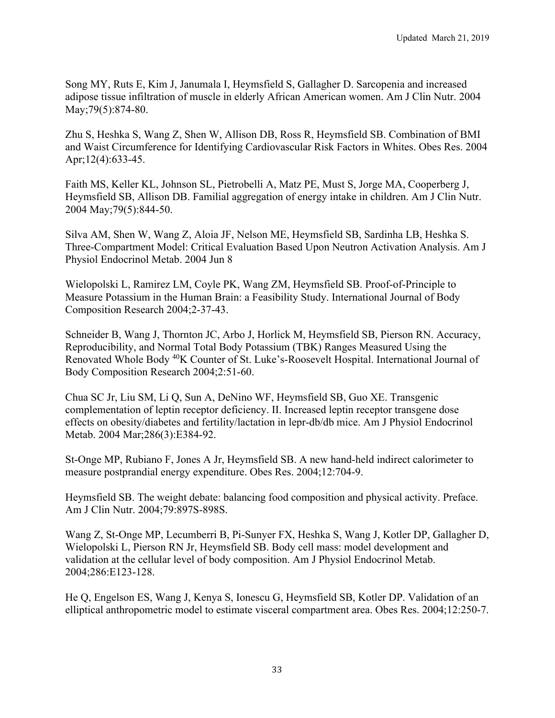Song MY, Ruts E, Kim J, Janumala I, Heymsfield S, Gallagher D. Sarcopenia and increased adipose tissue infiltration of muscle in elderly African American women. Am J Clin Nutr. 2004 May; 79(5): 874-80.

Zhu S, Heshka S, Wang Z, Shen W, Allison DB, Ross R, Heymsfield SB. Combination of BMI and Waist Circumference for Identifying Cardiovascular Risk Factors in Whites. Obes Res. 2004 Apr;12(4):633-45.

Faith MS, Keller KL, Johnson SL, Pietrobelli A, Matz PE, Must S, Jorge MA, Cooperberg J, Heymsfield SB, Allison DB. Familial aggregation of energy intake in children. Am J Clin Nutr. 2004 May;79(5):844-50.

Silva AM, Shen W, Wang Z, Aloia JF, Nelson ME, Heymsfield SB, Sardinha LB, Heshka S. Three-Compartment Model: Critical Evaluation Based Upon Neutron Activation Analysis. Am J Physiol Endocrinol Metab. 2004 Jun 8

Wielopolski L, Ramirez LM, Coyle PK, Wang ZM, Heymsfield SB. Proof-of-Principle to Measure Potassium in the Human Brain: a Feasibility Study. International Journal of Body Composition Research 2004;2-37-43.

Schneider B, Wang J, Thornton JC, Arbo J, Horlick M, Heymsfield SB, Pierson RN. Accuracy, Reproducibility, and Normal Total Body Potassium (TBK) Ranges Measured Using the Renovated Whole Body 40K Counter of St. Luke's-Roosevelt Hospital. International Journal of Body Composition Research 2004;2:51-60.

Chua SC Jr, Liu SM, Li Q, Sun A, DeNino WF, Heymsfield SB, Guo XE. Transgenic complementation of leptin receptor deficiency. II. Increased leptin receptor transgene dose effects on obesity/diabetes and fertility/lactation in lepr-db/db mice. Am J Physiol Endocrinol Metab. 2004 Mar;286(3):E384-92.

St-Onge MP, Rubiano F, Jones A Jr, Heymsfield SB. A new hand-held indirect calorimeter to measure postprandial energy expenditure. Obes Res. 2004;12:704-9.

Heymsfield SB. The weight debate: balancing food composition and physical activity. Preface. Am J Clin Nutr. 2004;79:897S-898S.

Wang Z, St-Onge MP, Lecumberri B, Pi-Sunyer FX, Heshka S, Wang J, Kotler DP, Gallagher D, Wielopolski L, Pierson RN Jr, Heymsfield SB. Body cell mass: model development and validation at the cellular level of body composition. Am J Physiol Endocrinol Metab. 2004;286:E123-128.

He Q, Engelson ES, Wang J, Kenya S, Ionescu G, Heymsfield SB, Kotler DP. Validation of an elliptical anthropometric model to estimate visceral compartment area. Obes Res. 2004;12:250-7.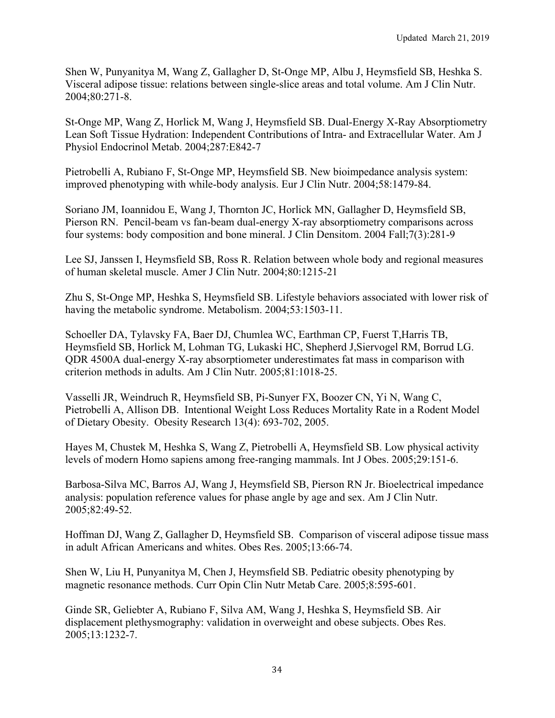Shen W, Punyanitya M, Wang Z, Gallagher D, St-Onge MP, Albu J, Heymsfield SB, Heshka S. Visceral adipose tissue: relations between single-slice areas and total volume. Am J Clin Nutr. 2004;80:271-8.

St-Onge MP, Wang Z, Horlick M, Wang J, Heymsfield SB. Dual-Energy X-Ray Absorptiometry Lean Soft Tissue Hydration: Independent Contributions of Intra- and Extracellular Water. Am J Physiol Endocrinol Metab. 2004;287:E842-7

Pietrobelli A, Rubiano F, St-Onge MP, Heymsfield SB. New bioimpedance analysis system: improved phenotyping with while-body analysis. Eur J Clin Nutr. 2004;58:1479-84.

Soriano JM, Ioannidou E, Wang J, Thornton JC, Horlick MN, Gallagher D, Heymsfield SB, Pierson RN. Pencil-beam vs fan-beam dual-energy X-ray absorptiometry comparisons across four systems: body composition and bone mineral. J Clin Densitom. 2004 Fall;7(3):281-9

Lee SJ, Janssen I, Heymsfield SB, Ross R. Relation between whole body and regional measures of human skeletal muscle. Amer J Clin Nutr. 2004;80:1215-21

Zhu S, St-Onge MP, Heshka S, Heymsfield SB. Lifestyle behaviors associated with lower risk of having the metabolic syndrome. Metabolism. 2004;53:1503-11.

Schoeller DA, Tylavsky FA, Baer DJ, Chumlea WC, Earthman CP, Fuerst T,Harris TB, Heymsfield SB, Horlick M, Lohman TG, Lukaski HC, Shepherd J,Siervogel RM, Borrud LG. QDR 4500A dual-energy X-ray absorptiometer underestimates fat mass in comparison with criterion methods in adults. Am J Clin Nutr. 2005;81:1018-25.

Vasselli JR, Weindruch R, Heymsfield SB, Pi-Sunyer FX, Boozer CN, Yi N, Wang C, Pietrobelli A, Allison DB. Intentional Weight Loss Reduces Mortality Rate in a Rodent Model of Dietary Obesity. Obesity Research 13(4): 693-702, 2005.

Hayes M, Chustek M, Heshka S, Wang Z, Pietrobelli A, Heymsfield SB. Low physical activity levels of modern Homo sapiens among free-ranging mammals. Int J Obes. 2005;29:151-6.

Barbosa-Silva MC, Barros AJ, Wang J, Heymsfield SB, Pierson RN Jr. Bioelectrical impedance analysis: population reference values for phase angle by age and sex. Am J Clin Nutr. 2005;82:49-52.

Hoffman DJ, Wang Z, Gallagher D, Heymsfield SB. Comparison of visceral adipose tissue mass in adult African Americans and whites. Obes Res. 2005;13:66-74.

Shen W, Liu H, Punyanitya M, Chen J, Heymsfield SB. Pediatric obesity phenotyping by magnetic resonance methods. Curr Opin Clin Nutr Metab Care. 2005;8:595-601.

Ginde SR, Geliebter A, Rubiano F, Silva AM, Wang J, Heshka S, Heymsfield SB. Air displacement plethysmography: validation in overweight and obese subjects. Obes Res. 2005;13:1232-7.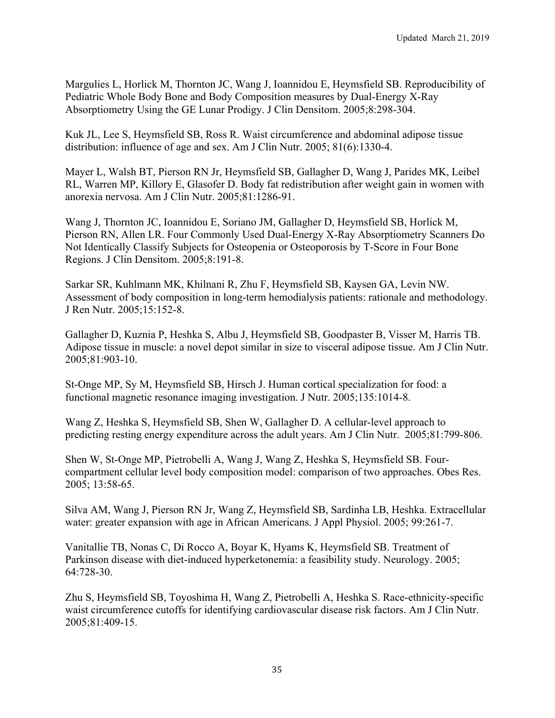Margulies L, Horlick M, Thornton JC, Wang J, Ioannidou E, Heymsfield SB. Reproducibility of Pediatric Whole Body Bone and Body Composition measures by Dual-Energy X-Ray Absorptiometry Using the GE Lunar Prodigy. J Clin Densitom. 2005;8:298-304.

Kuk JL, Lee S, Heymsfield SB, Ross R. Waist circumference and abdominal adipose tissue distribution: influence of age and sex. Am J Clin Nutr. 2005; 81(6):1330-4.

Mayer L, Walsh BT, Pierson RN Jr, Heymsfield SB, Gallagher D, Wang J, Parides MK, Leibel RL, Warren MP, Killory E, Glasofer D. Body fat redistribution after weight gain in women with anorexia nervosa. Am J Clin Nutr. 2005;81:1286-91.

Wang J, Thornton JC, Ioannidou E, Soriano JM, Gallagher D, Heymsfield SB, Horlick M, Pierson RN, Allen LR. Four Commonly Used Dual-Energy X-Ray Absorptiometry Scanners Do Not Identically Classify Subjects for Osteopenia or Osteoporosis by T-Score in Four Bone Regions. J Clin Densitom. 2005;8:191-8.

Sarkar SR, Kuhlmann MK, Khilnani R, Zhu F, Heymsfield SB, Kaysen GA, Levin NW. Assessment of body composition in long-term hemodialysis patients: rationale and methodology. J Ren Nutr. 2005;15:152-8.

Gallagher D, Kuznia P, Heshka S, Albu J, Heymsfield SB, Goodpaster B, Visser M, Harris TB. Adipose tissue in muscle: a novel depot similar in size to visceral adipose tissue. Am J Clin Nutr. 2005;81:903-10.

St-Onge MP, Sy M, Heymsfield SB, Hirsch J. Human cortical specialization for food: a functional magnetic resonance imaging investigation. J Nutr. 2005;135:1014-8.

Wang Z, Heshka S, Heymsfield SB, Shen W, Gallagher D. A cellular-level approach to predicting resting energy expenditure across the adult years. Am J Clin Nutr. 2005;81:799-806.

Shen W, St-Onge MP, Pietrobelli A, Wang J, Wang Z, Heshka S, Heymsfield SB. Fourcompartment cellular level body composition model: comparison of two approaches. Obes Res. 2005; 13:58-65.

Silva AM, Wang J, Pierson RN Jr, Wang Z, Heymsfield SB, Sardinha LB, Heshka. Extracellular water: greater expansion with age in African Americans. J Appl Physiol. 2005; 99:261-7.

Vanitallie TB, Nonas C, Di Rocco A, Boyar K, Hyams K, Heymsfield SB. Treatment of Parkinson disease with diet-induced hyperketonemia: a feasibility study. Neurology. 2005; 64:728-30.

Zhu S, Heymsfield SB, Toyoshima H, Wang Z, Pietrobelli A, Heshka S. Race-ethnicity-specific waist circumference cutoffs for identifying cardiovascular disease risk factors. Am J Clin Nutr. 2005;81:409-15.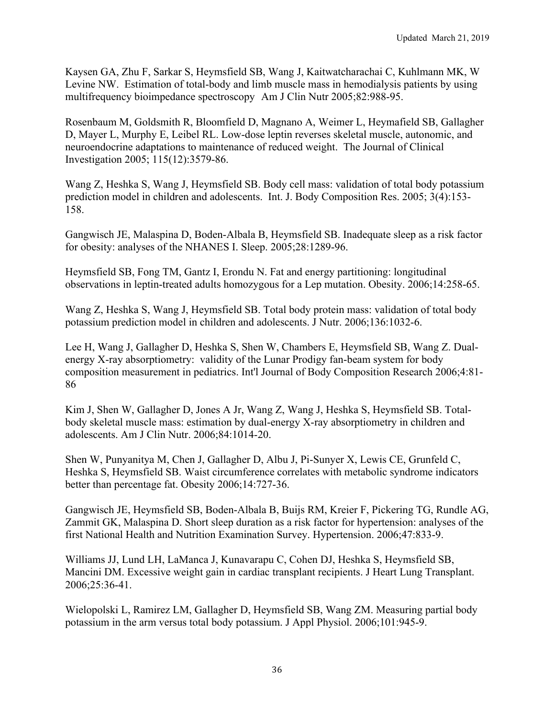Kaysen GA, Zhu F, Sarkar S, Heymsfield SB, Wang J, Kaitwatcharachai C, Kuhlmann MK, W Levine NW. Estimation of total-body and limb muscle mass in hemodialysis patients by using multifrequency bioimpedance spectroscopy Am J Clin Nutr 2005;82:988-95.

Rosenbaum M, Goldsmith R, Bloomfield D, Magnano A, Weimer L, Heymafield SB, Gallagher D, Mayer L, Murphy E, Leibel RL. Low-dose leptin reverses skeletal muscle, autonomic, and neuroendocrine adaptations to maintenance of reduced weight. The Journal of Clinical Investigation 2005; 115(12):3579-86.

Wang Z, Heshka S, Wang J, Heymsfield SB. Body cell mass: validation of total body potassium prediction model in children and adolescents. Int. J. Body Composition Res. 2005; 3(4):153- 158.

Gangwisch JE, Malaspina D, Boden-Albala B, Heymsfield SB. Inadequate sleep as a risk factor for obesity: analyses of the NHANES I. Sleep. 2005;28:1289-96.

Heymsfield SB, Fong TM, Gantz I, Erondu N. Fat and energy partitioning: longitudinal observations in leptin-treated adults homozygous for a Lep mutation. Obesity. 2006;14:258-65.

Wang Z, Heshka S, Wang J, Heymsfield SB. Total body protein mass: validation of total body potassium prediction model in children and adolescents. J Nutr. 2006;136:1032-6.

Lee H, Wang J, Gallagher D, Heshka S, Shen W, Chambers E, Heymsfield SB, Wang Z. Dualenergy X-ray absorptiometry: validity of the Lunar Prodigy fan-beam system for body composition measurement in pediatrics. Int'l Journal of Body Composition Research 2006;4:81- 86

Kim J, Shen W, Gallagher D, Jones A Jr, Wang Z, Wang J, Heshka S, Heymsfield SB. Totalbody skeletal muscle mass: estimation by dual-energy X-ray absorptiometry in children and adolescents. Am J Clin Nutr. 2006;84:1014-20.

Shen W, Punyanitya M, Chen J, Gallagher D, Albu J, Pi-Sunyer X, Lewis CE, Grunfeld C, Heshka S, Heymsfield SB. Waist circumference correlates with metabolic syndrome indicators better than percentage fat. Obesity 2006;14:727-36.

Gangwisch JE, Heymsfield SB, Boden-Albala B, Buijs RM, Kreier F, Pickering TG, Rundle AG, Zammit GK, Malaspina D. Short sleep duration as a risk factor for hypertension: analyses of the first National Health and Nutrition Examination Survey. Hypertension. 2006;47:833-9.

Williams JJ, Lund LH, LaManca J, Kunavarapu C, Cohen DJ, Heshka S, Heymsfield SB, Mancini DM. Excessive weight gain in cardiac transplant recipients. J Heart Lung Transplant. 2006;25:36-41.

Wielopolski L, Ramirez LM, Gallagher D, Heymsfield SB, Wang ZM. Measuring partial body potassium in the arm versus total body potassium. J Appl Physiol. 2006;101:945-9.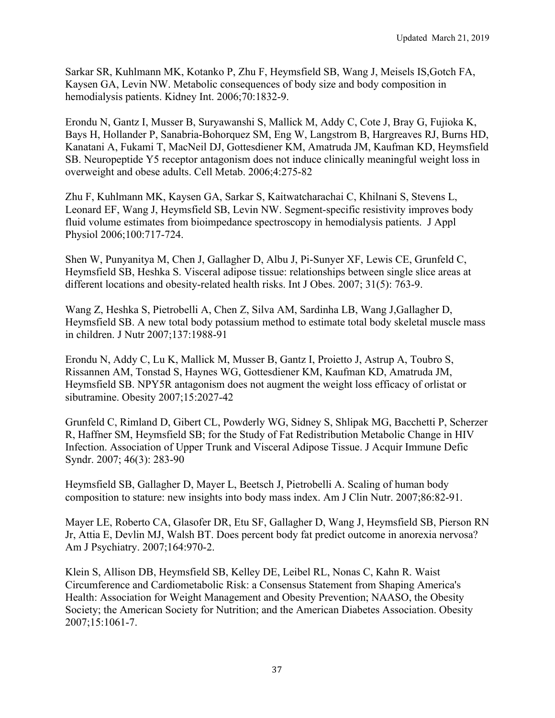Sarkar SR, Kuhlmann MK, Kotanko P, Zhu F, Heymsfield SB, Wang J, Meisels IS,Gotch FA, Kaysen GA, Levin NW. Metabolic consequences of body size and body composition in hemodialysis patients. Kidney Int. 2006;70:1832-9.

Erondu N, Gantz I, Musser B, Suryawanshi S, Mallick M, Addy C, Cote J, Bray G, Fujioka K, Bays H, Hollander P, Sanabria-Bohorquez SM, Eng W, Langstrom B, Hargreaves RJ, Burns HD, Kanatani A, Fukami T, MacNeil DJ, Gottesdiener KM, Amatruda JM, Kaufman KD, Heymsfield SB. Neuropeptide Y5 receptor antagonism does not induce clinically meaningful weight loss in overweight and obese adults. Cell Metab. 2006;4:275-82

Zhu F, Kuhlmann MK, Kaysen GA, Sarkar S, Kaitwatcharachai C, Khilnani S, Stevens L, Leonard EF, Wang J, Heymsfield SB, Levin NW. Segment-specific resistivity improves body fluid volume estimates from bioimpedance spectroscopy in hemodialysis patients. J Appl Physiol 2006;100:717-724.

Shen W, Punyanitya M, Chen J, Gallagher D, Albu J, Pi-Sunyer XF, Lewis CE, Grunfeld C, Heymsfield SB, Heshka S. Visceral adipose tissue: relationships between single slice areas at different locations and obesity-related health risks. Int J Obes. 2007; 31(5): 763-9.

Wang Z, Heshka S, Pietrobelli A, Chen Z, Silva AM, Sardinha LB, Wang J,Gallagher D, Heymsfield SB. A new total body potassium method to estimate total body skeletal muscle mass in children. J Nutr 2007;137:1988-91

Erondu N, Addy C, Lu K, Mallick M, Musser B, Gantz I, Proietto J, Astrup A, Toubro S, Rissannen AM, Tonstad S, Haynes WG, Gottesdiener KM, Kaufman KD, Amatruda JM, Heymsfield SB. NPY5R antagonism does not augment the weight loss efficacy of orlistat or sibutramine. Obesity 2007;15:2027-42

Grunfeld C, Rimland D, Gibert CL, Powderly WG, Sidney S, Shlipak MG, Bacchetti P, Scherzer R, Haffner SM, Heymsfield SB; for the Study of Fat Redistribution Metabolic Change in HIV Infection. Association of Upper Trunk and Visceral Adipose Tissue. J Acquir Immune Defic Syndr. 2007; 46(3): 283-90

Heymsfield SB, Gallagher D, Mayer L, Beetsch J, Pietrobelli A. Scaling of human body composition to stature: new insights into body mass index. Am J Clin Nutr. 2007;86:82-91.

Mayer LE, Roberto CA, Glasofer DR, Etu SF, Gallagher D, Wang J, Heymsfield SB, Pierson RN Jr, Attia E, Devlin MJ, Walsh BT. Does percent body fat predict outcome in anorexia nervosa? Am J Psychiatry. 2007;164:970-2.

Klein S, Allison DB, Heymsfield SB, Kelley DE, Leibel RL, Nonas C, Kahn R. Waist Circumference and Cardiometabolic Risk: a Consensus Statement from Shaping America's Health: Association for Weight Management and Obesity Prevention; NAASO, the Obesity Society; the American Society for Nutrition; and the American Diabetes Association. Obesity 2007;15:1061-7.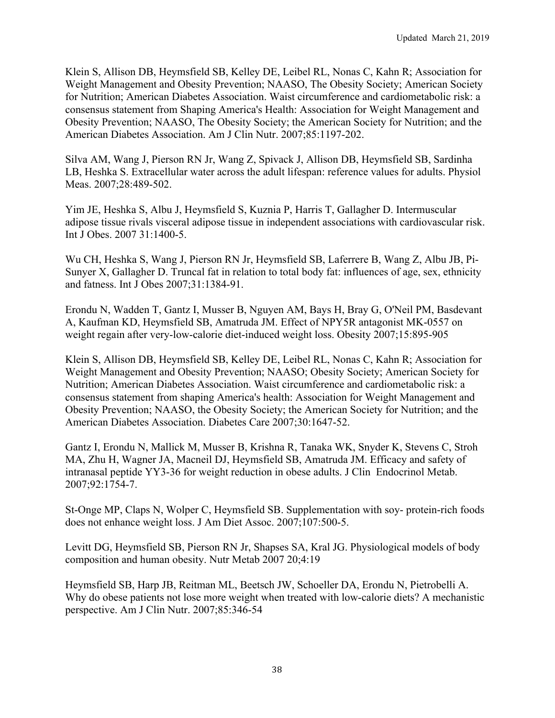Klein S, Allison DB, Heymsfield SB, Kelley DE, Leibel RL, Nonas C, Kahn R; Association for Weight Management and Obesity Prevention; NAASO, The Obesity Society; American Society for Nutrition; American Diabetes Association. Waist circumference and cardiometabolic risk: a consensus statement from Shaping America's Health: Association for Weight Management and Obesity Prevention; NAASO, The Obesity Society; the American Society for Nutrition; and the American Diabetes Association. Am J Clin Nutr. 2007;85:1197-202.

Silva AM, Wang J, Pierson RN Jr, Wang Z, Spivack J, Allison DB, Heymsfield SB, Sardinha LB, Heshka S. Extracellular water across the adult lifespan: reference values for adults. Physiol Meas. 2007;28:489-502.

Yim JE, Heshka S, Albu J, Heymsfield S, Kuznia P, Harris T, Gallagher D. Intermuscular adipose tissue rivals visceral adipose tissue in independent associations with cardiovascular risk. Int J Obes. 2007 31:1400-5.

Wu CH, Heshka S, Wang J, Pierson RN Jr, Heymsfield SB, Laferrere B, Wang Z, Albu JB, Pi-Sunyer X, Gallagher D. Truncal fat in relation to total body fat: influences of age, sex, ethnicity and fatness. Int J Obes 2007;31:1384-91.

Erondu N, Wadden T, Gantz I, Musser B, Nguyen AM, Bays H, Bray G, O'Neil PM, Basdevant A, Kaufman KD, Heymsfield SB, Amatruda JM. Effect of NPY5R antagonist MK-0557 on weight regain after very-low-calorie diet-induced weight loss. Obesity 2007;15:895-905

Klein S, Allison DB, Heymsfield SB, Kelley DE, Leibel RL, Nonas C, Kahn R; Association for Weight Management and Obesity Prevention; NAASO; Obesity Society; American Society for Nutrition; American Diabetes Association. Waist circumference and cardiometabolic risk: a consensus statement from shaping America's health: Association for Weight Management and Obesity Prevention; NAASO, the Obesity Society; the American Society for Nutrition; and the American Diabetes Association. Diabetes Care 2007;30:1647-52.

Gantz I, Erondu N, Mallick M, Musser B, Krishna R, Tanaka WK, Snyder K, Stevens C, Stroh MA, Zhu H, Wagner JA, Macneil DJ, Heymsfield SB, Amatruda JM. Efficacy and safety of intranasal peptide YY3-36 for weight reduction in obese adults. J Clin Endocrinol Metab. 2007;92:1754-7.

St-Onge MP, Claps N, Wolper C, Heymsfield SB. Supplementation with soy- protein-rich foods does not enhance weight loss. J Am Diet Assoc. 2007;107:500-5.

Levitt DG, Heymsfield SB, Pierson RN Jr, Shapses SA, Kral JG. Physiological models of body composition and human obesity. Nutr Metab 2007 20;4:19

Heymsfield SB, Harp JB, Reitman ML, Beetsch JW, Schoeller DA, Erondu N, Pietrobelli A. Why do obese patients not lose more weight when treated with low-calorie diets? A mechanistic perspective. Am J Clin Nutr. 2007;85:346-54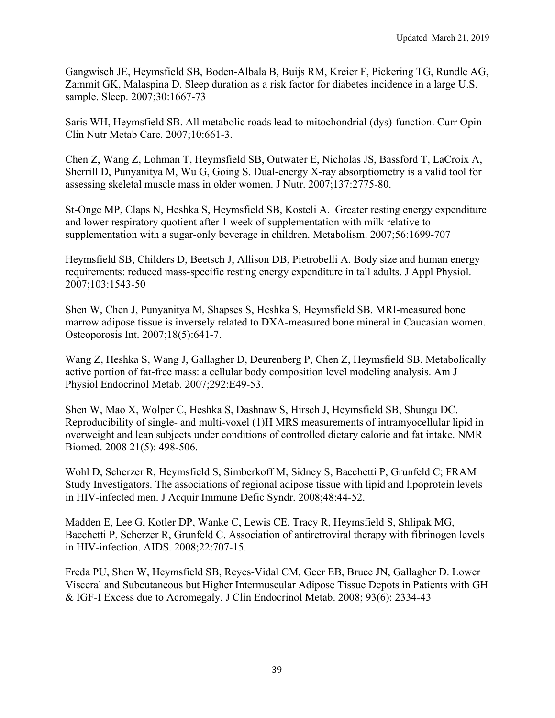Gangwisch JE, Heymsfield SB, Boden-Albala B, Buijs RM, Kreier F, Pickering TG, Rundle AG, Zammit GK, Malaspina D. Sleep duration as a risk factor for diabetes incidence in a large U.S. sample. Sleep. 2007;30:1667-73

Saris WH, Heymsfield SB. All metabolic roads lead to mitochondrial (dys)-function. Curr Opin Clin Nutr Metab Care. 2007;10:661-3.

Chen Z, Wang Z, Lohman T, Heymsfield SB, Outwater E, Nicholas JS, Bassford T, LaCroix A, Sherrill D, Punyanitya M, Wu G, Going S. Dual-energy X-ray absorptiometry is a valid tool for assessing skeletal muscle mass in older women. J Nutr. 2007;137:2775-80.

St-Onge MP, Claps N, Heshka S, Heymsfield SB, Kosteli A. Greater resting energy expenditure and lower respiratory quotient after 1 week of supplementation with milk relative to supplementation with a sugar-only beverage in children. Metabolism. 2007;56:1699-707

Heymsfield SB, Childers D, Beetsch J, Allison DB, Pietrobelli A. Body size and human energy requirements: reduced mass-specific resting energy expenditure in tall adults. J Appl Physiol. 2007;103:1543-50

Shen W, Chen J, Punyanitya M, Shapses S, Heshka S, Heymsfield SB. MRI-measured bone marrow adipose tissue is inversely related to DXA-measured bone mineral in Caucasian women. Osteoporosis Int. 2007;18(5):641-7.

Wang Z, Heshka S, Wang J, Gallagher D, Deurenberg P, Chen Z, Heymsfield SB. Metabolically active portion of fat-free mass: a cellular body composition level modeling analysis. Am J Physiol Endocrinol Metab. 2007;292:E49-53.

Shen W, Mao X, Wolper C, Heshka S, Dashnaw S, Hirsch J, Heymsfield SB, Shungu DC. Reproducibility of single- and multi-voxel (1)H MRS measurements of intramyocellular lipid in overweight and lean subjects under conditions of controlled dietary calorie and fat intake. NMR Biomed. 2008 21(5): 498-506.

Wohl D, Scherzer R, Heymsfield S, Simberkoff M, Sidney S, Bacchetti P, Grunfeld C; FRAM Study Investigators. The associations of regional adipose tissue with lipid and lipoprotein levels in HIV-infected men. J Acquir Immune Defic Syndr. 2008;48:44-52.

Madden E, Lee G, Kotler DP, Wanke C, Lewis CE, Tracy R, Heymsfield S, Shlipak MG, Bacchetti P, Scherzer R, Grunfeld C. Association of antiretroviral therapy with fibrinogen levels in HIV-infection. AIDS. 2008;22:707-15.

Freda PU, Shen W, Heymsfield SB, Reyes-Vidal CM, Geer EB, Bruce JN, Gallagher D. Lower Visceral and Subcutaneous but Higher Intermuscular Adipose Tissue Depots in Patients with GH & IGF-I Excess due to Acromegaly. J Clin Endocrinol Metab. 2008; 93(6): 2334-43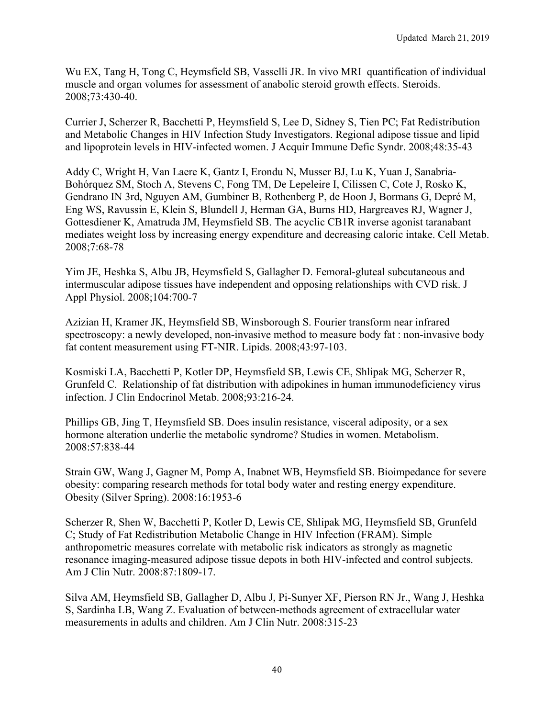Wu EX, Tang H, Tong C, Heymsfield SB, Vasselli JR. In vivo MRI quantification of individual muscle and organ volumes for assessment of anabolic steroid growth effects. Steroids. 2008;73:430-40.

Currier J, Scherzer R, Bacchetti P, Heymsfield S, Lee D, Sidney S, Tien PC; Fat Redistribution and Metabolic Changes in HIV Infection Study Investigators. Regional adipose tissue and lipid and lipoprotein levels in HIV-infected women. J Acquir Immune Defic Syndr. 2008;48:35-43

Addy C, Wright H, Van Laere K, Gantz I, Erondu N, Musser BJ, Lu K, Yuan J, Sanabria-Bohórquez SM, Stoch A, Stevens C, Fong TM, De Lepeleire I, Cilissen C, Cote J, Rosko K, Gendrano IN 3rd, Nguyen AM, Gumbiner B, Rothenberg P, de Hoon J, Bormans G, Depré M, Eng WS, Ravussin E, Klein S, Blundell J, Herman GA, Burns HD, Hargreaves RJ, Wagner J, Gottesdiener K, Amatruda JM, Heymsfield SB. The acyclic CB1R inverse agonist taranabant mediates weight loss by increasing energy expenditure and decreasing caloric intake. Cell Metab. 2008;7:68-78

Yim JE, Heshka S, Albu JB, Heymsfield S, Gallagher D. Femoral-gluteal subcutaneous and intermuscular adipose tissues have independent and opposing relationships with CVD risk. J Appl Physiol. 2008;104:700-7

Azizian H, Kramer JK, Heymsfield SB, Winsborough S. Fourier transform near infrared spectroscopy: a newly developed, non-invasive method to measure body fat : non-invasive body fat content measurement using FT-NIR. Lipids. 2008;43:97-103.

Kosmiski LA, Bacchetti P, Kotler DP, Heymsfield SB, Lewis CE, Shlipak MG, Scherzer R, Grunfeld C. Relationship of fat distribution with adipokines in human immunodeficiency virus infection. J Clin Endocrinol Metab. 2008;93:216-24.

Phillips GB, Jing T, Heymsfield SB. Does insulin resistance, visceral adiposity, or a sex hormone alteration underlie the metabolic syndrome? Studies in women. Metabolism. 2008:57:838-44

Strain GW, Wang J, Gagner M, Pomp A, Inabnet WB, Heymsfield SB. Bioimpedance for severe obesity: comparing research methods for total body water and resting energy expenditure. Obesity (Silver Spring). 2008:16:1953-6

Scherzer R, Shen W, Bacchetti P, Kotler D, Lewis CE, Shlipak MG, Heymsfield SB, Grunfeld C; Study of Fat Redistribution Metabolic Change in HIV Infection (FRAM). Simple anthropometric measures correlate with metabolic risk indicators as strongly as magnetic resonance imaging-measured adipose tissue depots in both HIV-infected and control subjects. Am J Clin Nutr. 2008:87:1809-17.

Silva AM, Heymsfield SB, Gallagher D, Albu J, Pi-Sunyer XF, Pierson RN Jr., Wang J, Heshka S, Sardinha LB, Wang Z. Evaluation of between-methods agreement of extracellular water measurements in adults and children. Am J Clin Nutr. 2008:315-23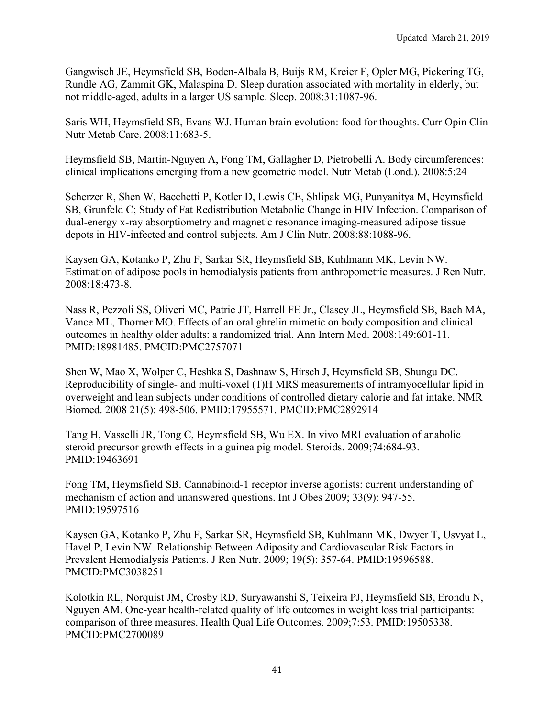Gangwisch JE, Heymsfield SB, Boden-Albala B, Buijs RM, Kreier F, Opler MG, Pickering TG, Rundle AG, Zammit GK, Malaspina D. Sleep duration associated with mortality in elderly, but not middle-aged, adults in a larger US sample. Sleep. 2008:31:1087-96.

Saris WH, Heymsfield SB, Evans WJ. Human brain evolution: food for thoughts. Curr Opin Clin Nutr Metab Care. 2008:11:683-5.

Heymsfield SB, Martin-Nguyen A, Fong TM, Gallagher D, Pietrobelli A. Body circumferences: clinical implications emerging from a new geometric model. Nutr Metab (Lond.). 2008:5:24

Scherzer R, Shen W, Bacchetti P, Kotler D, Lewis CE, Shlipak MG, Punyanitya M, Heymsfield SB, Grunfeld C; Study of Fat Redistribution Metabolic Change in HIV Infection. Comparison of dual-energy x-ray absorptiometry and magnetic resonance imaging-measured adipose tissue depots in HIV-infected and control subjects. Am J Clin Nutr. 2008:88:1088-96.

Kaysen GA, Kotanko P, Zhu F, Sarkar SR, Heymsfield SB, Kuhlmann MK, Levin NW. Estimation of adipose pools in hemodialysis patients from anthropometric measures. J Ren Nutr. 2008:18:473-8.

Nass R, Pezzoli SS, Oliveri MC, Patrie JT, Harrell FE Jr., Clasey JL, Heymsfield SB, Bach MA, Vance ML, Thorner MO. Effects of an oral ghrelin mimetic on body composition and clinical outcomes in healthy older adults: a randomized trial. Ann Intern Med. 2008:149:601-11. PMID:18981485. PMCID:PMC2757071

Shen W, Mao X, Wolper C, Heshka S, Dashnaw S, Hirsch J, Heymsfield SB, Shungu DC. Reproducibility of single- and multi-voxel (1)H MRS measurements of intramyocellular lipid in overweight and lean subjects under conditions of controlled dietary calorie and fat intake. NMR Biomed. 2008 21(5): 498-506. PMID:17955571. PMCID:PMC2892914

Tang H, Vasselli JR, Tong C, Heymsfield SB, Wu EX. In vivo MRI evaluation of anabolic steroid precursor growth effects in a guinea pig model. Steroids. 2009;74:684-93. PMID:19463691

Fong TM, Heymsfield SB. Cannabinoid-1 receptor inverse agonists: current understanding of mechanism of action and unanswered questions. Int J Obes 2009; 33(9): 947-55. PMID:19597516

Kaysen GA, Kotanko P, Zhu F, Sarkar SR, Heymsfield SB, Kuhlmann MK, Dwyer T, Usvyat L, Havel P, Levin NW. Relationship Between Adiposity and Cardiovascular Risk Factors in Prevalent Hemodialysis Patients. J Ren Nutr. 2009; 19(5): 357-64. PMID:19596588. PMCID:PMC3038251

Kolotkin RL, Norquist JM, Crosby RD, Suryawanshi S, Teixeira PJ, Heymsfield SB, Erondu N, Nguyen AM. One-year health-related quality of life outcomes in weight loss trial participants: comparison of three measures. Health Qual Life Outcomes. 2009;7:53. PMID:19505338. PMCID:PMC2700089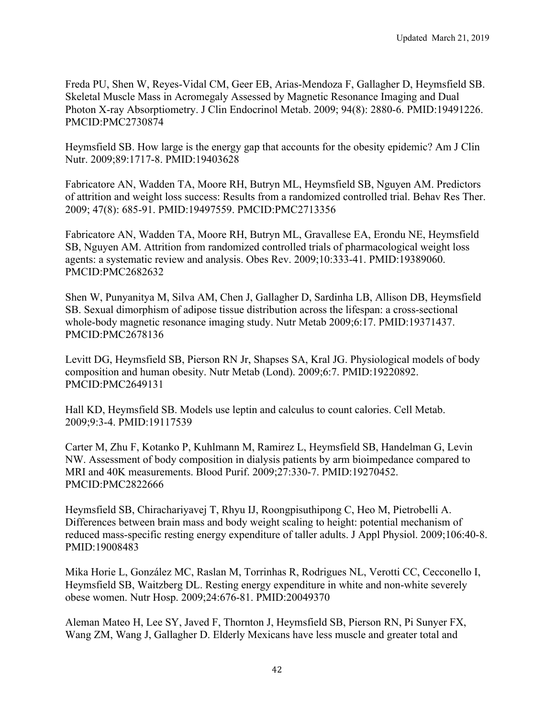Freda PU, Shen W, Reyes-Vidal CM, Geer EB, Arias-Mendoza F, Gallagher D, Heymsfield SB. Skeletal Muscle Mass in Acromegaly Assessed by Magnetic Resonance Imaging and Dual Photon X-ray Absorptiometry. J Clin Endocrinol Metab. 2009; 94(8): 2880-6. PMID:19491226. PMCID:PMC2730874

Heymsfield SB. How large is the energy gap that accounts for the obesity epidemic? Am J Clin Nutr. 2009;89:1717-8. PMID:19403628

Fabricatore AN, Wadden TA, Moore RH, Butryn ML, Heymsfield SB, Nguyen AM. Predictors of attrition and weight loss success: Results from a randomized controlled trial. Behav Res Ther. 2009; 47(8): 685-91. PMID:19497559. PMCID:PMC2713356

Fabricatore AN, Wadden TA, Moore RH, Butryn ML, Gravallese EA, Erondu NE, Heymsfield SB, Nguyen AM. Attrition from randomized controlled trials of pharmacological weight loss agents: a systematic review and analysis. Obes Rev. 2009;10:333-41. PMID:19389060. PMCID:PMC2682632

Shen W, Punyanitya M, Silva AM, Chen J, Gallagher D, Sardinha LB, Allison DB, Heymsfield SB. Sexual dimorphism of adipose tissue distribution across the lifespan: a cross-sectional whole-body magnetic resonance imaging study. Nutr Metab 2009;6:17. PMID:19371437. PMCID:PMC2678136

Levitt DG, Heymsfield SB, Pierson RN Jr, Shapses SA, Kral JG. Physiological models of body composition and human obesity. Nutr Metab (Lond). 2009;6:7. PMID:19220892. PMCID:PMC2649131

Hall KD, Heymsfield SB. Models use leptin and calculus to count calories. Cell Metab. 2009;9:3-4. PMID:19117539

Carter M, Zhu F, Kotanko P, Kuhlmann M, Ramirez L, Heymsfield SB, Handelman G, Levin NW. Assessment of body composition in dialysis patients by arm bioimpedance compared to MRI and 40K measurements. Blood Purif. 2009;27:330-7. PMID:19270452. PMCID:PMC2822666

Heymsfield SB, Chirachariyavej T, Rhyu IJ, Roongpisuthipong C, Heo M, Pietrobelli A. Differences between brain mass and body weight scaling to height: potential mechanism of reduced mass-specific resting energy expenditure of taller adults. J Appl Physiol. 2009;106:40-8. PMID:19008483

Mika Horie L, González MC, Raslan M, Torrinhas R, Rodrigues NL, Verotti CC, Cecconello I, Heymsfield SB, Waitzberg DL. Resting energy expenditure in white and non-white severely obese women. Nutr Hosp. 2009;24:676-81. PMID:20049370

Aleman Mateo H, Lee SY, Javed F, Thornton J, Heymsfield SB, Pierson RN, Pi Sunyer FX, Wang ZM, Wang J, Gallagher D. Elderly Mexicans have less muscle and greater total and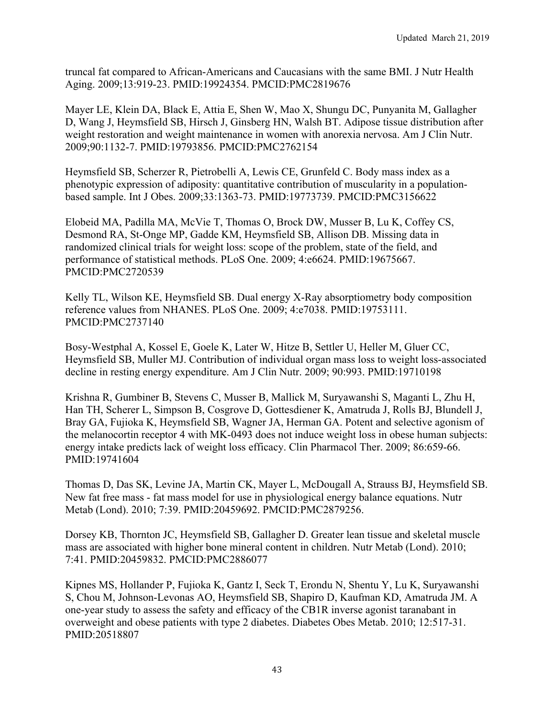truncal fat compared to African-Americans and Caucasians with the same BMI. J Nutr Health Aging. 2009;13:919-23. PMID:19924354. PMCID:PMC2819676

Mayer LE, Klein DA, Black E, Attia E, Shen W, Mao X, Shungu DC, Punyanita M, Gallagher D, Wang J, Heymsfield SB, Hirsch J, Ginsberg HN, Walsh BT. Adipose tissue distribution after weight restoration and weight maintenance in women with anorexia nervosa. Am J Clin Nutr. 2009;90:1132-7. PMID:19793856. PMCID:PMC2762154

Heymsfield SB, Scherzer R, Pietrobelli A, Lewis CE, Grunfeld C. Body mass index as a phenotypic expression of adiposity: quantitative contribution of muscularity in a populationbased sample. Int J Obes. 2009;33:1363-73. PMID:19773739. PMCID:PMC3156622

Elobeid MA, Padilla MA, McVie T, Thomas O, Brock DW, Musser B, Lu K, Coffey CS, Desmond RA, St-Onge MP, Gadde KM, Heymsfield SB, Allison DB. Missing data in randomized clinical trials for weight loss: scope of the problem, state of the field, and performance of statistical methods. PLoS One. 2009; 4:e6624. PMID:19675667. PMCID:PMC2720539

Kelly TL, Wilson KE, Heymsfield SB. Dual energy X-Ray absorptiometry body composition reference values from NHANES. PLoS One. 2009; 4:e7038. PMID:19753111. PMCID:PMC2737140

Bosy-Westphal A, Kossel E, Goele K, Later W, Hitze B, Settler U, Heller M, Gluer CC, Heymsfield SB, Muller MJ. Contribution of individual organ mass loss to weight loss-associated decline in resting energy expenditure. Am J Clin Nutr. 2009; 90:993. PMID:19710198

Krishna R, Gumbiner B, Stevens C, Musser B, Mallick M, Suryawanshi S, Maganti L, Zhu H, Han TH, Scherer L, Simpson B, Cosgrove D, Gottesdiener K, Amatruda J, Rolls BJ, Blundell J, Bray GA, Fujioka K, Heymsfield SB, Wagner JA, Herman GA. Potent and selective agonism of the melanocortin receptor 4 with MK-0493 does not induce weight loss in obese human subjects: energy intake predicts lack of weight loss efficacy. Clin Pharmacol Ther. 2009; 86:659-66. PMID:19741604

Thomas D, Das SK, Levine JA, Martin CK, Mayer L, McDougall A, Strauss BJ, Heymsfield SB. New fat free mass - fat mass model for use in physiological energy balance equations. Nutr Metab (Lond). 2010; 7:39. PMID:20459692. PMCID:PMC2879256.

Dorsey KB, Thornton JC, Heymsfield SB, Gallagher D. Greater lean tissue and skeletal muscle mass are associated with higher bone mineral content in children. Nutr Metab (Lond). 2010; 7:41. PMID:20459832. PMCID:PMC2886077

Kipnes MS, Hollander P, Fujioka K, Gantz I, Seck T, Erondu N, Shentu Y, Lu K, Suryawanshi S, Chou M, Johnson-Levonas AO, Heymsfield SB, Shapiro D, Kaufman KD, Amatruda JM. A one-year study to assess the safety and efficacy of the CB1R inverse agonist taranabant in overweight and obese patients with type 2 diabetes. Diabetes Obes Metab. 2010; 12:517-31. PMID:20518807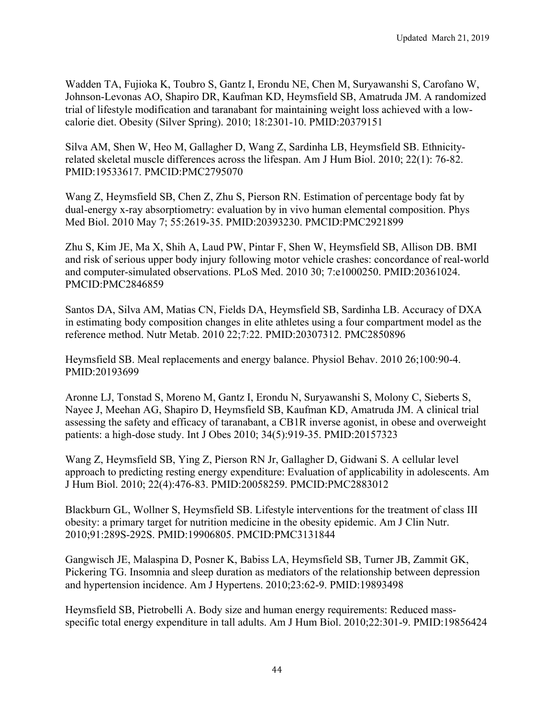Wadden TA, Fujioka K, Toubro S, Gantz I, Erondu NE, Chen M, Suryawanshi S, Carofano W, Johnson-Levonas AO, Shapiro DR, Kaufman KD, Heymsfield SB, Amatruda JM. A randomized trial of lifestyle modification and taranabant for maintaining weight loss achieved with a lowcalorie diet. Obesity (Silver Spring). 2010; 18:2301-10. PMID:20379151

Silva AM, Shen W, Heo M, Gallagher D, Wang Z, Sardinha LB, Heymsfield SB. Ethnicityrelated skeletal muscle differences across the lifespan. Am J Hum Biol. 2010; 22(1): 76-82. PMID:19533617. PMCID:PMC2795070

Wang Z, Heymsfield SB, Chen Z, Zhu S, Pierson RN. Estimation of percentage body fat by dual-energy x-ray absorptiometry: evaluation by in vivo human elemental composition. Phys Med Biol. 2010 May 7; 55:2619-35. PMID:20393230. PMCID:PMC2921899

Zhu S, Kim JE, Ma X, Shih A, Laud PW, Pintar F, Shen W, Heymsfield SB, Allison DB. BMI and risk of serious upper body injury following motor vehicle crashes: concordance of real-world and computer-simulated observations. PLoS Med. 2010 30; 7:e1000250. PMID:20361024. PMCID:PMC2846859

Santos DA, Silva AM, Matias CN, Fields DA, Heymsfield SB, Sardinha LB. Accuracy of DXA in estimating body composition changes in elite athletes using a four compartment model as the reference method. Nutr Metab. 2010 22;7:22. PMID:20307312. PMC2850896

Heymsfield SB. Meal replacements and energy balance. Physiol Behav. 2010 26;100:90-4. PMID:20193699

Aronne LJ, Tonstad S, Moreno M, Gantz I, Erondu N, Suryawanshi S, Molony C, Sieberts S, Nayee J, Meehan AG, Shapiro D, Heymsfield SB, Kaufman KD, Amatruda JM. A clinical trial assessing the safety and efficacy of taranabant, a CB1R inverse agonist, in obese and overweight patients: a high-dose study. Int J Obes 2010; 34(5):919-35. PMID:20157323

Wang Z, Heymsfield SB, Ying Z, Pierson RN Jr, Gallagher D, Gidwani S. A cellular level approach to predicting resting energy expenditure: Evaluation of applicability in adolescents. Am J Hum Biol. 2010; 22(4):476-83. PMID:20058259. PMCID:PMC2883012

Blackburn GL, Wollner S, Heymsfield SB. Lifestyle interventions for the treatment of class III obesity: a primary target for nutrition medicine in the obesity epidemic. Am J Clin Nutr. 2010;91:289S-292S. PMID:19906805. PMCID:PMC3131844

Gangwisch JE, Malaspina D, Posner K, Babiss LA, Heymsfield SB, Turner JB, Zammit GK, Pickering TG. Insomnia and sleep duration as mediators of the relationship between depression and hypertension incidence. Am J Hypertens. 2010;23:62-9. PMID:19893498

Heymsfield SB, Pietrobelli A. Body size and human energy requirements: Reduced massspecific total energy expenditure in tall adults. Am J Hum Biol. 2010;22:301-9. PMID:19856424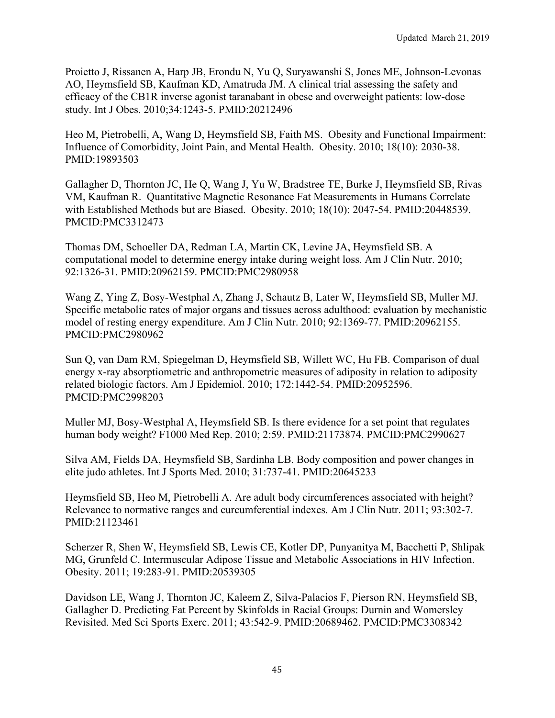Proietto J, Rissanen A, Harp JB, Erondu N, Yu Q, Suryawanshi S, Jones ME, Johnson-Levonas AO, Heymsfield SB, Kaufman KD, Amatruda JM. A clinical trial assessing the safety and efficacy of the CB1R inverse agonist taranabant in obese and overweight patients: low-dose study. Int J Obes. 2010;34:1243-5. PMID:20212496

Heo M, Pietrobelli, A, Wang D, Heymsfield SB, Faith MS. Obesity and Functional Impairment: Influence of Comorbidity, Joint Pain, and Mental Health. Obesity. 2010; 18(10): 2030-38. PMID:19893503

Gallagher D, Thornton JC, He Q, Wang J, Yu W, Bradstree TE, Burke J, Heymsfield SB, Rivas VM, Kaufman R. Quantitative Magnetic Resonance Fat Measurements in Humans Correlate with Established Methods but are Biased. Obesity. 2010; 18(10): 2047-54. PMID:20448539. PMCID:PMC3312473

Thomas DM, Schoeller DA, Redman LA, Martin CK, Levine JA, Heymsfield SB. A computational model to determine energy intake during weight loss. Am J Clin Nutr. 2010; 92:1326-31. PMID:20962159. PMCID:PMC2980958

Wang Z, Ying Z, Bosy-Westphal A, Zhang J, Schautz B, Later W, Heymsfield SB, Muller MJ. Specific metabolic rates of major organs and tissues across adulthood: evaluation by mechanistic model of resting energy expenditure. Am J Clin Nutr. 2010; 92:1369-77. PMID:20962155. PMCID:PMC2980962

Sun Q, van Dam RM, Spiegelman D, Heymsfield SB, Willett WC, Hu FB. Comparison of dual energy x-ray absorptiometric and anthropometric measures of adiposity in relation to adiposity related biologic factors. Am J Epidemiol. 2010; 172:1442-54. PMID:20952596. PMCID:PMC2998203

Muller MJ, Bosy-Westphal A, Heymsfield SB. Is there evidence for a set point that regulates human body weight? F1000 Med Rep. 2010; 2:59. PMID:21173874. PMCID:PMC2990627

Silva AM, Fields DA, Heymsfield SB, Sardinha LB. Body composition and power changes in elite judo athletes. Int J Sports Med. 2010; 31:737-41. PMID:20645233

Heymsfield SB, Heo M, Pietrobelli A. Are adult body circumferences associated with height? Relevance to normative ranges and curcumferential indexes. Am J Clin Nutr. 2011; 93:302-7. PMID:21123461

Scherzer R, Shen W, Heymsfield SB, Lewis CE, Kotler DP, Punyanitya M, Bacchetti P, Shlipak MG, Grunfeld C. Intermuscular Adipose Tissue and Metabolic Associations in HIV Infection. Obesity. 2011; 19:283-91. PMID:20539305

Davidson LE, Wang J, Thornton JC, Kaleem Z, Silva-Palacios F, Pierson RN, Heymsfield SB, Gallagher D. Predicting Fat Percent by Skinfolds in Racial Groups: Durnin and Womersley Revisited. Med Sci Sports Exerc. 2011; 43:542-9. PMID:20689462. PMCID:PMC3308342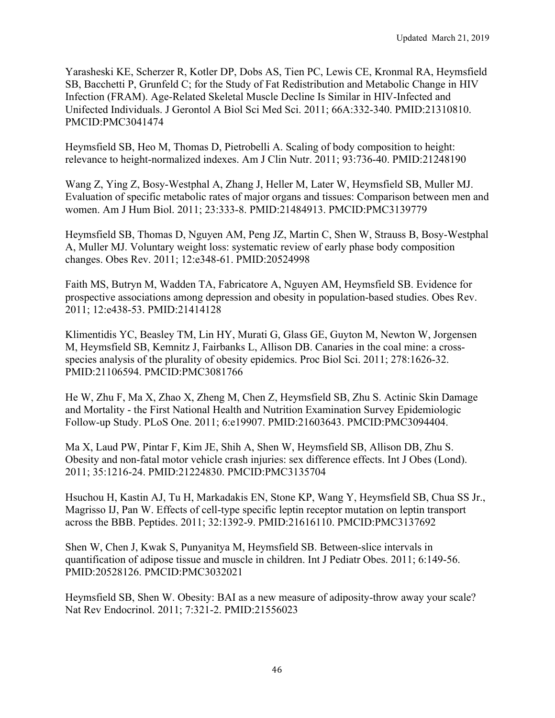Yarasheski KE, Scherzer R, Kotler DP, Dobs AS, Tien PC, Lewis CE, Kronmal RA, Heymsfield SB, Bacchetti P, Grunfeld C; for the Study of Fat Redistribution and Metabolic Change in HIV Infection (FRAM). Age-Related Skeletal Muscle Decline Is Similar in HIV-Infected and Unifected Individuals. J Gerontol A Biol Sci Med Sci. 2011; 66A:332-340. PMID:21310810. PMCID:PMC3041474

Heymsfield SB, Heo M, Thomas D, Pietrobelli A. Scaling of body composition to height: relevance to height-normalized indexes. Am J Clin Nutr. 2011; 93:736-40. PMID:21248190

Wang Z, Ying Z, Bosy-Westphal A, Zhang J, Heller M, Later W, Heymsfield SB, Muller MJ. Evaluation of specific metabolic rates of major organs and tissues: Comparison between men and women. Am J Hum Biol. 2011; 23:333-8. PMID:21484913. PMCID:PMC3139779

Heymsfield SB, Thomas D, Nguyen AM, Peng JZ, Martin C, Shen W, Strauss B, Bosy-Westphal A, Muller MJ. Voluntary weight loss: systematic review of early phase body composition changes. Obes Rev. 2011; 12:e348-61. PMID:20524998

Faith MS, Butryn M, Wadden TA, Fabricatore A, Nguyen AM, Heymsfield SB. Evidence for prospective associations among depression and obesity in population-based studies. Obes Rev. 2011; 12:e438-53. PMID:21414128

Klimentidis YC, Beasley TM, Lin HY, Murati G, Glass GE, Guyton M, Newton W, Jorgensen M, Heymsfield SB, Kemnitz J, Fairbanks L, Allison DB. Canaries in the coal mine: a crossspecies analysis of the plurality of obesity epidemics. Proc Biol Sci. 2011; 278:1626-32. PMID:21106594. PMCID:PMC3081766

He W, Zhu F, Ma X, Zhao X, Zheng M, Chen Z, Heymsfield SB, Zhu S. Actinic Skin Damage and Mortality - the First National Health and Nutrition Examination Survey Epidemiologic Follow-up Study. PLoS One. 2011; 6:e19907. PMID:21603643. PMCID:PMC3094404.

Ma X, Laud PW, Pintar F, Kim JE, Shih A, Shen W, Heymsfield SB, Allison DB, Zhu S. Obesity and non-fatal motor vehicle crash injuries: sex difference effects. Int J Obes (Lond). 2011; 35:1216-24. PMID:21224830. PMCID:PMC3135704

Hsuchou H, Kastin AJ, Tu H, Markadakis EN, Stone KP, Wang Y, Heymsfield SB, Chua SS Jr., Magrisso IJ, Pan W. Effects of cell-type specific leptin receptor mutation on leptin transport across the BBB. Peptides. 2011; 32:1392-9. PMID:21616110. PMCID:PMC3137692

Shen W, Chen J, Kwak S, Punyanitya M, Heymsfield SB. Between-slice intervals in quantification of adipose tissue and muscle in children. Int J Pediatr Obes. 2011; 6:149-56. PMID:20528126. PMCID:PMC3032021

Heymsfield SB, Shen W. Obesity: BAI as a new measure of adiposity-throw away your scale? Nat Rev Endocrinol. 2011; 7:321-2. PMID:21556023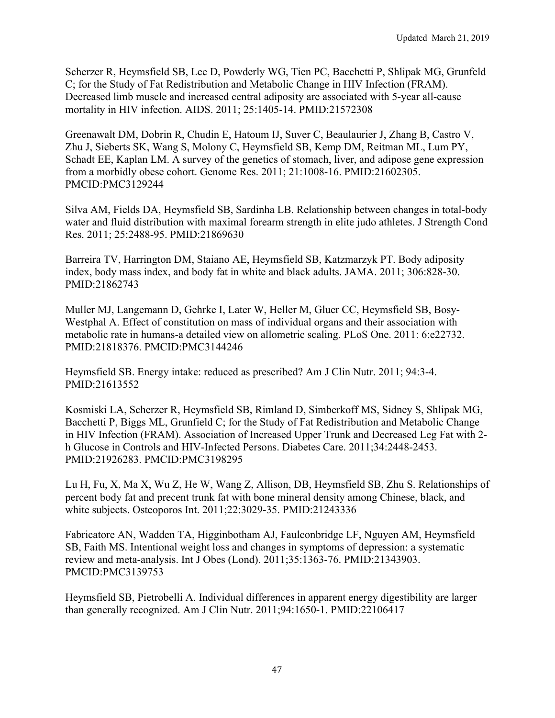Scherzer R, Heymsfield SB, Lee D, Powderly WG, Tien PC, Bacchetti P, Shlipak MG, Grunfeld C; for the Study of Fat Redistribution and Metabolic Change in HIV Infection (FRAM). Decreased limb muscle and increased central adiposity are associated with 5-year all-cause mortality in HIV infection. AIDS. 2011; 25:1405-14. PMID:21572308

Greenawalt DM, Dobrin R, Chudin E, Hatoum IJ, Suver C, Beaulaurier J, Zhang B, Castro V, Zhu J, Sieberts SK, Wang S, Molony C, Heymsfield SB, Kemp DM, Reitman ML, Lum PY, Schadt EE, Kaplan LM. A survey of the genetics of stomach, liver, and adipose gene expression from a morbidly obese cohort. Genome Res. 2011; 21:1008-16. PMID:21602305. PMCID:PMC3129244

Silva AM, Fields DA, Heymsfield SB, Sardinha LB. Relationship between changes in total-body water and fluid distribution with maximal forearm strength in elite judo athletes. J Strength Cond Res. 2011; 25:2488-95. PMID:21869630

Barreira TV, Harrington DM, Staiano AE, Heymsfield SB, Katzmarzyk PT. Body adiposity index, body mass index, and body fat in white and black adults. JAMA. 2011; 306:828-30. PMID:21862743

Muller MJ, Langemann D, Gehrke I, Later W, Heller M, Gluer CC, Heymsfield SB, Bosy-Westphal A. Effect of constitution on mass of individual organs and their association with metabolic rate in humans-a detailed view on allometric scaling. PLoS One. 2011: 6:e22732. PMID:21818376. PMCID:PMC3144246

Heymsfield SB. Energy intake: reduced as prescribed? Am J Clin Nutr. 2011; 94:3-4. PMID:21613552

Kosmiski LA, Scherzer R, Heymsfield SB, Rimland D, Simberkoff MS, Sidney S, Shlipak MG, Bacchetti P, Biggs ML, Grunfield C; for the Study of Fat Redistribution and Metabolic Change in HIV Infection (FRAM). Association of Increased Upper Trunk and Decreased Leg Fat with 2 h Glucose in Controls and HIV-Infected Persons. Diabetes Care. 2011;34:2448-2453. PMID:21926283. PMCID:PMC3198295

Lu H, Fu, X, Ma X, Wu Z, He W, Wang Z, Allison, DB, Heymsfield SB, Zhu S. Relationships of percent body fat and precent trunk fat with bone mineral density among Chinese, black, and white subjects. Osteoporos Int. 2011;22:3029-35. PMID:21243336

Fabricatore AN, Wadden TA, Higginbotham AJ, Faulconbridge LF, Nguyen AM, Heymsfield SB, Faith MS. Intentional weight loss and changes in symptoms of depression: a systematic review and meta-analysis. Int J Obes (Lond). 2011;35:1363-76. PMID:21343903. PMCID:PMC3139753

Heymsfield SB, Pietrobelli A. Individual differences in apparent energy digestibility are larger than generally recognized. Am J Clin Nutr. 2011;94:1650-1. PMID:22106417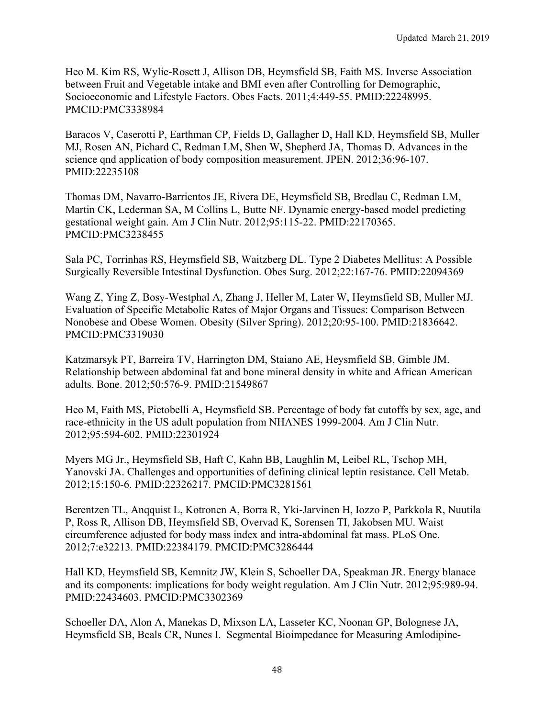Heo M. Kim RS, Wylie-Rosett J, Allison DB, Heymsfield SB, Faith MS. Inverse Association between Fruit and Vegetable intake and BMI even after Controlling for Demographic, Socioeconomic and Lifestyle Factors. Obes Facts. 2011;4:449-55. PMID:22248995. PMCID:PMC3338984

Baracos V, Caserotti P, Earthman CP, Fields D, Gallagher D, Hall KD, Heymsfield SB, Muller MJ, Rosen AN, Pichard C, Redman LM, Shen W, Shepherd JA, Thomas D. Advances in the science qnd application of body composition measurement. JPEN. 2012;36:96-107. PMID:22235108

Thomas DM, Navarro-Barrientos JE, Rivera DE, Heymsfield SB, Bredlau C, Redman LM, Martin CK, Lederman SA, M Collins L, Butte NF. Dynamic energy-based model predicting gestational weight gain. Am J Clin Nutr. 2012;95:115-22. PMID:22170365. PMCID:PMC3238455

Sala PC, Torrinhas RS, Heymsfield SB, Waitzberg DL. Type 2 Diabetes Mellitus: A Possible Surgically Reversible Intestinal Dysfunction. Obes Surg. 2012;22:167-76. PMID:22094369

Wang Z, Ying Z, Bosy-Westphal A, Zhang J, Heller M, Later W, Heymsfield SB, Muller MJ. Evaluation of Specific Metabolic Rates of Major Organs and Tissues: Comparison Between Nonobese and Obese Women. Obesity (Silver Spring). 2012;20:95-100. PMID:21836642. PMCID:PMC3319030

Katzmarsyk PT, Barreira TV, Harrington DM, Staiano AE, Heysmfield SB, Gimble JM. Relationship between abdominal fat and bone mineral density in white and African American adults. Bone. 2012;50:576-9. PMID:21549867

Heo M, Faith MS, Pietobelli A, Heymsfield SB. Percentage of body fat cutoffs by sex, age, and race-ethnicity in the US adult population from NHANES 1999-2004. Am J Clin Nutr. 2012;95:594-602. PMID:22301924

Myers MG Jr., Heymsfield SB, Haft C, Kahn BB, Laughlin M, Leibel RL, Tschop MH, Yanovski JA. Challenges and opportunities of defining clinical leptin resistance. Cell Metab. 2012;15:150-6. PMID:22326217. PMCID:PMC3281561

Berentzen TL, Anqquist L, Kotronen A, Borra R, Yki-Jarvinen H, Iozzo P, Parkkola R, Nuutila P, Ross R, Allison DB, Heymsfield SB, Overvad K, Sorensen TI, Jakobsen MU. Waist circumference adjusted for body mass index and intra-abdominal fat mass. PLoS One. 2012;7:e32213. PMID:22384179. PMCID:PMC3286444

Hall KD, Heymsfield SB, Kemnitz JW, Klein S, Schoeller DA, Speakman JR. Energy blanace and its components: implications for body weight regulation. Am J Clin Nutr. 2012;95:989-94. PMID:22434603. PMCID:PMC3302369

Schoeller DA, Alon A, Manekas D, Mixson LA, Lasseter KC, Noonan GP, Bolognese JA, Heymsfield SB, Beals CR, Nunes I. Segmental Bioimpedance for Measuring Amlodipine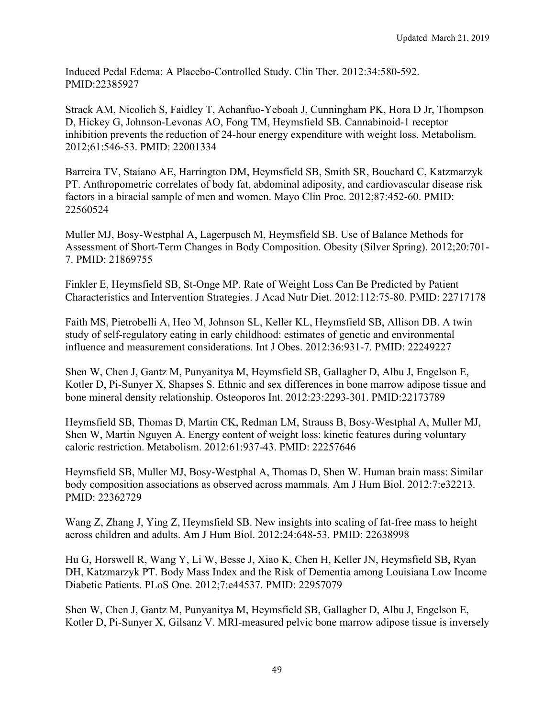Induced Pedal Edema: A Placebo-Controlled Study. Clin Ther. 2012:34:580-592. PMID:22385927

Strack AM, Nicolich S, Faidley T, Achanfuo-Yeboah J, Cunningham PK, Hora D Jr, Thompson D, Hickey G, Johnson-Levonas AO, Fong TM, Heymsfield SB. Cannabinoid-1 receptor inhibition prevents the reduction of 24-hour energy expenditure with weight loss. Metabolism. 2012;61:546-53. PMID: 22001334

Barreira TV, Staiano AE, Harrington DM, Heymsfield SB, Smith SR, Bouchard C, Katzmarzyk PT. Anthropometric correlates of body fat, abdominal adiposity, and cardiovascular disease risk factors in a biracial sample of men and women. Mayo Clin Proc. 2012;87:452-60. PMID: 22560524

Muller MJ, Bosy-Westphal A, Lagerpusch M, Heymsfield SB. Use of Balance Methods for Assessment of Short-Term Changes in Body Composition. Obesity (Silver Spring). 2012;20:701- 7. PMID: 21869755

Finkler E, Heymsfield SB, St-Onge MP. Rate of Weight Loss Can Be Predicted by Patient Characteristics and Intervention Strategies. J Acad Nutr Diet. 2012:112:75-80. PMID: 22717178

Faith MS, Pietrobelli A, Heo M, Johnson SL, Keller KL, Heymsfield SB, Allison DB. A twin study of self-regulatory eating in early childhood: estimates of genetic and environmental influence and measurement considerations. Int J Obes. 2012:36:931-7. PMID: 22249227

Shen W, Chen J, Gantz M, Punyanitya M, Heymsfield SB, Gallagher D, Albu J, Engelson E, Kotler D, Pi-Sunyer X, Shapses S. Ethnic and sex differences in bone marrow adipose tissue and bone mineral density relationship. Osteoporos Int. 2012:23:2293-301. PMID:22173789

Heymsfield SB, Thomas D, Martin CK, Redman LM, Strauss B, Bosy-Westphal A, Muller MJ, Shen W, Martin Nguyen A. Energy content of weight loss: kinetic features during voluntary caloric restriction. Metabolism. 2012:61:937-43. PMID: 22257646

Heymsfield SB, Muller MJ, Bosy-Westphal A, Thomas D, Shen W. Human brain mass: Similar body composition associations as observed across mammals. Am J Hum Biol. 2012:7:e32213. PMID: 22362729

Wang Z, Zhang J, Ying Z, Heymsfield SB. New insights into scaling of fat-free mass to height across children and adults. Am J Hum Biol. 2012:24:648-53. PMID: 22638998

Hu G, Horswell R, Wang Y, Li W, Besse J, Xiao K, Chen H, Keller JN, Heymsfield SB, Ryan DH, Katzmarzyk PT. Body Mass Index and the Risk of Dementia among Louisiana Low Income Diabetic Patients. PLoS One. 2012;7:e44537. PMID: 22957079

Shen W, Chen J, Gantz M, Punyanitya M, Heymsfield SB, Gallagher D, Albu J, Engelson E, Kotler D, Pi-Sunyer X, Gilsanz V. MRI-measured pelvic bone marrow adipose tissue is inversely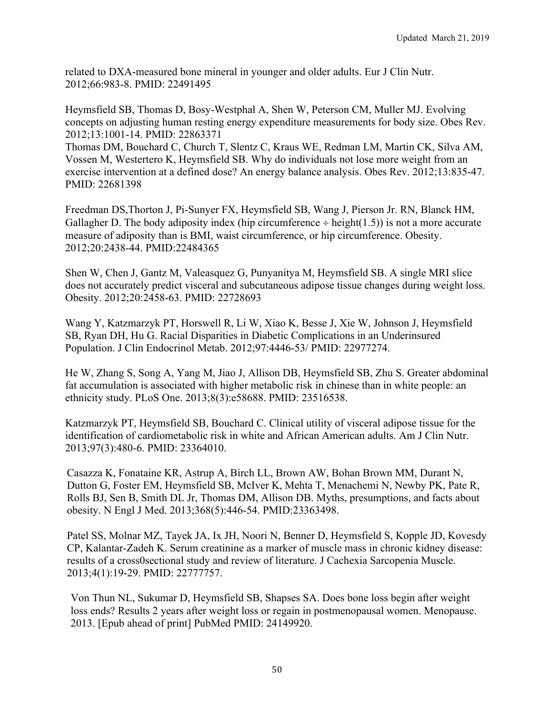related to DXA-measured bone mineral in younger and older adults. Eur J Clin Nutr. 2012;66:983-8. PMID: 22491495

Heymsfield SB, Thomas D, Bosy-Westphal A, Shen W, Peterson CM, Muller MJ. Evolving concepts on adjusting human resting energy expenditure measurements for body size. Obes Rev. 2012;13:1001-14. PMID: 22863371

Thomas DM, Bouchard C, Church T, Slentz C, Kraus WE, Redman LM, Martin CK, Silva AM, Vossen M, Westertero K, Heymsfield SB. Why do individuals not lose more weight from an exercise intervention at a defined dose? An energy balance analysis. Obes Rev. 2012;13:835-47. PMID: 22681398

Freedman DS,Thorton J, Pi-Sunyer FX, Heymsfield SB, Wang J, Pierson Jr. RN, Blanck HM, Gallagher D. The body adiposity index (hip circumference  $\div$  height(1.5)) is not a more accurate measure of adiposity than is BMI, waist circumference, or hip circumference. Obesity. 2012;20:2438-44. PMID:22484365

Shen W, Chen J, Gantz M, Valeasquez G, Punyanitya M, Heymsfield SB. A single MRI slice does not accurately predict visceral and subcutaneous adipose tissue changes during weight loss. Obesity. 2012;20:2458-63. PMID: 22728693

Wang Y, Katzmarzyk PT, Horswell R, Li W, Xiao K, Besse J, Xie W, Johnson J, Heymsfield SB, Ryan DH, Hu G. Racial Disparities in Diabetic Complications in an Underinsured Population. J Clin Endocrinol Metab. 2012;97:4446-53/ PMID: 22977274.

He W, Zhang S, Song A, Yang M, Jiao J, Allison DB, Heymsfield SB, Zhu S. Greater abdominal fat accumulation is associated with higher metabolic risk in chinese than in white people: an ethnicity study. PLoS One. 2013;8(3):e58688. PMID: 23516538.

Katzmarzyk PT, Heymsfield SB, Bouchard C. Clinical utility of visceral adipose tissue for the identification of cardiometabolic risk in white and African American adults. Am J Clin Nutr. 2013;97(3):480-6. PMID: 23364010.

Casazza K, Fonataine KR, Astrup A, Birch LL, Brown AW, Bohan Brown MM, Durant N, Dutton G, Foster EM, Heymsfield SB, McIver K, Mehta T, Menachemi N, Newby PK, Pate R, Rolls BJ, Sen B, Smith DL Jr, Thomas DM, Allison DB. Myths, presumptions, and facts about obesity. N Engl J Med. 2013;368(5):446-54. PMID:23363498.

Patel SS, Molnar MZ, Tayek JA, Ix JH, Noori N, Benner D, Heymsfield S, Kopple JD, Kovesdy CP, Kalantar-Zadeh K. Serum creatinine as a marker of muscle mass in chronic kidney disease: results of a cross0sectional study and review of literature. J Cachexia Sarcopenia Muscle. 2013;4(1):19-29. PMID: 22777757.

 Von Thun NL, Sukumar D, Heymsfield SB, Shapses SA. Does bone loss begin after weight loss ends? Results 2 years after weight loss or regain in postmenopausal women. Menopause. 2013. [Epub ahead of print] PubMed PMID: 24149920.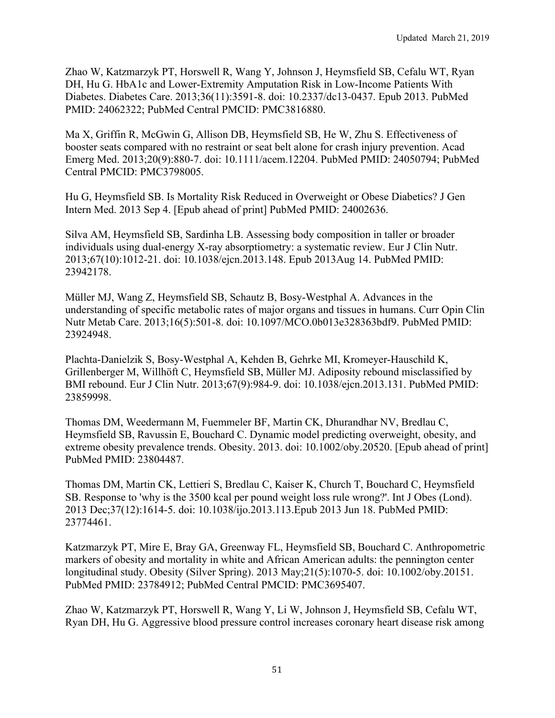Zhao W, Katzmarzyk PT, Horswell R, Wang Y, Johnson J, Heymsfield SB, Cefalu WT, Ryan DH, Hu G. HbA1c and Lower-Extremity Amputation Risk in Low-Income Patients With Diabetes. Diabetes Care. 2013;36(11):3591-8. doi: 10.2337/dc13-0437. Epub 2013. PubMed PMID: 24062322; PubMed Central PMCID: PMC3816880.

Ma X, Griffin R, McGwin G, Allison DB, Heymsfield SB, He W, Zhu S. Effectiveness of booster seats compared with no restraint or seat belt alone for crash injury prevention. Acad Emerg Med. 2013;20(9):880-7. doi: 10.1111/acem.12204. PubMed PMID: 24050794; PubMed Central PMCID: PMC3798005.

Hu G, Heymsfield SB. Is Mortality Risk Reduced in Overweight or Obese Diabetics? J Gen Intern Med. 2013 Sep 4. [Epub ahead of print] PubMed PMID: 24002636.

Silva AM, Heymsfield SB, Sardinha LB. Assessing body composition in taller or broader individuals using dual-energy X-ray absorptiometry: a systematic review. Eur J Clin Nutr. 2013;67(10):1012-21. doi: 10.1038/ejcn.2013.148. Epub 2013Aug 14. PubMed PMID: 23942178.

Müller MJ, Wang Z, Heymsfield SB, Schautz B, Bosy-Westphal A. Advances in the understanding of specific metabolic rates of major organs and tissues in humans. Curr Opin Clin Nutr Metab Care. 2013;16(5):501-8. doi: 10.1097/MCO.0b013e328363bdf9. PubMed PMID: 23924948.

Plachta-Danielzik S, Bosy-Westphal A, Kehden B, Gehrke MI, Kromeyer-Hauschild K, Grillenberger M, Willhöft C, Heymsfield SB, Müller MJ. Adiposity rebound misclassified by BMI rebound. Eur J Clin Nutr. 2013;67(9):984-9. doi: 10.1038/ejcn.2013.131. PubMed PMID: 23859998.

Thomas DM, Weedermann M, Fuemmeler BF, Martin CK, Dhurandhar NV, Bredlau C, Heymsfield SB, Ravussin E, Bouchard C. Dynamic model predicting overweight, obesity, and extreme obesity prevalence trends. Obesity. 2013. doi: 10.1002/oby.20520. [Epub ahead of print] PubMed PMID: 23804487.

Thomas DM, Martin CK, Lettieri S, Bredlau C, Kaiser K, Church T, Bouchard C, Heymsfield SB. Response to 'why is the 3500 kcal per pound weight loss rule wrong?'. Int J Obes (Lond). 2013 Dec;37(12):1614-5. doi: 10.1038/ijo.2013.113.Epub 2013 Jun 18. PubMed PMID: 23774461.

Katzmarzyk PT, Mire E, Bray GA, Greenway FL, Heymsfield SB, Bouchard C. Anthropometric markers of obesity and mortality in white and African American adults: the pennington center longitudinal study. Obesity (Silver Spring). 2013 May;21(5):1070-5. doi: 10.1002/oby.20151. PubMed PMID: 23784912; PubMed Central PMCID: PMC3695407.

Zhao W, Katzmarzyk PT, Horswell R, Wang Y, Li W, Johnson J, Heymsfield SB, Cefalu WT, Ryan DH, Hu G. Aggressive blood pressure control increases coronary heart disease risk among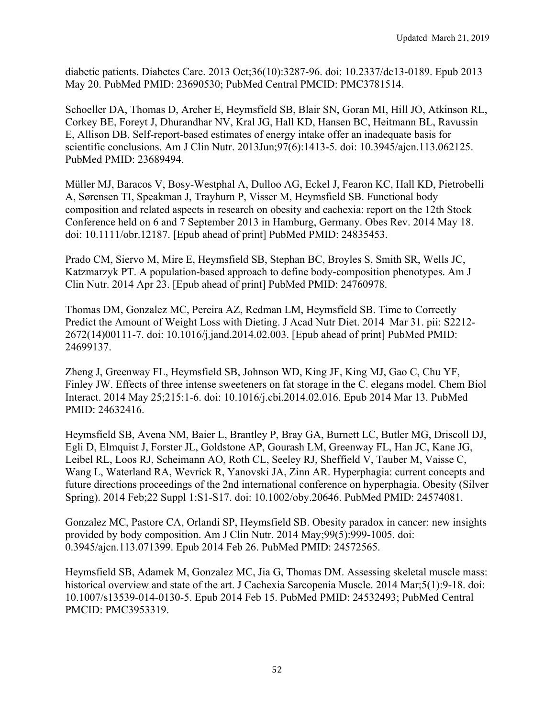diabetic patients. Diabetes Care. 2013 Oct;36(10):3287-96. doi: 10.2337/dc13-0189. Epub 2013 May 20. PubMed PMID: 23690530; PubMed Central PMCID: PMC3781514.

Schoeller DA, Thomas D, Archer E, Heymsfield SB, Blair SN, Goran MI, Hill JO, Atkinson RL, Corkey BE, Foreyt J, Dhurandhar NV, Kral JG, Hall KD, Hansen BC, Heitmann BL, Ravussin E, Allison DB. Self-report-based estimates of energy intake offer an inadequate basis for scientific conclusions. Am J Clin Nutr. 2013Jun;97(6):1413-5. doi: 10.3945/ajcn.113.062125. PubMed PMID: 23689494.

Müller MJ, Baracos V, Bosy-Westphal A, Dulloo AG, Eckel J, Fearon KC, Hall KD, Pietrobelli A, Sørensen TI, Speakman J, Trayhurn P, Visser M, Heymsfield SB. Functional body composition and related aspects in research on obesity and cachexia: report on the 12th Stock Conference held on 6 and 7 September 2013 in Hamburg, Germany. Obes Rev. 2014 May 18. doi: 10.1111/obr.12187. [Epub ahead of print] PubMed PMID: 24835453.

Prado CM, Siervo M, Mire E, Heymsfield SB, Stephan BC, Broyles S, Smith SR, Wells JC, Katzmarzyk PT. A population-based approach to define body-composition phenotypes. Am J Clin Nutr. 2014 Apr 23. [Epub ahead of print] PubMed PMID: 24760978.

Thomas DM, Gonzalez MC, Pereira AZ, Redman LM, Heymsfield SB. Time to Correctly Predict the Amount of Weight Loss with Dieting. J Acad Nutr Diet. 2014 Mar 31. pii: S2212- 2672(14)00111-7. doi: 10.1016/j.jand.2014.02.003. [Epub ahead of print] PubMed PMID: 24699137.

Zheng J, Greenway FL, Heymsfield SB, Johnson WD, King JF, King MJ, Gao C, Chu YF, Finley JW. Effects of three intense sweeteners on fat storage in the C. elegans model. Chem Biol Interact. 2014 May 25;215:1-6. doi: 10.1016/j.cbi.2014.02.016. Epub 2014 Mar 13. PubMed PMID: 24632416.

Heymsfield SB, Avena NM, Baier L, Brantley P, Bray GA, Burnett LC, Butler MG, Driscoll DJ, Egli D, Elmquist J, Forster JL, Goldstone AP, Gourash LM, Greenway FL, Han JC, Kane JG, Leibel RL, Loos RJ, Scheimann AO, Roth CL, Seeley RJ, Sheffield V, Tauber M, Vaisse C, Wang L, Waterland RA, Wevrick R, Yanovski JA, Zinn AR. Hyperphagia: current concepts and future directions proceedings of the 2nd international conference on hyperphagia. Obesity (Silver Spring). 2014 Feb;22 Suppl 1:S1-S17. doi: 10.1002/oby.20646. PubMed PMID: 24574081.

Gonzalez MC, Pastore CA, Orlandi SP, Heymsfield SB. Obesity paradox in cancer: new insights provided by body composition. Am J Clin Nutr. 2014 May;99(5):999-1005. doi: 0.3945/ajcn.113.071399. Epub 2014 Feb 26. PubMed PMID: 24572565.

Heymsfield SB, Adamek M, Gonzalez MC, Jia G, Thomas DM. Assessing skeletal muscle mass: historical overview and state of the art. J Cachexia Sarcopenia Muscle. 2014 Mar;5(1):9-18. doi: 10.1007/s13539-014-0130-5. Epub 2014 Feb 15. PubMed PMID: 24532493; PubMed Central PMCID: PMC3953319.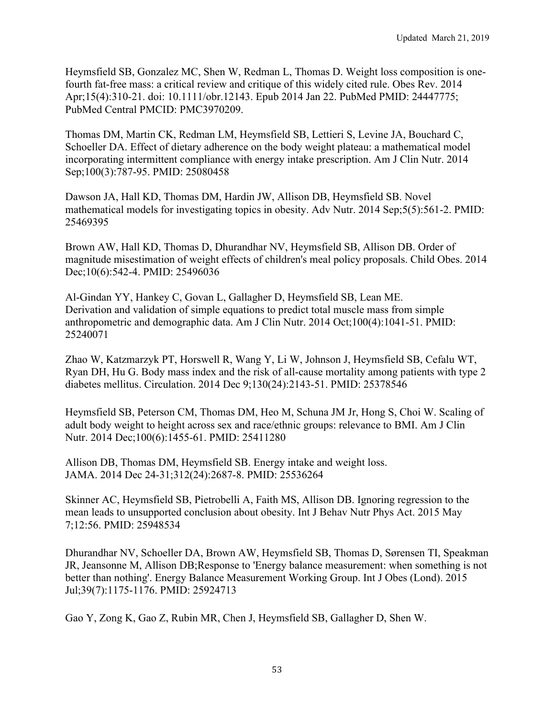Heymsfield SB, Gonzalez MC, Shen W, Redman L, Thomas D. Weight loss composition is onefourth fat-free mass: a critical review and critique of this widely cited rule. Obes Rev. 2014 Apr;15(4):310-21. doi: 10.1111/obr.12143. Epub 2014 Jan 22. PubMed PMID: 24447775; PubMed Central PMCID: PMC3970209.

Thomas DM, Martin CK, Redman LM, Heymsfield SB, Lettieri S, Levine JA, Bouchard C, Schoeller DA. Effect of dietary adherence on the body weight plateau: a mathematical model incorporating intermittent compliance with energy intake prescription. Am J Clin Nutr. 2014 Sep;100(3):787-95. PMID: 25080458

Dawson JA, Hall KD, Thomas DM, Hardin JW, Allison DB, Heymsfield SB. Novel mathematical models for investigating topics in obesity. Adv Nutr. 2014 Sep;5(5):561-2. PMID: 25469395

Brown AW, Hall KD, Thomas D, Dhurandhar NV, Heymsfield SB, Allison DB. Order of magnitude misestimation of weight effects of children's meal policy proposals. Child Obes. 2014 Dec;10(6):542-4. PMID: 25496036

Al-Gindan YY, Hankey C, Govan L, Gallagher D, Heymsfield SB, Lean ME. Derivation and validation of simple equations to predict total muscle mass from simple anthropometric and demographic data. Am J Clin Nutr. 2014 Oct;100(4):1041-51. PMID: 25240071

Zhao W, Katzmarzyk PT, Horswell R, Wang Y, Li W, Johnson J, Heymsfield SB, Cefalu WT, Ryan DH, Hu G. Body mass index and the risk of all-cause mortality among patients with type 2 diabetes mellitus. Circulation. 2014 Dec 9;130(24):2143-51. PMID: 25378546

Heymsfield SB, Peterson CM, Thomas DM, Heo M, Schuna JM Jr, Hong S, Choi W. Scaling of adult body weight to height across sex and race/ethnic groups: relevance to BMI. Am J Clin Nutr. 2014 Dec;100(6):1455-61. PMID: 25411280

Allison DB, Thomas DM, Heymsfield SB. Energy intake and weight loss. JAMA. 2014 Dec 24-31;312(24):2687-8. PMID: 25536264

Skinner AC, Heymsfield SB, Pietrobelli A, Faith MS, Allison DB. Ignoring regression to the mean leads to unsupported conclusion about obesity. Int J Behav Nutr Phys Act. 2015 May 7;12:56. PMID: 25948534

Dhurandhar NV, Schoeller DA, Brown AW, Heymsfield SB, Thomas D, Sørensen TI, Speakman JR, Jeansonne M, Allison DB;Response to 'Energy balance measurement: when something is not better than nothing'. Energy Balance Measurement Working Group. Int J Obes (Lond). 2015 Jul;39(7):1175-1176. PMID: 25924713

Gao Y, Zong K, Gao Z, Rubin MR, Chen J, Heymsfield SB, Gallagher D, Shen W.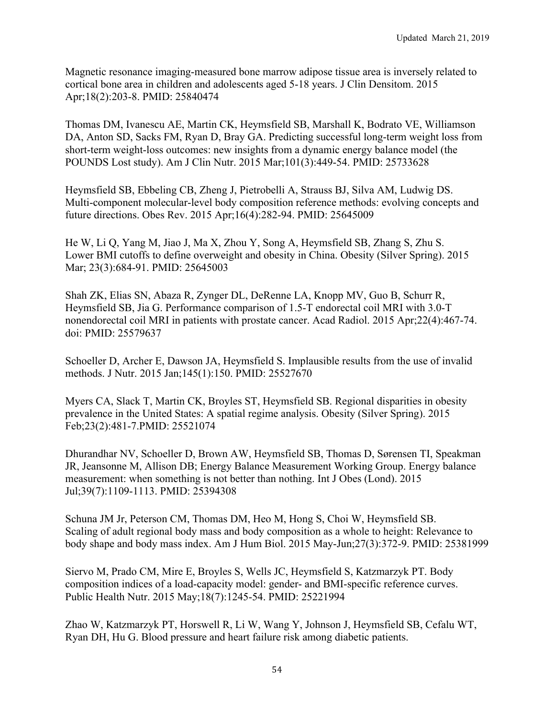Magnetic resonance imaging-measured bone marrow adipose tissue area is inversely related to cortical bone area in children and adolescents aged 5-18 years. J Clin Densitom. 2015 Apr;18(2):203-8. PMID: 25840474

Thomas DM, Ivanescu AE, Martin CK, Heymsfield SB, Marshall K, Bodrato VE, Williamson DA, Anton SD, Sacks FM, Ryan D, Bray GA. Predicting successful long-term weight loss from short-term weight-loss outcomes: new insights from a dynamic energy balance model (the POUNDS Lost study). Am J Clin Nutr. 2015 Mar;101(3):449-54. PMID: 25733628

Heymsfield SB, Ebbeling CB, Zheng J, Pietrobelli A, Strauss BJ, Silva AM, Ludwig DS. Multi-component molecular-level body composition reference methods: evolving concepts and future directions. Obes Rev. 2015 Apr;16(4):282-94. PMID: 25645009

He W, Li Q, Yang M, Jiao J, Ma X, Zhou Y, Song A, Heymsfield SB, Zhang S, Zhu S. Lower BMI cutoffs to define overweight and obesity in China. Obesity (Silver Spring). 2015 Mar; 23(3):684-91. PMID: 25645003

Shah ZK, Elias SN, Abaza R, Zynger DL, DeRenne LA, Knopp MV, Guo B, Schurr R, Heymsfield SB, Jia G. Performance comparison of 1.5-T endorectal coil MRI with 3.0-T nonendorectal coil MRI in patients with prostate cancer. Acad Radiol. 2015 Apr;22(4):467-74. doi: PMID: 25579637

Schoeller D, Archer E, Dawson JA, Heymsfield S. Implausible results from the use of invalid methods. J Nutr. 2015 Jan;145(1):150. PMID: 25527670

Myers CA, Slack T, Martin CK, Broyles ST, Heymsfield SB. Regional disparities in obesity prevalence in the United States: A spatial regime analysis. Obesity (Silver Spring). 2015 Feb;23(2):481-7.PMID: 25521074

Dhurandhar NV, Schoeller D, Brown AW, Heymsfield SB, Thomas D, Sørensen TI, Speakman JR, Jeansonne M, Allison DB; Energy Balance Measurement Working Group. Energy balance measurement: when something is not better than nothing. Int J Obes (Lond). 2015 Jul;39(7):1109-1113. PMID: 25394308

Schuna JM Jr, Peterson CM, Thomas DM, Heo M, Hong S, Choi W, Heymsfield SB. Scaling of adult regional body mass and body composition as a whole to height: Relevance to body shape and body mass index. Am J Hum Biol. 2015 May-Jun;27(3):372-9. PMID: 25381999

Siervo M, Prado CM, Mire E, Broyles S, Wells JC, Heymsfield S, Katzmarzyk PT. Body composition indices of a load-capacity model: gender- and BMI-specific reference curves. Public Health Nutr. 2015 May;18(7):1245-54. PMID: 25221994

Zhao W, Katzmarzyk PT, Horswell R, Li W, Wang Y, Johnson J, Heymsfield SB, Cefalu WT, Ryan DH, Hu G. Blood pressure and heart failure risk among diabetic patients.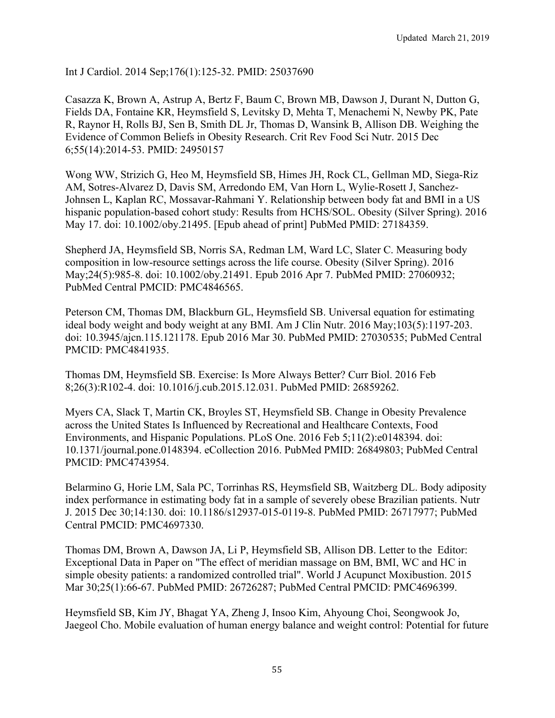Int J Cardiol. 2014 Sep;176(1):125-32. PMID: 25037690

Casazza K, Brown A, Astrup A, Bertz F, Baum C, Brown MB, Dawson J, Durant N, Dutton G, Fields DA, Fontaine KR, Heymsfield S, Levitsky D, Mehta T, Menachemi N, Newby PK, Pate R, Raynor H, Rolls BJ, Sen B, Smith DL Jr, Thomas D, Wansink B, Allison DB. Weighing the Evidence of Common Beliefs in Obesity Research. Crit Rev Food Sci Nutr. 2015 Dec 6;55(14):2014-53. PMID: 24950157

Wong WW, Strizich G, Heo M, Heymsfield SB, Himes JH, Rock CL, Gellman MD, Siega-Riz AM, Sotres-Alvarez D, Davis SM, Arredondo EM, Van Horn L, Wylie-Rosett J, Sanchez-Johnsen L, Kaplan RC, Mossavar-Rahmani Y. Relationship between body fat and BMI in a US hispanic population-based cohort study: Results from HCHS/SOL. Obesity (Silver Spring). 2016 May 17. doi: 10.1002/oby.21495. [Epub ahead of print] PubMed PMID: 27184359.

Shepherd JA, Heymsfield SB, Norris SA, Redman LM, Ward LC, Slater C. Measuring body composition in low-resource settings across the life course. Obesity (Silver Spring). 2016 May;24(5):985-8. doi: 10.1002/oby.21491. Epub 2016 Apr 7. PubMed PMID: 27060932; PubMed Central PMCID: PMC4846565.

Peterson CM, Thomas DM, Blackburn GL, Heymsfield SB. Universal equation for estimating ideal body weight and body weight at any BMI. Am J Clin Nutr. 2016 May;103(5):1197-203. doi: 10.3945/ajcn.115.121178. Epub 2016 Mar 30. PubMed PMID: 27030535; PubMed Central PMCID: PMC4841935.

Thomas DM, Heymsfield SB. Exercise: Is More Always Better? Curr Biol. 2016 Feb 8;26(3):R102-4. doi: 10.1016/j.cub.2015.12.031. PubMed PMID: 26859262.

Myers CA, Slack T, Martin CK, Broyles ST, Heymsfield SB. Change in Obesity Prevalence across the United States Is Influenced by Recreational and Healthcare Contexts, Food Environments, and Hispanic Populations. PLoS One. 2016 Feb 5;11(2):e0148394. doi: 10.1371/journal.pone.0148394. eCollection 2016. PubMed PMID: 26849803; PubMed Central PMCID: PMC4743954.

Belarmino G, Horie LM, Sala PC, Torrinhas RS, Heymsfield SB, Waitzberg DL. Body adiposity index performance in estimating body fat in a sample of severely obese Brazilian patients. Nutr J. 2015 Dec 30;14:130. doi: 10.1186/s12937-015-0119-8. PubMed PMID: 26717977; PubMed Central PMCID: PMC4697330.

Thomas DM, Brown A, Dawson JA, Li P, Heymsfield SB, Allison DB. Letter to the Editor: Exceptional Data in Paper on "The effect of meridian massage on BM, BMI, WC and HC in simple obesity patients: a randomized controlled trial". World J Acupunct Moxibustion. 2015 Mar 30;25(1):66-67. PubMed PMID: 26726287; PubMed Central PMCID: PMC4696399.

Heymsfield SB, Kim JY, Bhagat YA, Zheng J, Insoo Kim, Ahyoung Choi, Seongwook Jo, Jaegeol Cho. Mobile evaluation of human energy balance and weight control: Potential for future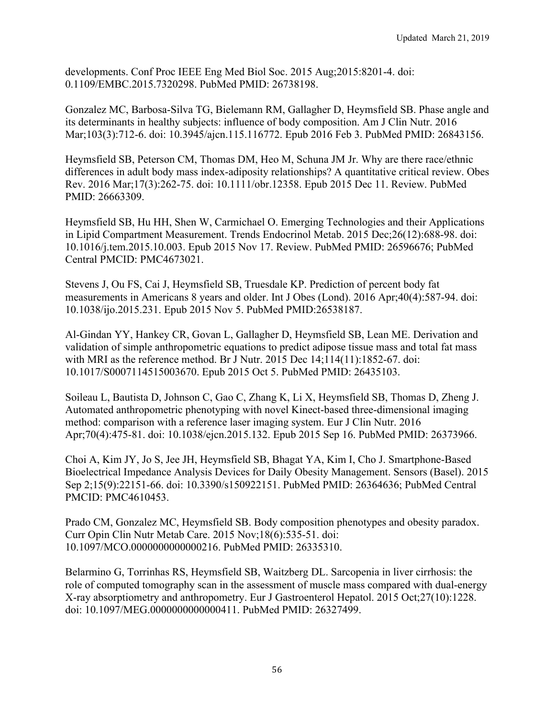developments. Conf Proc IEEE Eng Med Biol Soc. 2015 Aug;2015:8201-4. doi: 0.1109/EMBC.2015.7320298. PubMed PMID: 26738198.

Gonzalez MC, Barbosa-Silva TG, Bielemann RM, Gallagher D, Heymsfield SB. Phase angle and its determinants in healthy subjects: influence of body composition. Am J Clin Nutr. 2016 Mar;103(3):712-6. doi: 10.3945/ajcn.115.116772. Epub 2016 Feb 3. PubMed PMID: 26843156.

Heymsfield SB, Peterson CM, Thomas DM, Heo M, Schuna JM Jr. Why are there race/ethnic differences in adult body mass index-adiposity relationships? A quantitative critical review. Obes Rev. 2016 Mar;17(3):262-75. doi: 10.1111/obr.12358. Epub 2015 Dec 11. Review. PubMed PMID: 26663309.

Heymsfield SB, Hu HH, Shen W, Carmichael O. Emerging Technologies and their Applications in Lipid Compartment Measurement. Trends Endocrinol Metab. 2015 Dec;26(12):688-98. doi: 10.1016/j.tem.2015.10.003. Epub 2015 Nov 17. Review. PubMed PMID: 26596676; PubMed Central PMCID: PMC4673021.

Stevens J, Ou FS, Cai J, Heymsfield SB, Truesdale KP. Prediction of percent body fat measurements in Americans 8 years and older. Int J Obes (Lond). 2016 Apr;40(4):587-94. doi: 10.1038/ijo.2015.231. Epub 2015 Nov 5. PubMed PMID:26538187.

Al-Gindan YY, Hankey CR, Govan L, Gallagher D, Heymsfield SB, Lean ME. Derivation and validation of simple anthropometric equations to predict adipose tissue mass and total fat mass with MRI as the reference method. Br J Nutr. 2015 Dec 14;114(11):1852-67. doi: 10.1017/S0007114515003670. Epub 2015 Oct 5. PubMed PMID: 26435103.

Soileau L, Bautista D, Johnson C, Gao C, Zhang K, Li X, Heymsfield SB, Thomas D, Zheng J. Automated anthropometric phenotyping with novel Kinect-based three-dimensional imaging method: comparison with a reference laser imaging system. Eur J Clin Nutr. 2016 Apr;70(4):475-81. doi: 10.1038/ejcn.2015.132. Epub 2015 Sep 16. PubMed PMID: 26373966.

Choi A, Kim JY, Jo S, Jee JH, Heymsfield SB, Bhagat YA, Kim I, Cho J. Smartphone-Based Bioelectrical Impedance Analysis Devices for Daily Obesity Management. Sensors (Basel). 2015 Sep 2;15(9):22151-66. doi: 10.3390/s150922151. PubMed PMID: 26364636; PubMed Central PMCID: PMC4610453.

Prado CM, Gonzalez MC, Heymsfield SB. Body composition phenotypes and obesity paradox. Curr Opin Clin Nutr Metab Care. 2015 Nov;18(6):535-51. doi: 10.1097/MCO.0000000000000216. PubMed PMID: 26335310.

Belarmino G, Torrinhas RS, Heymsfield SB, Waitzberg DL. Sarcopenia in liver cirrhosis: the role of computed tomography scan in the assessment of muscle mass compared with dual-energy X-ray absorptiometry and anthropometry. Eur J Gastroenterol Hepatol. 2015 Oct;27(10):1228. doi: 10.1097/MEG.0000000000000411. PubMed PMID: 26327499.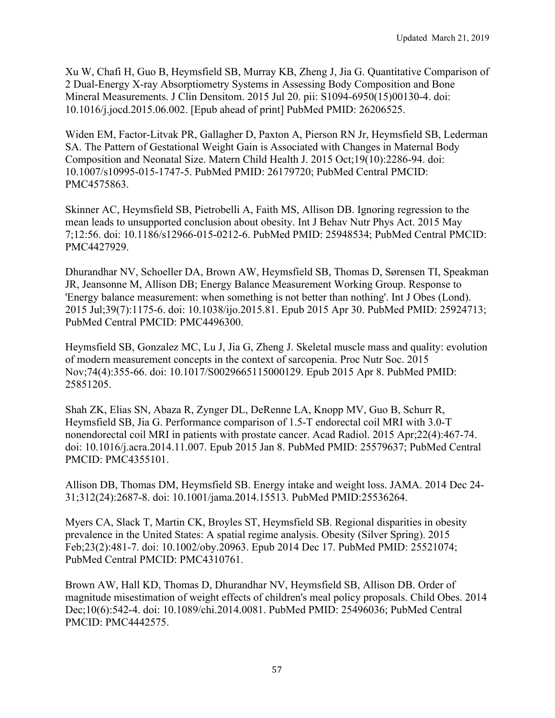Xu W, Chafi H, Guo B, Heymsfield SB, Murray KB, Zheng J, Jia G. Quantitative Comparison of 2 Dual-Energy X-ray Absorptiometry Systems in Assessing Body Composition and Bone Mineral Measurements. J Clin Densitom. 2015 Jul 20. pii: S1094-6950(15)00130-4. doi: 10.1016/j.jocd.2015.06.002. [Epub ahead of print] PubMed PMID: 26206525.

Widen EM, Factor-Litvak PR, Gallagher D, Paxton A, Pierson RN Jr, Heymsfield SB, Lederman SA. The Pattern of Gestational Weight Gain is Associated with Changes in Maternal Body Composition and Neonatal Size. Matern Child Health J. 2015 Oct;19(10):2286-94. doi: 10.1007/s10995-015-1747-5. PubMed PMID: 26179720; PubMed Central PMCID: PMC4575863.

Skinner AC, Heymsfield SB, Pietrobelli A, Faith MS, Allison DB. Ignoring regression to the mean leads to unsupported conclusion about obesity. Int J Behav Nutr Phys Act. 2015 May 7;12:56. doi: 10.1186/s12966-015-0212-6. PubMed PMID: 25948534; PubMed Central PMCID: PMC4427929.

Dhurandhar NV, Schoeller DA, Brown AW, Heymsfield SB, Thomas D, Sørensen TI, Speakman JR, Jeansonne M, Allison DB; Energy Balance Measurement Working Group. Response to 'Energy balance measurement: when something is not better than nothing'. Int J Obes (Lond). 2015 Jul;39(7):1175-6. doi: 10.1038/ijo.2015.81. Epub 2015 Apr 30. PubMed PMID: 25924713; PubMed Central PMCID: PMC4496300.

Heymsfield SB, Gonzalez MC, Lu J, Jia G, Zheng J. Skeletal muscle mass and quality: evolution of modern measurement concepts in the context of sarcopenia. Proc Nutr Soc. 2015 Nov;74(4):355-66. doi: 10.1017/S0029665115000129. Epub 2015 Apr 8. PubMed PMID: 25851205.

Shah ZK, Elias SN, Abaza R, Zynger DL, DeRenne LA, Knopp MV, Guo B, Schurr R, Heymsfield SB, Jia G. Performance comparison of 1.5-T endorectal coil MRI with 3.0-T nonendorectal coil MRI in patients with prostate cancer. Acad Radiol. 2015 Apr;22(4):467-74. doi: 10.1016/j.acra.2014.11.007. Epub 2015 Jan 8. PubMed PMID: 25579637; PubMed Central PMCID: PMC4355101.

Allison DB, Thomas DM, Heymsfield SB. Energy intake and weight loss. JAMA. 2014 Dec 24- 31;312(24):2687-8. doi: 10.1001/jama.2014.15513. PubMed PMID:25536264.

Myers CA, Slack T, Martin CK, Broyles ST, Heymsfield SB. Regional disparities in obesity prevalence in the United States: A spatial regime analysis. Obesity (Silver Spring). 2015 Feb;23(2):481-7. doi: 10.1002/oby.20963. Epub 2014 Dec 17. PubMed PMID: 25521074; PubMed Central PMCID: PMC4310761.

Brown AW, Hall KD, Thomas D, Dhurandhar NV, Heymsfield SB, Allison DB. Order of magnitude misestimation of weight effects of children's meal policy proposals. Child Obes. 2014 Dec;10(6):542-4. doi: 10.1089/chi.2014.0081. PubMed PMID: 25496036; PubMed Central PMCID: PMC4442575.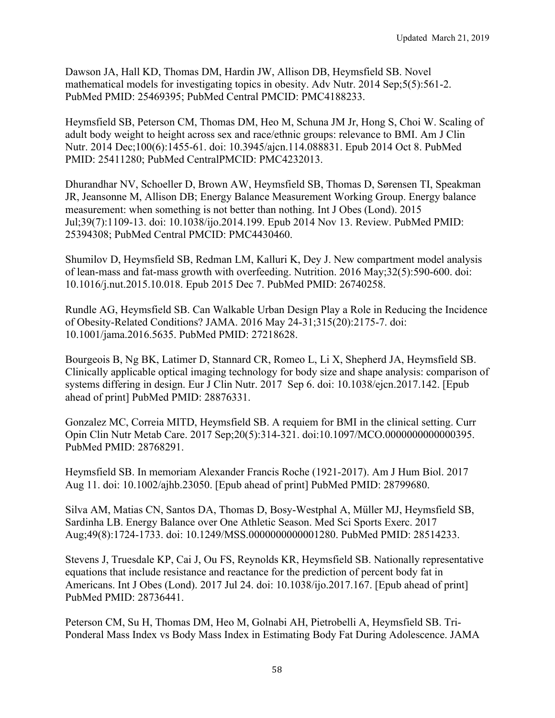Dawson JA, Hall KD, Thomas DM, Hardin JW, Allison DB, Heymsfield SB. Novel mathematical models for investigating topics in obesity. Adv Nutr. 2014 Sep;5(5):561-2. PubMed PMID: 25469395; PubMed Central PMCID: PMC4188233.

Heymsfield SB, Peterson CM, Thomas DM, Heo M, Schuna JM Jr, Hong S, Choi W. Scaling of adult body weight to height across sex and race/ethnic groups: relevance to BMI. Am J Clin Nutr. 2014 Dec;100(6):1455-61. doi: 10.3945/ajcn.114.088831. Epub 2014 Oct 8. PubMed PMID: 25411280; PubMed CentralPMCID: PMC4232013.

Dhurandhar NV, Schoeller D, Brown AW, Heymsfield SB, Thomas D, Sørensen TI, Speakman JR, Jeansonne M, Allison DB; Energy Balance Measurement Working Group. Energy balance measurement: when something is not better than nothing. Int J Obes (Lond). 2015 Jul;39(7):1109-13. doi: 10.1038/ijo.2014.199. Epub 2014 Nov 13. Review. PubMed PMID: 25394308; PubMed Central PMCID: PMC4430460.

Shumilov D, Heymsfield SB, Redman LM, Kalluri K, Dey J. New compartment model analysis of lean-mass and fat-mass growth with overfeeding. Nutrition. 2016 May;32(5):590-600. doi: 10.1016/j.nut.2015.10.018. Epub 2015 Dec 7. PubMed PMID: 26740258.

Rundle AG, Heymsfield SB. Can Walkable Urban Design Play a Role in Reducing the Incidence of Obesity-Related Conditions? JAMA. 2016 May 24-31;315(20):2175-7. doi: 10.1001/jama.2016.5635. PubMed PMID: 27218628.

Bourgeois B, Ng BK, Latimer D, Stannard CR, Romeo L, Li X, Shepherd JA, Heymsfield SB. Clinically applicable optical imaging technology for body size and shape analysis: comparison of systems differing in design. Eur J Clin Nutr. 2017 Sep 6. doi: 10.1038/ejcn.2017.142. [Epub ahead of print] PubMed PMID: 28876331.

Gonzalez MC, Correia MITD, Heymsfield SB. A requiem for BMI in the clinical setting. Curr Opin Clin Nutr Metab Care. 2017 Sep;20(5):314-321. doi:10.1097/MCO.0000000000000395. PubMed PMID: 28768291.

Heymsfield SB. In memoriam Alexander Francis Roche (1921-2017). Am J Hum Biol. 2017 Aug 11. doi: 10.1002/ajhb.23050. [Epub ahead of print] PubMed PMID: 28799680.

Silva AM, Matias CN, Santos DA, Thomas D, Bosy-Westphal A, Müller MJ, Heymsfield SB, Sardinha LB. Energy Balance over One Athletic Season. Med Sci Sports Exerc. 2017 Aug;49(8):1724-1733. doi: 10.1249/MSS.0000000000001280. PubMed PMID: 28514233.

Stevens J, Truesdale KP, Cai J, Ou FS, Reynolds KR, Heymsfield SB. Nationally representative equations that include resistance and reactance for the prediction of percent body fat in Americans. Int J Obes (Lond). 2017 Jul 24. doi: 10.1038/ijo.2017.167. [Epub ahead of print] PubMed PMID: 28736441.

Peterson CM, Su H, Thomas DM, Heo M, Golnabi AH, Pietrobelli A, Heymsfield SB. Tri-Ponderal Mass Index vs Body Mass Index in Estimating Body Fat During Adolescence. JAMA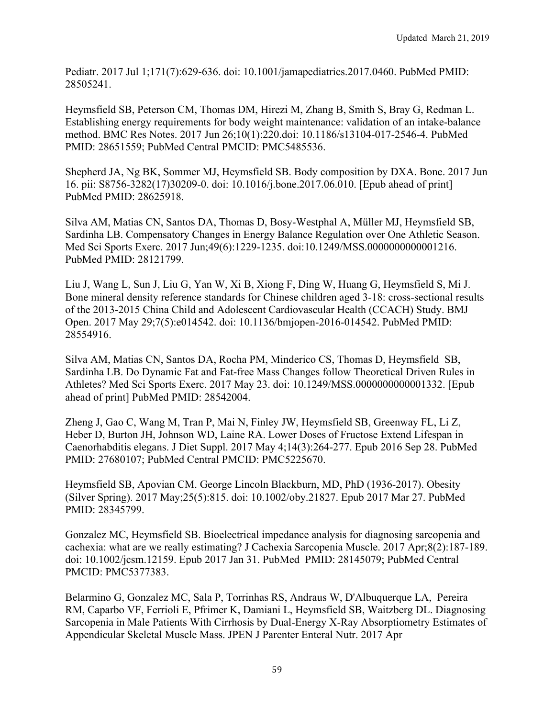Pediatr. 2017 Jul 1;171(7):629-636. doi: 10.1001/jamapediatrics.2017.0460. PubMed PMID: 28505241.

Heymsfield SB, Peterson CM, Thomas DM, Hirezi M, Zhang B, Smith S, Bray G, Redman L. Establishing energy requirements for body weight maintenance: validation of an intake-balance method. BMC Res Notes. 2017 Jun 26;10(1):220.doi: 10.1186/s13104-017-2546-4. PubMed PMID: 28651559; PubMed Central PMCID: PMC5485536.

Shepherd JA, Ng BK, Sommer MJ, Heymsfield SB. Body composition by DXA. Bone. 2017 Jun 16. pii: S8756-3282(17)30209-0. doi: 10.1016/j.bone.2017.06.010. [Epub ahead of print] PubMed PMID: 28625918.

Silva AM, Matias CN, Santos DA, Thomas D, Bosy-Westphal A, Müller MJ, Heymsfield SB, Sardinha LB. Compensatory Changes in Energy Balance Regulation over One Athletic Season. Med Sci Sports Exerc. 2017 Jun;49(6):1229-1235. doi:10.1249/MSS.0000000000001216. PubMed PMID: 28121799.

Liu J, Wang L, Sun J, Liu G, Yan W, Xi B, Xiong F, Ding W, Huang G, Heymsfield S, Mi J. Bone mineral density reference standards for Chinese children aged 3-18: cross-sectional results of the 2013-2015 China Child and Adolescent Cardiovascular Health (CCACH) Study. BMJ Open. 2017 May 29;7(5):e014542. doi: 10.1136/bmjopen-2016-014542. PubMed PMID: 28554916.

Silva AM, Matias CN, Santos DA, Rocha PM, Minderico CS, Thomas D, Heymsfield SB, Sardinha LB. Do Dynamic Fat and Fat-free Mass Changes follow Theoretical Driven Rules in Athletes? Med Sci Sports Exerc. 2017 May 23. doi: 10.1249/MSS.0000000000001332. [Epub ahead of print] PubMed PMID: 28542004.

Zheng J, Gao C, Wang M, Tran P, Mai N, Finley JW, Heymsfield SB, Greenway FL, Li Z, Heber D, Burton JH, Johnson WD, Laine RA. Lower Doses of Fructose Extend Lifespan in Caenorhabditis elegans. J Diet Suppl. 2017 May 4;14(3):264-277. Epub 2016 Sep 28. PubMed PMID: 27680107; PubMed Central PMCID: PMC5225670.

Heymsfield SB, Apovian CM. George Lincoln Blackburn, MD, PhD (1936-2017). Obesity (Silver Spring). 2017 May;25(5):815. doi: 10.1002/oby.21827. Epub 2017 Mar 27. PubMed PMID: 28345799.

Gonzalez MC, Heymsfield SB. Bioelectrical impedance analysis for diagnosing sarcopenia and cachexia: what are we really estimating? J Cachexia Sarcopenia Muscle. 2017 Apr;8(2):187-189. doi: 10.1002/jcsm.12159. Epub 2017 Jan 31. PubMed PMID: 28145079; PubMed Central PMCID: PMC5377383.

Belarmino G, Gonzalez MC, Sala P, Torrinhas RS, Andraus W, D'Albuquerque LA, Pereira RM, Caparbo VF, Ferrioli E, Pfrimer K, Damiani L, Heymsfield SB, Waitzberg DL. Diagnosing Sarcopenia in Male Patients With Cirrhosis by Dual-Energy X-Ray Absorptiometry Estimates of Appendicular Skeletal Muscle Mass. JPEN J Parenter Enteral Nutr. 2017 Apr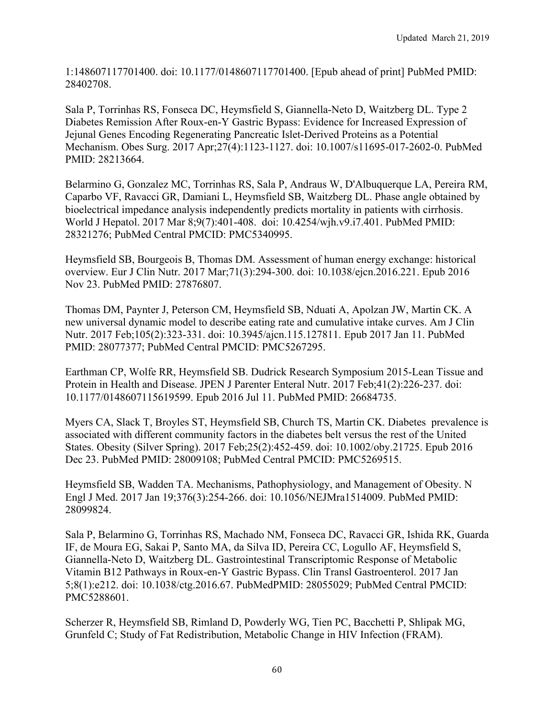1:148607117701400. doi: 10.1177/0148607117701400. [Epub ahead of print] PubMed PMID: 28402708.

Sala P, Torrinhas RS, Fonseca DC, Heymsfield S, Giannella-Neto D, Waitzberg DL. Type 2 Diabetes Remission After Roux-en-Y Gastric Bypass: Evidence for Increased Expression of Jejunal Genes Encoding Regenerating Pancreatic Islet-Derived Proteins as a Potential Mechanism. Obes Surg. 2017 Apr;27(4):1123-1127. doi: 10.1007/s11695-017-2602-0. PubMed PMID: 28213664.

Belarmino G, Gonzalez MC, Torrinhas RS, Sala P, Andraus W, D'Albuquerque LA, Pereira RM, Caparbo VF, Ravacci GR, Damiani L, Heymsfield SB, Waitzberg DL. Phase angle obtained by bioelectrical impedance analysis independently predicts mortality in patients with cirrhosis. World J Hepatol. 2017 Mar 8;9(7):401-408. doi: 10.4254/wjh.v9.i7.401. PubMed PMID: 28321276; PubMed Central PMCID: PMC5340995.

Heymsfield SB, Bourgeois B, Thomas DM. Assessment of human energy exchange: historical overview. Eur J Clin Nutr. 2017 Mar;71(3):294-300. doi: 10.1038/ejcn.2016.221. Epub 2016 Nov 23. PubMed PMID: 27876807.

Thomas DM, Paynter J, Peterson CM, Heymsfield SB, Nduati A, Apolzan JW, Martin CK. A new universal dynamic model to describe eating rate and cumulative intake curves. Am J Clin Nutr. 2017 Feb;105(2):323-331. doi: 10.3945/ajcn.115.127811. Epub 2017 Jan 11. PubMed PMID: 28077377; PubMed Central PMCID: PMC5267295.

Earthman CP, Wolfe RR, Heymsfield SB. Dudrick Research Symposium 2015-Lean Tissue and Protein in Health and Disease. JPEN J Parenter Enteral Nutr. 2017 Feb;41(2):226-237. doi: 10.1177/0148607115619599. Epub 2016 Jul 11. PubMed PMID: 26684735.

Myers CA, Slack T, Broyles ST, Heymsfield SB, Church TS, Martin CK. Diabetes prevalence is associated with different community factors in the diabetes belt versus the rest of the United States. Obesity (Silver Spring). 2017 Feb;25(2):452-459. doi: 10.1002/oby.21725. Epub 2016 Dec 23. PubMed PMID: 28009108; PubMed Central PMCID: PMC5269515.

Heymsfield SB, Wadden TA. Mechanisms, Pathophysiology, and Management of Obesity. N Engl J Med. 2017 Jan 19;376(3):254-266. doi: 10.1056/NEJMra1514009. PubMed PMID: 28099824.

Sala P, Belarmino G, Torrinhas RS, Machado NM, Fonseca DC, Ravacci GR, Ishida RK, Guarda IF, de Moura EG, Sakai P, Santo MA, da Silva ID, Pereira CC, Logullo AF, Heymsfield S, Giannella-Neto D, Waitzberg DL. Gastrointestinal Transcriptomic Response of Metabolic Vitamin B12 Pathways in Roux-en-Y Gastric Bypass. Clin Transl Gastroenterol. 2017 Jan 5;8(1):e212. doi: 10.1038/ctg.2016.67. PubMedPMID: 28055029; PubMed Central PMCID: PMC5288601.

Scherzer R, Heymsfield SB, Rimland D, Powderly WG, Tien PC, Bacchetti P, Shlipak MG, Grunfeld C; Study of Fat Redistribution, Metabolic Change in HIV Infection (FRAM).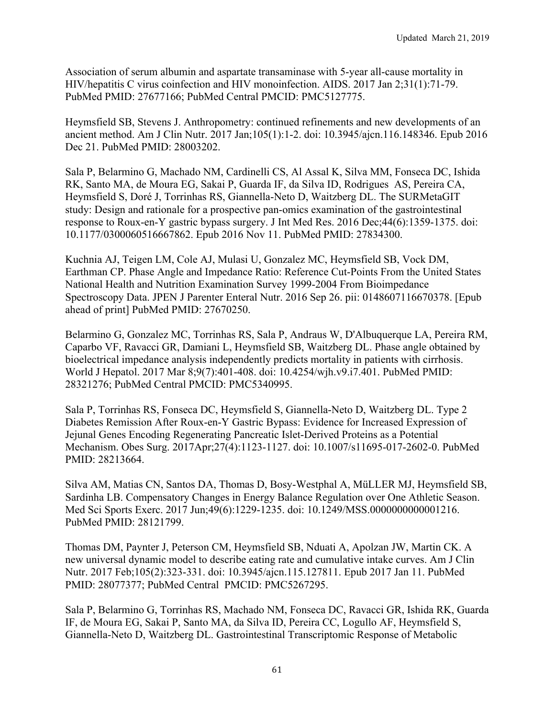Association of serum albumin and aspartate transaminase with 5-year all-cause mortality in HIV/hepatitis C virus coinfection and HIV monoinfection. AIDS. 2017 Jan 2;31(1):71-79. PubMed PMID: 27677166; PubMed Central PMCID: PMC5127775.

Heymsfield SB, Stevens J. Anthropometry: continued refinements and new developments of an ancient method. Am J Clin Nutr. 2017 Jan;105(1):1-2. doi: 10.3945/ajcn.116.148346. Epub 2016 Dec 21. PubMed PMID: 28003202.

Sala P, Belarmino G, Machado NM, Cardinelli CS, Al Assal K, Silva MM, Fonseca DC, Ishida RK, Santo MA, de Moura EG, Sakai P, Guarda IF, da Silva ID, Rodrigues AS, Pereira CA, Heymsfield S, Doré J, Torrinhas RS, Giannella-Neto D, Waitzberg DL. The SURMetaGIT study: Design and rationale for a prospective pan-omics examination of the gastrointestinal response to Roux-en-Y gastric bypass surgery. J Int Med Res. 2016 Dec;44(6):1359-1375. doi: 10.1177/0300060516667862. Epub 2016 Nov 11. PubMed PMID: 27834300.

Kuchnia AJ, Teigen LM, Cole AJ, Mulasi U, Gonzalez MC, Heymsfield SB, Vock DM, Earthman CP. Phase Angle and Impedance Ratio: Reference Cut-Points From the United States National Health and Nutrition Examination Survey 1999-2004 From Bioimpedance Spectroscopy Data. JPEN J Parenter Enteral Nutr. 2016 Sep 26. pii: 0148607116670378. [Epub ahead of print] PubMed PMID: 27670250.

Belarmino G, Gonzalez MC, Torrinhas RS, Sala P, Andraus W, D'Albuquerque LA, Pereira RM, Caparbo VF, Ravacci GR, Damiani L, Heymsfield SB, Waitzberg DL. Phase angle obtained by bioelectrical impedance analysis independently predicts mortality in patients with cirrhosis. World J Hepatol. 2017 Mar 8;9(7):401-408. doi: 10.4254/wjh.v9.i7.401. PubMed PMID: 28321276; PubMed Central PMCID: PMC5340995.

Sala P, Torrinhas RS, Fonseca DC, Heymsfield S, Giannella-Neto D, Waitzberg DL. Type 2 Diabetes Remission After Roux-en-Y Gastric Bypass: Evidence for Increased Expression of Jejunal Genes Encoding Regenerating Pancreatic Islet-Derived Proteins as a Potential Mechanism. Obes Surg. 2017Apr;27(4):1123-1127. doi: 10.1007/s11695-017-2602-0. PubMed PMID: 28213664.

Silva AM, Matias CN, Santos DA, Thomas D, Bosy-Westphal A, MüLLER MJ, Heymsfield SB, Sardinha LB. Compensatory Changes in Energy Balance Regulation over One Athletic Season. Med Sci Sports Exerc. 2017 Jun;49(6):1229-1235. doi: 10.1249/MSS.0000000000001216. PubMed PMID: 28121799.

Thomas DM, Paynter J, Peterson CM, Heymsfield SB, Nduati A, Apolzan JW, Martin CK. A new universal dynamic model to describe eating rate and cumulative intake curves. Am J Clin Nutr. 2017 Feb;105(2):323-331. doi: 10.3945/ajcn.115.127811. Epub 2017 Jan 11. PubMed PMID: 28077377; PubMed Central PMCID: PMC5267295.

Sala P, Belarmino G, Torrinhas RS, Machado NM, Fonseca DC, Ravacci GR, Ishida RK, Guarda IF, de Moura EG, Sakai P, Santo MA, da Silva ID, Pereira CC, Logullo AF, Heymsfield S, Giannella-Neto D, Waitzberg DL. Gastrointestinal Transcriptomic Response of Metabolic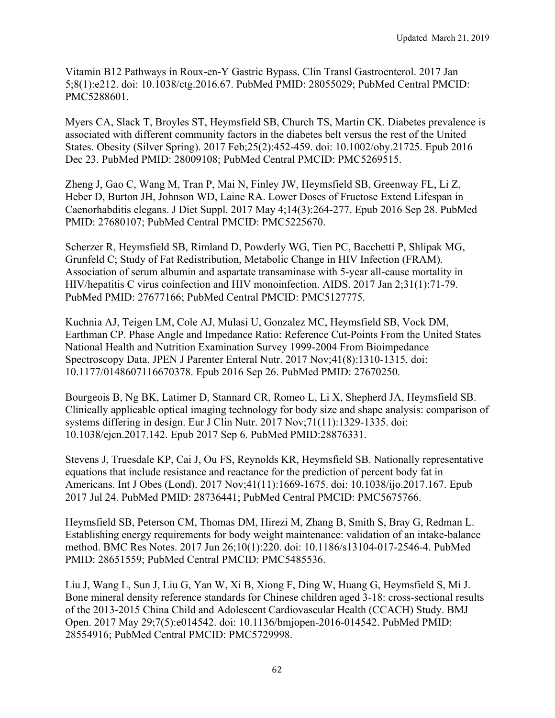Vitamin B12 Pathways in Roux-en-Y Gastric Bypass. Clin Transl Gastroenterol. 2017 Jan 5;8(1):e212. doi: 10.1038/ctg.2016.67. PubMed PMID: 28055029; PubMed Central PMCID: PMC5288601.

Myers CA, Slack T, Broyles ST, Heymsfield SB, Church TS, Martin CK. Diabetes prevalence is associated with different community factors in the diabetes belt versus the rest of the United States. Obesity (Silver Spring). 2017 Feb;25(2):452-459. doi: 10.1002/oby.21725. Epub 2016 Dec 23. PubMed PMID: 28009108; PubMed Central PMCID: PMC5269515.

Zheng J, Gao C, Wang M, Tran P, Mai N, Finley JW, Heymsfield SB, Greenway FL, Li Z, Heber D, Burton JH, Johnson WD, Laine RA. Lower Doses of Fructose Extend Lifespan in Caenorhabditis elegans. J Diet Suppl. 2017 May 4;14(3):264-277. Epub 2016 Sep 28. PubMed PMID: 27680107; PubMed Central PMCID: PMC5225670.

Scherzer R, Heymsfield SB, Rimland D, Powderly WG, Tien PC, Bacchetti P, Shlipak MG, Grunfeld C; Study of Fat Redistribution, Metabolic Change in HIV Infection (FRAM). Association of serum albumin and aspartate transaminase with 5-year all-cause mortality in HIV/hepatitis C virus coinfection and HIV monoinfection. AIDS. 2017 Jan 2;31(1):71-79. PubMed PMID: 27677166; PubMed Central PMCID: PMC5127775.

Kuchnia AJ, Teigen LM, Cole AJ, Mulasi U, Gonzalez MC, Heymsfield SB, Vock DM, Earthman CP. Phase Angle and Impedance Ratio: Reference Cut-Points From the United States National Health and Nutrition Examination Survey 1999-2004 From Bioimpedance Spectroscopy Data. JPEN J Parenter Enteral Nutr. 2017 Nov;41(8):1310-1315. doi: 10.1177/0148607116670378. Epub 2016 Sep 26. PubMed PMID: 27670250.

Bourgeois B, Ng BK, Latimer D, Stannard CR, Romeo L, Li X, Shepherd JA, Heymsfield SB. Clinically applicable optical imaging technology for body size and shape analysis: comparison of systems differing in design. Eur J Clin Nutr. 2017 Nov;71(11):1329-1335. doi: 10.1038/ejcn.2017.142. Epub 2017 Sep 6. PubMed PMID:28876331.

Stevens J, Truesdale KP, Cai J, Ou FS, Reynolds KR, Heymsfield SB. Nationally representative equations that include resistance and reactance for the prediction of percent body fat in Americans. Int J Obes (Lond). 2017 Nov;41(11):1669-1675. doi: 10.1038/ijo.2017.167. Epub 2017 Jul 24. PubMed PMID: 28736441; PubMed Central PMCID: PMC5675766.

Heymsfield SB, Peterson CM, Thomas DM, Hirezi M, Zhang B, Smith S, Bray G, Redman L. Establishing energy requirements for body weight maintenance: validation of an intake-balance method. BMC Res Notes. 2017 Jun 26;10(1):220. doi: 10.1186/s13104-017-2546-4. PubMed PMID: 28651559; PubMed Central PMCID: PMC5485536.

Liu J, Wang L, Sun J, Liu G, Yan W, Xi B, Xiong F, Ding W, Huang G, Heymsfield S, Mi J. Bone mineral density reference standards for Chinese children aged 3-18: cross-sectional results of the 2013-2015 China Child and Adolescent Cardiovascular Health (CCACH) Study. BMJ Open. 2017 May 29;7(5):e014542. doi: 10.1136/bmjopen-2016-014542. PubMed PMID: 28554916; PubMed Central PMCID: PMC5729998.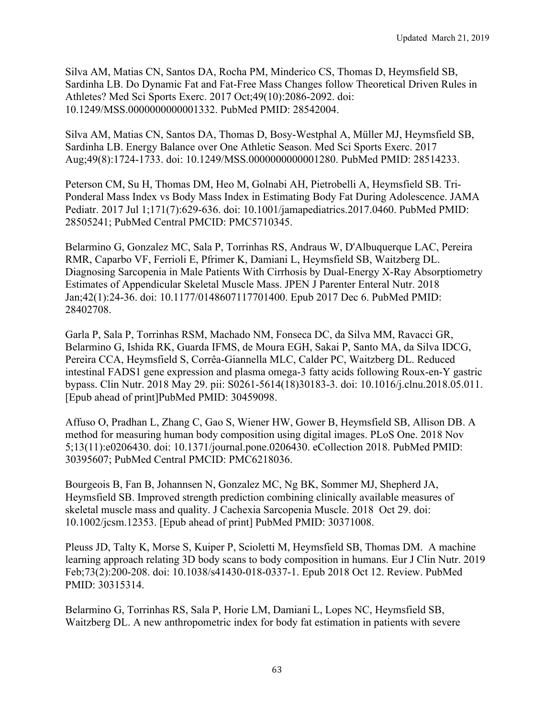Silva AM, Matias CN, Santos DA, Rocha PM, Minderico CS, Thomas D, Heymsfield SB, Sardinha LB. Do Dynamic Fat and Fat-Free Mass Changes follow Theoretical Driven Rules in Athletes? Med Sci Sports Exerc. 2017 Oct;49(10):2086-2092. doi: 10.1249/MSS.0000000000001332. PubMed PMID: 28542004.

Silva AM, Matias CN, Santos DA, Thomas D, Bosy-Westphal A, Müller MJ, Heymsfield SB, Sardinha LB. Energy Balance over One Athletic Season. Med Sci Sports Exerc. 2017 Aug;49(8):1724-1733. doi: 10.1249/MSS.0000000000001280. PubMed PMID: 28514233.

Peterson CM, Su H, Thomas DM, Heo M, Golnabi AH, Pietrobelli A, Heymsfield SB. Tri-Ponderal Mass Index vs Body Mass Index in Estimating Body Fat During Adolescence. JAMA Pediatr. 2017 Jul 1;171(7):629-636. doi: 10.1001/jamapediatrics.2017.0460. PubMed PMID: 28505241; PubMed Central PMCID: PMC5710345.

Belarmino G, Gonzalez MC, Sala P, Torrinhas RS, Andraus W, D'Albuquerque LAC, Pereira RMR, Caparbo VF, Ferrioli E, Pfrimer K, Damiani L, Heymsfield SB, Waitzberg DL. Diagnosing Sarcopenia in Male Patients With Cirrhosis by Dual-Energy X-Ray Absorptiometry Estimates of Appendicular Skeletal Muscle Mass. JPEN J Parenter Enteral Nutr. 2018 Jan;42(1):24-36. doi: 10.1177/0148607117701400. Epub 2017 Dec 6. PubMed PMID: 28402708.

Garla P, Sala P, Torrinhas RSM, Machado NM, Fonseca DC, da Silva MM, Ravacci GR, Belarmino G, Ishida RK, Guarda IFMS, de Moura EGH, Sakai P, Santo MA, da Silva IDCG, Pereira CCA, Heymsfield S, Corrêa-Giannella MLC, Calder PC, Waitzberg DL. Reduced intestinal FADS1 gene expression and plasma omega-3 fatty acids following Roux-en-Y gastric bypass. Clin Nutr. 2018 May 29. pii: S0261-5614(18)30183-3. doi: 10.1016/j.clnu.2018.05.011. [Epub ahead of print]PubMed PMID: 30459098.

Affuso O, Pradhan L, Zhang C, Gao S, Wiener HW, Gower B, Heymsfield SB, Allison DB. A method for measuring human body composition using digital images. PLoS One. 2018 Nov 5;13(11):e0206430. doi: 10.1371/journal.pone.0206430. eCollection 2018. PubMed PMID: 30395607; PubMed Central PMCID: PMC6218036.

Bourgeois B, Fan B, Johannsen N, Gonzalez MC, Ng BK, Sommer MJ, Shepherd JA, Heymsfield SB. Improved strength prediction combining clinically available measures of skeletal muscle mass and quality. J Cachexia Sarcopenia Muscle. 2018 Oct 29. doi: 10.1002/jcsm.12353. [Epub ahead of print] PubMed PMID: 30371008.

Pleuss JD, Talty K, Morse S, Kuiper P, Scioletti M, Heymsfield SB, Thomas DM. A machine learning approach relating 3D body scans to body composition in humans. Eur J Clin Nutr. 2019 Feb;73(2):200-208. doi: 10.1038/s41430-018-0337-1. Epub 2018 Oct 12. Review. PubMed PMID: 30315314.

Belarmino G, Torrinhas RS, Sala P, Horie LM, Damiani L, Lopes NC, Heymsfield SB, Waitzberg DL. A new anthropometric index for body fat estimation in patients with severe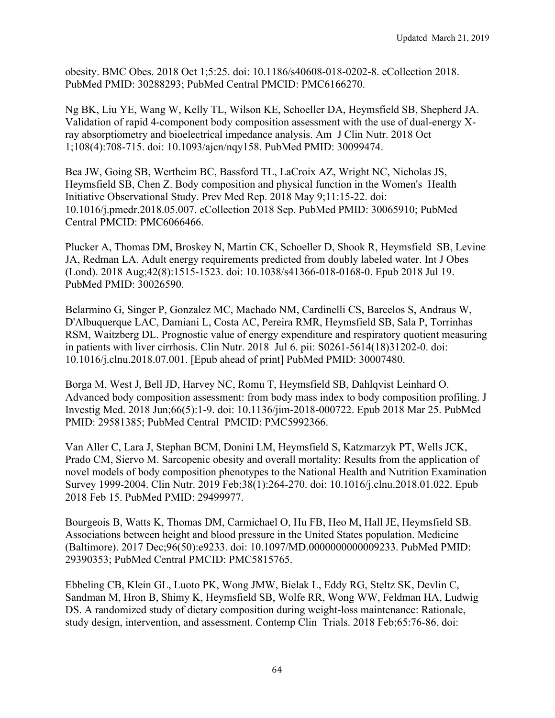obesity. BMC Obes. 2018 Oct 1;5:25. doi: 10.1186/s40608-018-0202-8. eCollection 2018. PubMed PMID: 30288293; PubMed Central PMCID: PMC6166270.

Ng BK, Liu YE, Wang W, Kelly TL, Wilson KE, Schoeller DA, Heymsfield SB, Shepherd JA. Validation of rapid 4-component body composition assessment with the use of dual-energy Xray absorptiometry and bioelectrical impedance analysis. Am J Clin Nutr. 2018 Oct 1;108(4):708-715. doi: 10.1093/ajcn/nqy158. PubMed PMID: 30099474.

Bea JW, Going SB, Wertheim BC, Bassford TL, LaCroix AZ, Wright NC, Nicholas JS, Heymsfield SB, Chen Z. Body composition and physical function in the Women's Health Initiative Observational Study. Prev Med Rep. 2018 May 9;11:15-22. doi: 10.1016/j.pmedr.2018.05.007. eCollection 2018 Sep. PubMed PMID: 30065910; PubMed Central PMCID: PMC6066466.

Plucker A, Thomas DM, Broskey N, Martin CK, Schoeller D, Shook R, Heymsfield SB, Levine JA, Redman LA. Adult energy requirements predicted from doubly labeled water. Int J Obes (Lond). 2018 Aug;42(8):1515-1523. doi: 10.1038/s41366-018-0168-0. Epub 2018 Jul 19. PubMed PMID: 30026590.

Belarmino G, Singer P, Gonzalez MC, Machado NM, Cardinelli CS, Barcelos S, Andraus W, D'Albuquerque LAC, Damiani L, Costa AC, Pereira RMR, Heymsfield SB, Sala P, Torrinhas RSM, Waitzberg DL. Prognostic value of energy expenditure and respiratory quotient measuring in patients with liver cirrhosis. Clin Nutr. 2018 Jul 6. pii: S0261-5614(18)31202-0. doi: 10.1016/j.clnu.2018.07.001. [Epub ahead of print] PubMed PMID: 30007480.

Borga M, West J, Bell JD, Harvey NC, Romu T, Heymsfield SB, Dahlqvist Leinhard O. Advanced body composition assessment: from body mass index to body composition profiling. J Investig Med. 2018 Jun;66(5):1-9. doi: 10.1136/jim-2018-000722. Epub 2018 Mar 25. PubMed PMID: 29581385; PubMed Central PMCID: PMC5992366.

Van Aller C, Lara J, Stephan BCM, Donini LM, Heymsfield S, Katzmarzyk PT, Wells JCK, Prado CM, Siervo M. Sarcopenic obesity and overall mortality: Results from the application of novel models of body composition phenotypes to the National Health and Nutrition Examination Survey 1999-2004. Clin Nutr. 2019 Feb;38(1):264-270. doi: 10.1016/j.clnu.2018.01.022. Epub 2018 Feb 15. PubMed PMID: 29499977.

Bourgeois B, Watts K, Thomas DM, Carmichael O, Hu FB, Heo M, Hall JE, Heymsfield SB. Associations between height and blood pressure in the United States population. Medicine (Baltimore). 2017 Dec;96(50):e9233. doi: 10.1097/MD.0000000000009233. PubMed PMID: 29390353; PubMed Central PMCID: PMC5815765.

Ebbeling CB, Klein GL, Luoto PK, Wong JMW, Bielak L, Eddy RG, Steltz SK, Devlin C, Sandman M, Hron B, Shimy K, Heymsfield SB, Wolfe RR, Wong WW, Feldman HA, Ludwig DS. A randomized study of dietary composition during weight-loss maintenance: Rationale, study design, intervention, and assessment. Contemp Clin Trials. 2018 Feb;65:76-86. doi: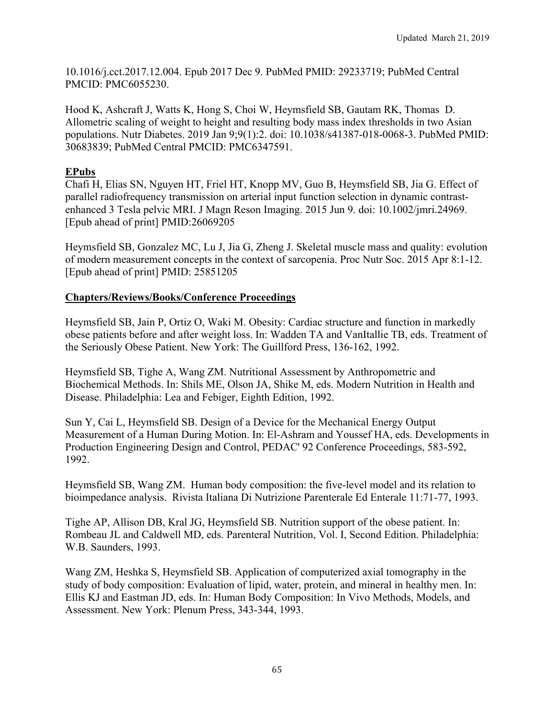10.1016/j.cct.2017.12.004. Epub 2017 Dec 9. PubMed PMID: 29233719; PubMed Central PMCID: PMC6055230.

Hood K, Ashcraft J, Watts K, Hong S, Choi W, Heymsfield SB, Gautam RK, Thomas D. Allometric scaling of weight to height and resulting body mass index thresholds in two Asian populations. Nutr Diabetes. 2019 Jan 9;9(1):2. doi: 10.1038/s41387-018-0068-3. PubMed PMID: 30683839; PubMed Central PMCID: PMC6347591.

## **EPubs**

Chafi H, Elias SN, Nguyen HT, Friel HT, Knopp MV, Guo B, Heymsfield SB, Jia G. Effect of parallel radiofrequency transmission on arterial input function selection in dynamic contrastenhanced 3 Tesla pelvic MRI. J Magn Reson Imaging. 2015 Jun 9. doi: 10.1002/jmri.24969. [Epub ahead of print] PMID:26069205

Heymsfield SB, Gonzalez MC, Lu J, Jia G, Zheng J. Skeletal muscle mass and quality: evolution of modern measurement concepts in the context of sarcopenia. Proc Nutr Soc. 2015 Apr 8:1-12. [Epub ahead of print] PMID: 25851205

## **Chapters/Reviews/Books/Conference Proceedings**

Heymsfield SB, Jain P, Ortiz O, Waki M. Obesity: Cardiac structure and function in markedly obese patients before and after weight loss. In: Wadden TA and VanItallie TB, eds. Treatment of the Seriously Obese Patient. New York: The Guillford Press, 136-162, 1992.

Heymsfield SB, Tighe A, Wang ZM. Nutritional Assessment by Anthropometric and Biochemical Methods. In: Shils ME, Olson JA, Shike M, eds. Modern Nutrition in Health and Disease. Philadelphia: Lea and Febiger, Eighth Edition, 1992.

Sun Y, Cai L, Heymsfield SB. Design of a Device for the Mechanical Energy Output Measurement of a Human During Motion. In: El-Ashram and Youssef HA, eds. Developments in Production Engineering Design and Control, PEDAC' 92 Conference Proceedings, 583-592, 1992.

Heymsfield SB, Wang ZM. Human body composition: the five-level model and its relation to bioimpedance analysis. Rivista Italiana Di Nutrizione Parenterale Ed Enterale 11:71-77, 1993.

Tighe AP, Allison DB, Kral JG, Heymsfield SB. Nutrition support of the obese patient. In: Rombeau JL and Caldwell MD, eds. Parenteral Nutrition, Vol. I, Second Edition. Philadelphia: W.B. Saunders, 1993.

Wang ZM, Heshka S, Heymsfield SB. Application of computerized axial tomography in the study of body composition: Evaluation of lipid, water, protein, and mineral in healthy men. In: Ellis KJ and Eastman JD, eds. In: Human Body Composition: In Vivo Methods, Models, and Assessment. New York: Plenum Press, 343-344, 1993.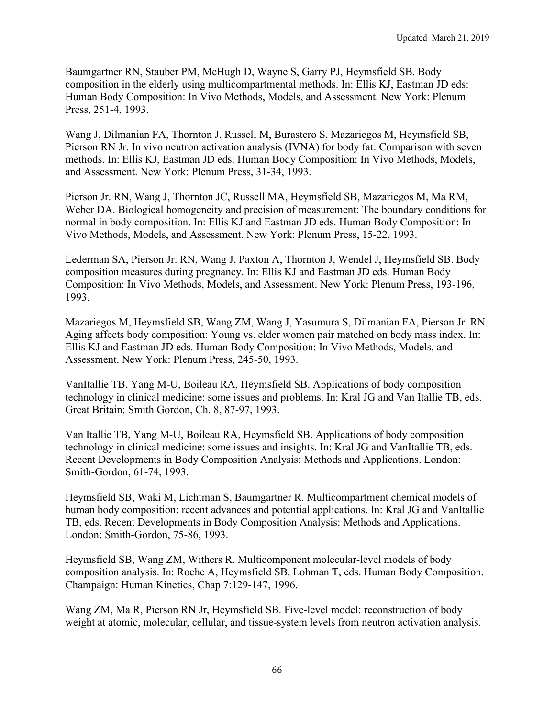Baumgartner RN, Stauber PM, McHugh D, Wayne S, Garry PJ, Heymsfield SB. Body composition in the elderly using multicompartmental methods. In: Ellis KJ, Eastman JD eds: Human Body Composition: In Vivo Methods, Models, and Assessment. New York: Plenum Press, 251-4, 1993.

Wang J, Dilmanian FA, Thornton J, Russell M, Burastero S, Mazariegos M, Heymsfield SB, Pierson RN Jr. In vivo neutron activation analysis (IVNA) for body fat: Comparison with seven methods. In: Ellis KJ, Eastman JD eds. Human Body Composition: In Vivo Methods, Models, and Assessment. New York: Plenum Press, 31-34, 1993.

Pierson Jr. RN, Wang J, Thornton JC, Russell MA, Heymsfield SB, Mazariegos M, Ma RM, Weber DA. Biological homogeneity and precision of measurement: The boundary conditions for normal in body composition. In: Ellis KJ and Eastman JD eds. Human Body Composition: In Vivo Methods, Models, and Assessment. New York: Plenum Press, 15-22, 1993.

Lederman SA, Pierson Jr. RN, Wang J, Paxton A, Thornton J, Wendel J, Heymsfield SB. Body composition measures during pregnancy. In: Ellis KJ and Eastman JD eds. Human Body Composition: In Vivo Methods, Models, and Assessment. New York: Plenum Press, 193-196, 1993.

Mazariegos M, Heymsfield SB, Wang ZM, Wang J, Yasumura S, Dilmanian FA, Pierson Jr. RN. Aging affects body composition: Young vs. elder women pair matched on body mass index. In: Ellis KJ and Eastman JD eds. Human Body Composition: In Vivo Methods, Models, and Assessment. New York: Plenum Press, 245-50, 1993.

VanItallie TB, Yang M-U, Boileau RA, Heymsfield SB. Applications of body composition technology in clinical medicine: some issues and problems. In: Kral JG and Van Itallie TB, eds. Great Britain: Smith Gordon, Ch. 8, 87-97, 1993.

Van Itallie TB, Yang M-U, Boileau RA, Heymsfield SB. Applications of body composition technology in clinical medicine: some issues and insights. In: Kral JG and VanItallie TB, eds. Recent Developments in Body Composition Analysis: Methods and Applications. London: Smith-Gordon, 61-74, 1993.

Heymsfield SB, Waki M, Lichtman S, Baumgartner R. Multicompartment chemical models of human body composition: recent advances and potential applications. In: Kral JG and VanItallie TB, eds. Recent Developments in Body Composition Analysis: Methods and Applications. London: Smith-Gordon, 75-86, 1993.

Heymsfield SB, Wang ZM, Withers R. Multicomponent molecular-level models of body composition analysis. In: Roche A, Heymsfield SB, Lohman T, eds. Human Body Composition. Champaign: Human Kinetics, Chap 7:129-147, 1996.

Wang ZM, Ma R, Pierson RN Jr, Heymsfield SB. Five-level model: reconstruction of body weight at atomic, molecular, cellular, and tissue-system levels from neutron activation analysis.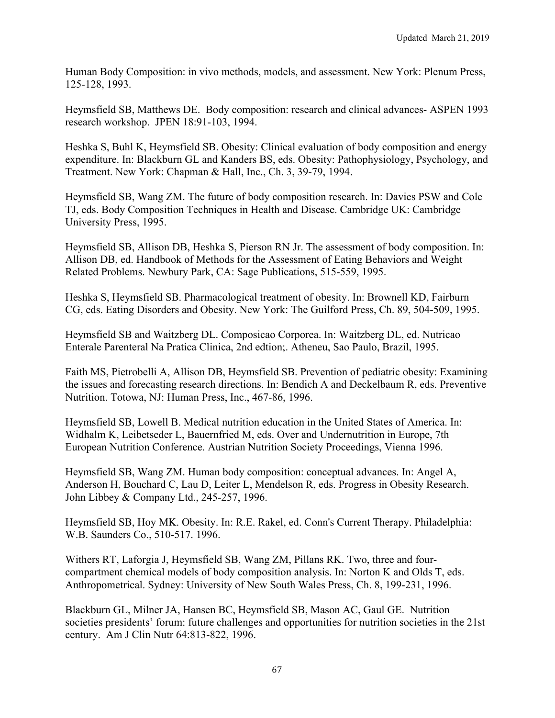Human Body Composition: in vivo methods, models, and assessment. New York: Plenum Press, 125-128, 1993.

Heymsfield SB, Matthews DE. Body composition: research and clinical advances- ASPEN 1993 research workshop. JPEN 18:91-103, 1994.

Heshka S, Buhl K, Heymsfield SB. Obesity: Clinical evaluation of body composition and energy expenditure. In: Blackburn GL and Kanders BS, eds. Obesity: Pathophysiology, Psychology, and Treatment. New York: Chapman & Hall, Inc., Ch. 3, 39-79, 1994.

Heymsfield SB, Wang ZM. The future of body composition research. In: Davies PSW and Cole TJ, eds. Body Composition Techniques in Health and Disease. Cambridge UK: Cambridge University Press, 1995.

Heymsfield SB, Allison DB, Heshka S, Pierson RN Jr. The assessment of body composition. In: Allison DB, ed. Handbook of Methods for the Assessment of Eating Behaviors and Weight Related Problems. Newbury Park, CA: Sage Publications, 515-559, 1995.

Heshka S, Heymsfield SB. Pharmacological treatment of obesity. In: Brownell KD, Fairburn CG, eds. Eating Disorders and Obesity. New York: The Guilford Press, Ch. 89, 504-509, 1995.

Heymsfield SB and Waitzberg DL. Composicao Corporea. In: Waitzberg DL, ed. Nutricao Enterale Parenteral Na Pratica Clinica, 2nd edtion;. Atheneu, Sao Paulo, Brazil, 1995.

Faith MS, Pietrobelli A, Allison DB, Heymsfield SB. Prevention of pediatric obesity: Examining the issues and forecasting research directions. In: Bendich A and Deckelbaum R, eds. Preventive Nutrition. Totowa, NJ: Human Press, Inc., 467-86, 1996.

Heymsfield SB, Lowell B. Medical nutrition education in the United States of America. In: Widhalm K, Leibetseder L, Bauernfried M, eds. Over and Undernutrition in Europe, 7th European Nutrition Conference. Austrian Nutrition Society Proceedings, Vienna 1996.

Heymsfield SB, Wang ZM. Human body composition: conceptual advances. In: Angel A, Anderson H, Bouchard C, Lau D, Leiter L, Mendelson R, eds. Progress in Obesity Research. John Libbey & Company Ltd., 245-257, 1996.

Heymsfield SB, Hoy MK. Obesity. In: R.E. Rakel, ed. Conn's Current Therapy. Philadelphia: W.B. Saunders Co., 510-517. 1996.

Withers RT, Laforgia J, Heymsfield SB, Wang ZM, Pillans RK. Two, three and fourcompartment chemical models of body composition analysis. In: Norton K and Olds T, eds. Anthropometrical. Sydney: University of New South Wales Press, Ch. 8, 199-231, 1996.

Blackburn GL, Milner JA, Hansen BC, Heymsfield SB, Mason AC, Gaul GE. Nutrition societies presidents' forum: future challenges and opportunities for nutrition societies in the 21st century. Am J Clin Nutr 64:813-822, 1996.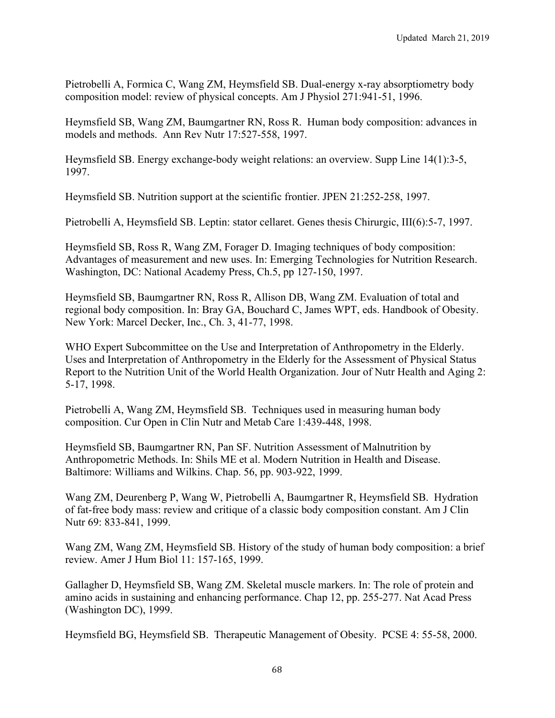Pietrobelli A, Formica C, Wang ZM, Heymsfield SB. Dual-energy x-ray absorptiometry body composition model: review of physical concepts. Am J Physiol 271:941-51, 1996.

Heymsfield SB, Wang ZM, Baumgartner RN, Ross R. Human body composition: advances in models and methods. Ann Rev Nutr 17:527-558, 1997.

Heymsfield SB. Energy exchange-body weight relations: an overview. Supp Line 14(1):3-5, 1997.

Heymsfield SB. Nutrition support at the scientific frontier. JPEN 21:252-258, 1997.

Pietrobelli A, Heymsfield SB. Leptin: stator cellaret. Genes thesis Chirurgic, III(6):5-7, 1997.

Heymsfield SB, Ross R, Wang ZM, Forager D. Imaging techniques of body composition: Advantages of measurement and new uses. In: Emerging Technologies for Nutrition Research. Washington, DC: National Academy Press, Ch.5, pp 127-150, 1997.

Heymsfield SB, Baumgartner RN, Ross R, Allison DB, Wang ZM. Evaluation of total and regional body composition. In: Bray GA, Bouchard C, James WPT, eds. Handbook of Obesity. New York: Marcel Decker, Inc., Ch. 3, 41-77, 1998.

WHO Expert Subcommittee on the Use and Interpretation of Anthropometry in the Elderly. Uses and Interpretation of Anthropometry in the Elderly for the Assessment of Physical Status Report to the Nutrition Unit of the World Health Organization. Jour of Nutr Health and Aging 2: 5-17, 1998.

Pietrobelli A, Wang ZM, Heymsfield SB. Techniques used in measuring human body composition. Cur Open in Clin Nutr and Metab Care 1:439-448, 1998.

Heymsfield SB, Baumgartner RN, Pan SF. Nutrition Assessment of Malnutrition by Anthropometric Methods. In: Shils ME et al. Modern Nutrition in Health and Disease. Baltimore: Williams and Wilkins. Chap. 56, pp. 903-922, 1999.

Wang ZM, Deurenberg P, Wang W, Pietrobelli A, Baumgartner R, Heymsfield SB. Hydration of fat-free body mass: review and critique of a classic body composition constant. Am J Clin Nutr 69: 833-841, 1999.

Wang ZM, Wang ZM, Heymsfield SB. History of the study of human body composition: a brief review. Amer J Hum Biol 11: 157-165, 1999.

Gallagher D, Heymsfield SB, Wang ZM. Skeletal muscle markers. In: The role of protein and amino acids in sustaining and enhancing performance. Chap 12, pp. 255-277. Nat Acad Press (Washington DC), 1999.

Heymsfield BG, Heymsfield SB. Therapeutic Management of Obesity. PCSE 4: 55-58, 2000.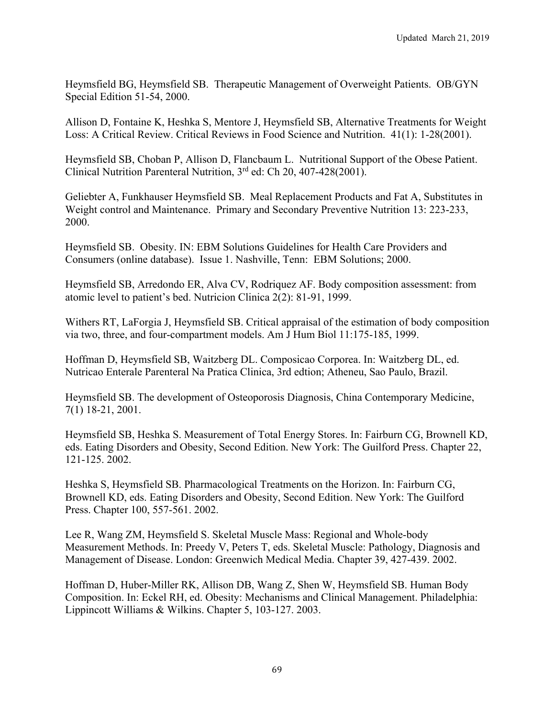Heymsfield BG, Heymsfield SB. Therapeutic Management of Overweight Patients. OB/GYN Special Edition 51-54, 2000.

Allison D, Fontaine K, Heshka S, Mentore J, Heymsfield SB, Alternative Treatments for Weight Loss: A Critical Review. Critical Reviews in Food Science and Nutrition. 41(1): 1-28(2001).

Heymsfield SB, Choban P, Allison D, Flancbaum L. Nutritional Support of the Obese Patient. Clinical Nutrition Parenteral Nutrition, 3<sup>rd</sup> ed: Ch 20, 407-428(2001).

Geliebter A, Funkhauser Heymsfield SB. Meal Replacement Products and Fat A, Substitutes in Weight control and Maintenance. Primary and Secondary Preventive Nutrition 13: 223-233, 2000.

Heymsfield SB. Obesity. IN: EBM Solutions Guidelines for Health Care Providers and Consumers (online database). Issue 1. Nashville, Tenn: EBM Solutions; 2000.

Heymsfield SB, Arredondo ER, Alva CV, Rodriquez AF. Body composition assessment: from atomic level to patient's bed. Nutricion Clinica 2(2): 81-91, 1999.

Withers RT, LaForgia J, Heymsfield SB. Critical appraisal of the estimation of body composition via two, three, and four-compartment models. Am J Hum Biol 11:175-185, 1999.

Hoffman D, Heymsfield SB, Waitzberg DL. Composicao Corporea. In: Waitzberg DL, ed. Nutricao Enterale Parenteral Na Pratica Clinica, 3rd edtion; Atheneu, Sao Paulo, Brazil.

Heymsfield SB. The development of Osteoporosis Diagnosis, China Contemporary Medicine, 7(1) 18-21, 2001.

Heymsfield SB, Heshka S. Measurement of Total Energy Stores. In: Fairburn CG, Brownell KD, eds. Eating Disorders and Obesity, Second Edition. New York: The Guilford Press. Chapter 22, 121-125. 2002.

Heshka S, Heymsfield SB. Pharmacological Treatments on the Horizon. In: Fairburn CG, Brownell KD, eds. Eating Disorders and Obesity, Second Edition. New York: The Guilford Press. Chapter 100, 557-561. 2002.

Lee R, Wang ZM, Heymsfield S. Skeletal Muscle Mass: Regional and Whole-body Measurement Methods. In: Preedy V, Peters T, eds. Skeletal Muscle: Pathology, Diagnosis and Management of Disease. London: Greenwich Medical Media. Chapter 39, 427-439. 2002.

Hoffman D, Huber-Miller RK, Allison DB, Wang Z, Shen W, Heymsfield SB. Human Body Composition. In: Eckel RH, ed. Obesity: Mechanisms and Clinical Management. Philadelphia: Lippincott Williams & Wilkins. Chapter 5, 103-127. 2003.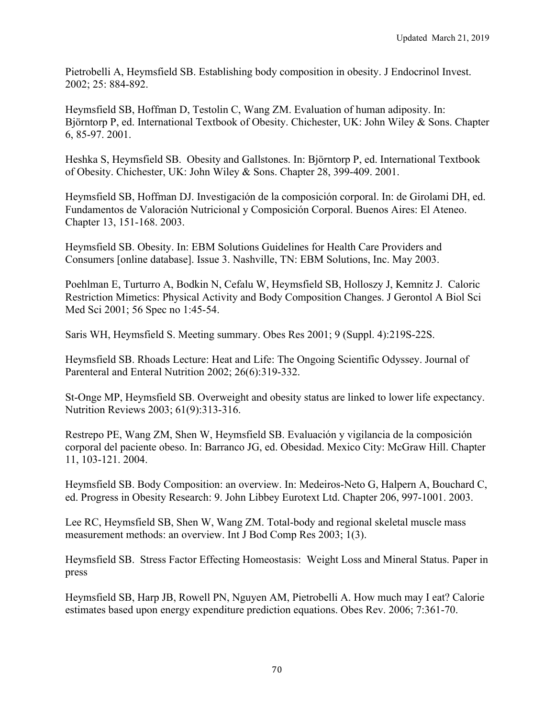Pietrobelli A, Heymsfield SB. Establishing body composition in obesity. J Endocrinol Invest. 2002; 25: 884-892.

Heymsfield SB, Hoffman D, Testolin C, Wang ZM. Evaluation of human adiposity. In: Björntorp P, ed. International Textbook of Obesity. Chichester, UK: John Wiley & Sons. Chapter 6, 85-97. 2001.

Heshka S, Heymsfield SB. Obesity and Gallstones. In: Björntorp P, ed. International Textbook of Obesity. Chichester, UK: John Wiley & Sons. Chapter 28, 399-409. 2001.

Heymsfield SB, Hoffman DJ. Investigación de la composición corporal. In: de Girolami DH, ed. Fundamentos de Valoración Nutricional y Composición Corporal. Buenos Aires: El Ateneo. Chapter 13, 151-168. 2003.

Heymsfield SB. Obesity. In: EBM Solutions Guidelines for Health Care Providers and Consumers [online database]. Issue 3. Nashville, TN: EBM Solutions, Inc. May 2003.

Poehlman E, Turturro A, Bodkin N, Cefalu W, Heymsfield SB, Holloszy J, Kemnitz J. Caloric Restriction Mimetics: Physical Activity and Body Composition Changes. J Gerontol A Biol Sci Med Sci 2001; 56 Spec no 1:45-54.

Saris WH, Heymsfield S. Meeting summary. Obes Res 2001; 9 (Suppl. 4):219S-22S.

Heymsfield SB. Rhoads Lecture: Heat and Life: The Ongoing Scientific Odyssey. Journal of Parenteral and Enteral Nutrition 2002; 26(6):319-332.

St-Onge MP, Heymsfield SB. Overweight and obesity status are linked to lower life expectancy. Nutrition Reviews 2003; 61(9):313-316.

Restrepo PE, Wang ZM, Shen W, Heymsfield SB. Evaluación y vigilancia de la composición corporal del paciente obeso. In: Barranco JG, ed. Obesidad. Mexico City: McGraw Hill. Chapter 11, 103-121. 2004.

Heymsfield SB. Body Composition: an overview. In: Medeiros-Neto G, Halpern A, Bouchard C, ed. Progress in Obesity Research: 9. John Libbey Eurotext Ltd. Chapter 206, 997-1001. 2003.

Lee RC, Heymsfield SB, Shen W, Wang ZM. Total-body and regional skeletal muscle mass measurement methods: an overview. Int J Bod Comp Res 2003; 1(3).

Heymsfield SB. Stress Factor Effecting Homeostasis: Weight Loss and Mineral Status. Paper in press

Heymsfield SB, Harp JB, Rowell PN, Nguyen AM, Pietrobelli A. How much may I eat? Calorie estimates based upon energy expenditure prediction equations. Obes Rev. 2006; 7:361-70.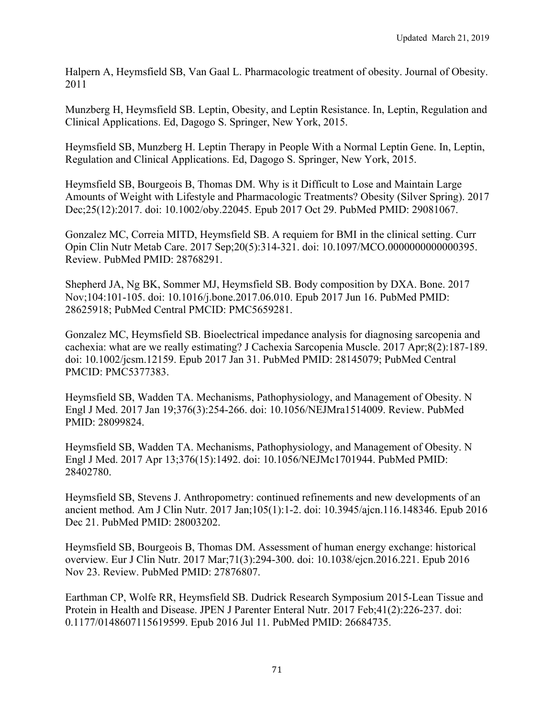Halpern A, Heymsfield SB, Van Gaal L. Pharmacologic treatment of obesity. Journal of Obesity. 2011

Munzberg H, Heymsfield SB. Leptin, Obesity, and Leptin Resistance. In, Leptin, Regulation and Clinical Applications. Ed, Dagogo S. Springer, New York, 2015.

Heymsfield SB, Munzberg H. Leptin Therapy in People With a Normal Leptin Gene. In, Leptin, Regulation and Clinical Applications. Ed, Dagogo S. Springer, New York, 2015.

Heymsfield SB, Bourgeois B, Thomas DM. Why is it Difficult to Lose and Maintain Large Amounts of Weight with Lifestyle and Pharmacologic Treatments? Obesity (Silver Spring). 2017 Dec;25(12):2017. doi: 10.1002/oby.22045. Epub 2017 Oct 29. PubMed PMID: 29081067.

Gonzalez MC, Correia MITD, Heymsfield SB. A requiem for BMI in the clinical setting. Curr Opin Clin Nutr Metab Care. 2017 Sep;20(5):314-321. doi: 10.1097/MCO.0000000000000395. Review. PubMed PMID: 28768291.

Shepherd JA, Ng BK, Sommer MJ, Heymsfield SB. Body composition by DXA. Bone. 2017 Nov;104:101-105. doi: 10.1016/j.bone.2017.06.010. Epub 2017 Jun 16. PubMed PMID: 28625918; PubMed Central PMCID: PMC5659281.

Gonzalez MC, Heymsfield SB. Bioelectrical impedance analysis for diagnosing sarcopenia and cachexia: what are we really estimating? J Cachexia Sarcopenia Muscle. 2017 Apr;8(2):187-189. doi: 10.1002/jcsm.12159. Epub 2017 Jan 31. PubMed PMID: 28145079; PubMed Central PMCID: PMC5377383.

Heymsfield SB, Wadden TA. Mechanisms, Pathophysiology, and Management of Obesity. N Engl J Med. 2017 Jan 19;376(3):254-266. doi: 10.1056/NEJMra1514009. Review. PubMed PMID: 28099824.

Heymsfield SB, Wadden TA. Mechanisms, Pathophysiology, and Management of Obesity. N Engl J Med. 2017 Apr 13;376(15):1492. doi: 10.1056/NEJMc1701944. PubMed PMID: 28402780.

Heymsfield SB, Stevens J. Anthropometry: continued refinements and new developments of an ancient method. Am J Clin Nutr. 2017 Jan;105(1):1-2. doi: 10.3945/ajcn.116.148346. Epub 2016 Dec 21. PubMed PMID: 28003202.

Heymsfield SB, Bourgeois B, Thomas DM. Assessment of human energy exchange: historical overview. Eur J Clin Nutr. 2017 Mar;71(3):294-300. doi: 10.1038/ejcn.2016.221. Epub 2016 Nov 23. Review. PubMed PMID: 27876807.

Earthman CP, Wolfe RR, Heymsfield SB. Dudrick Research Symposium 2015-Lean Tissue and Protein in Health and Disease. JPEN J Parenter Enteral Nutr. 2017 Feb;41(2):226-237. doi: 0.1177/0148607115619599. Epub 2016 Jul 11. PubMed PMID: 26684735.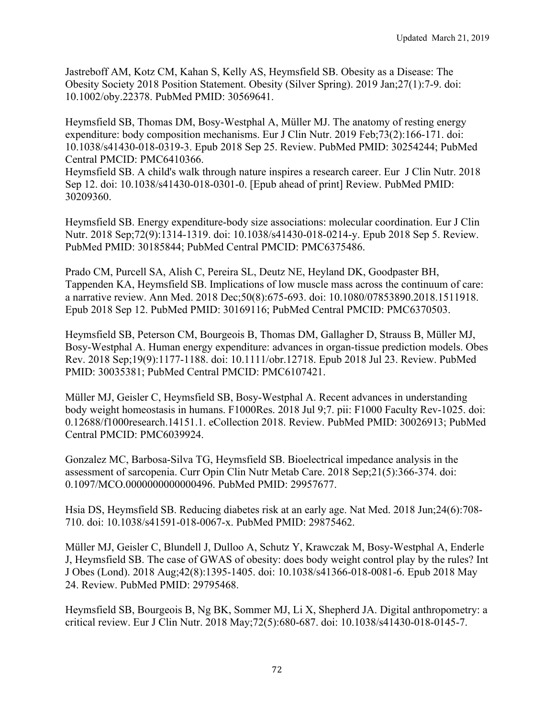Jastreboff AM, Kotz CM, Kahan S, Kelly AS, Heymsfield SB. Obesity as a Disease: The Obesity Society 2018 Position Statement. Obesity (Silver Spring). 2019 Jan;27(1):7-9. doi: 10.1002/oby.22378. PubMed PMID: 30569641.

Heymsfield SB, Thomas DM, Bosy-Westphal A, Müller MJ. The anatomy of resting energy expenditure: body composition mechanisms. Eur J Clin Nutr. 2019 Feb;73(2):166-171. doi: 10.1038/s41430-018-0319-3. Epub 2018 Sep 25. Review. PubMed PMID: 30254244; PubMed Central PMCID: PMC6410366.

Heymsfield SB. A child's walk through nature inspires a research career. Eur J Clin Nutr. 2018 Sep 12. doi: 10.1038/s41430-018-0301-0. [Epub ahead of print] Review. PubMed PMID: 30209360.

Heymsfield SB. Energy expenditure-body size associations: molecular coordination. Eur J Clin Nutr. 2018 Sep;72(9):1314-1319. doi: 10.1038/s41430-018-0214-y. Epub 2018 Sep 5. Review. PubMed PMID: 30185844; PubMed Central PMCID: PMC6375486.

Prado CM, Purcell SA, Alish C, Pereira SL, Deutz NE, Heyland DK, Goodpaster BH, Tappenden KA, Heymsfield SB. Implications of low muscle mass across the continuum of care: a narrative review. Ann Med. 2018 Dec;50(8):675-693. doi: 10.1080/07853890.2018.1511918. Epub 2018 Sep 12. PubMed PMID: 30169116; PubMed Central PMCID: PMC6370503.

Heymsfield SB, Peterson CM, Bourgeois B, Thomas DM, Gallagher D, Strauss B, Müller MJ, Bosy-Westphal A. Human energy expenditure: advances in organ-tissue prediction models. Obes Rev. 2018 Sep;19(9):1177-1188. doi: 10.1111/obr.12718. Epub 2018 Jul 23. Review. PubMed PMID: 30035381; PubMed Central PMCID: PMC6107421.

Müller MJ, Geisler C, Heymsfield SB, Bosy-Westphal A. Recent advances in understanding body weight homeostasis in humans. F1000Res. 2018 Jul 9;7. pii: F1000 Faculty Rev-1025. doi: 0.12688/f1000research.14151.1. eCollection 2018. Review. PubMed PMID: 30026913; PubMed Central PMCID: PMC6039924.

Gonzalez MC, Barbosa-Silva TG, Heymsfield SB. Bioelectrical impedance analysis in the assessment of sarcopenia. Curr Opin Clin Nutr Metab Care. 2018 Sep;21(5):366-374. doi: 0.1097/MCO.0000000000000496. PubMed PMID: 29957677.

Hsia DS, Heymsfield SB. Reducing diabetes risk at an early age. Nat Med. 2018 Jun;24(6):708- 710. doi: 10.1038/s41591-018-0067-x. PubMed PMID: 29875462.

Müller MJ, Geisler C, Blundell J, Dulloo A, Schutz Y, Krawczak M, Bosy-Westphal A, Enderle J, Heymsfield SB. The case of GWAS of obesity: does body weight control play by the rules? Int J Obes (Lond). 2018 Aug;42(8):1395-1405. doi: 10.1038/s41366-018-0081-6. Epub 2018 May 24. Review. PubMed PMID: 29795468.

Heymsfield SB, Bourgeois B, Ng BK, Sommer MJ, Li X, Shepherd JA. Digital anthropometry: a critical review. Eur J Clin Nutr. 2018 May;72(5):680-687. doi: 10.1038/s41430-018-0145-7.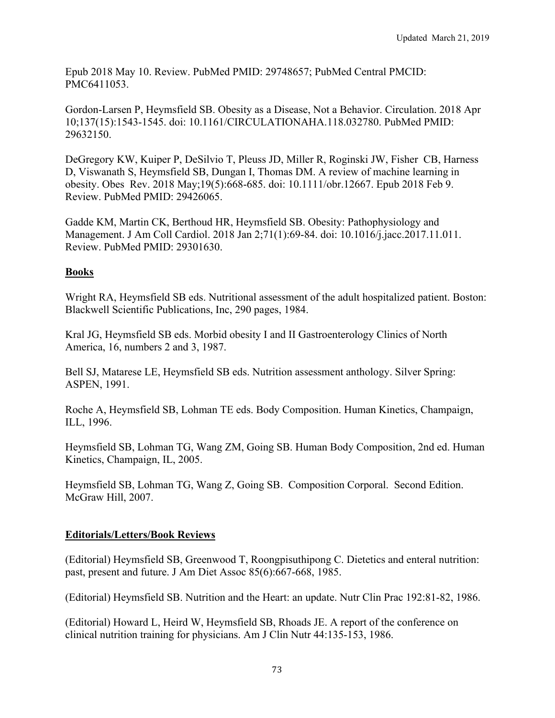Epub 2018 May 10. Review. PubMed PMID: 29748657; PubMed Central PMCID: PMC6411053.

Gordon-Larsen P, Heymsfield SB. Obesity as a Disease, Not a Behavior. Circulation. 2018 Apr 10;137(15):1543-1545. doi: 10.1161/CIRCULATIONAHA.118.032780. PubMed PMID: 29632150.

DeGregory KW, Kuiper P, DeSilvio T, Pleuss JD, Miller R, Roginski JW, Fisher CB, Harness D, Viswanath S, Heymsfield SB, Dungan I, Thomas DM. A review of machine learning in obesity. Obes Rev. 2018 May;19(5):668-685. doi: 10.1111/obr.12667. Epub 2018 Feb 9. Review. PubMed PMID: 29426065.

Gadde KM, Martin CK, Berthoud HR, Heymsfield SB. Obesity: Pathophysiology and Management. J Am Coll Cardiol. 2018 Jan 2;71(1):69-84. doi: 10.1016/j.jacc.2017.11.011. Review. PubMed PMID: 29301630.

# **Books**

Wright RA, Heymsfield SB eds. Nutritional assessment of the adult hospitalized patient. Boston: Blackwell Scientific Publications, Inc, 290 pages, 1984.

Kral JG, Heymsfield SB eds. Morbid obesity I and II Gastroenterology Clinics of North America, 16, numbers 2 and 3, 1987.

Bell SJ, Matarese LE, Heymsfield SB eds. Nutrition assessment anthology. Silver Spring: ASPEN, 1991.

Roche A, Heymsfield SB, Lohman TE eds. Body Composition. Human Kinetics, Champaign, ILL, 1996.

Heymsfield SB, Lohman TG, Wang ZM, Going SB. Human Body Composition, 2nd ed. Human Kinetics, Champaign, IL, 2005.

Heymsfield SB, Lohman TG, Wang Z, Going SB. Composition Corporal. Second Edition. McGraw Hill, 2007.

## **Editorials/Letters/Book Reviews**

(Editorial) Heymsfield SB, Greenwood T, Roongpisuthipong C. Dietetics and enteral nutrition: past, present and future. J Am Diet Assoc 85(6):667-668, 1985.

(Editorial) Heymsfield SB. Nutrition and the Heart: an update. Nutr Clin Prac 192:81-82, 1986.

(Editorial) Howard L, Heird W, Heymsfield SB, Rhoads JE. A report of the conference on clinical nutrition training for physicians. Am J Clin Nutr 44:135-153, 1986.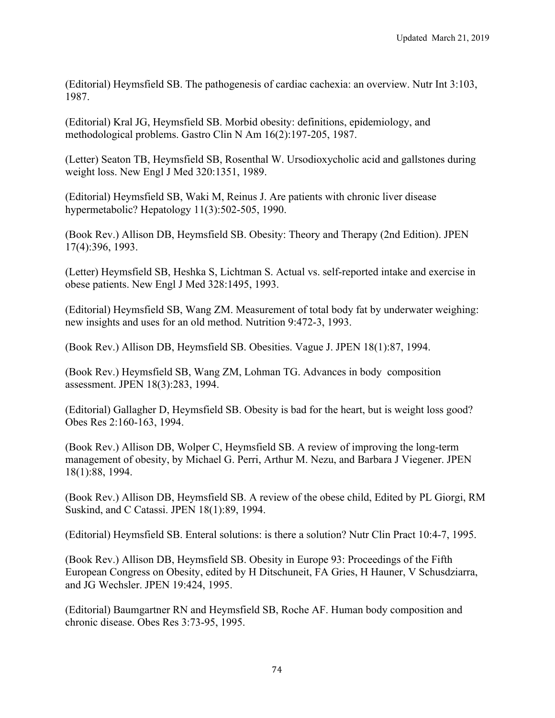(Editorial) Heymsfield SB. The pathogenesis of cardiac cachexia: an overview. Nutr Int 3:103, 1987.

(Editorial) Kral JG, Heymsfield SB. Morbid obesity: definitions, epidemiology, and methodological problems. Gastro Clin N Am 16(2):197-205, 1987.

(Letter) Seaton TB, Heymsfield SB, Rosenthal W. Ursodioxycholic acid and gallstones during weight loss. New Engl J Med 320:1351, 1989.

(Editorial) Heymsfield SB, Waki M, Reinus J. Are patients with chronic liver disease hypermetabolic? Hepatology 11(3):502-505, 1990.

(Book Rev.) Allison DB, Heymsfield SB. Obesity: Theory and Therapy (2nd Edition). JPEN 17(4):396, 1993.

(Letter) Heymsfield SB, Heshka S, Lichtman S. Actual vs. self-reported intake and exercise in obese patients. New Engl J Med 328:1495, 1993.

(Editorial) Heymsfield SB, Wang ZM. Measurement of total body fat by underwater weighing: new insights and uses for an old method. Nutrition 9:472-3, 1993.

(Book Rev.) Allison DB, Heymsfield SB. Obesities. Vague J. JPEN 18(1):87, 1994.

(Book Rev.) Heymsfield SB, Wang ZM, Lohman TG. Advances in body composition assessment. JPEN 18(3):283, 1994.

(Editorial) Gallagher D, Heymsfield SB. Obesity is bad for the heart, but is weight loss good? Obes Res 2:160-163, 1994.

(Book Rev.) Allison DB, Wolper C, Heymsfield SB. A review of improving the long-term management of obesity, by Michael G. Perri, Arthur M. Nezu, and Barbara J Viegener. JPEN 18(1):88, 1994.

(Book Rev.) Allison DB, Heymsfield SB. A review of the obese child, Edited by PL Giorgi, RM Suskind, and C Catassi. JPEN 18(1):89, 1994.

(Editorial) Heymsfield SB. Enteral solutions: is there a solution? Nutr Clin Pract 10:4-7, 1995.

(Book Rev.) Allison DB, Heymsfield SB. Obesity in Europe 93: Proceedings of the Fifth European Congress on Obesity, edited by H Ditschuneit, FA Gries, H Hauner, V Schusdziarra, and JG Wechsler. JPEN 19:424, 1995.

(Editorial) Baumgartner RN and Heymsfield SB, Roche AF. Human body composition and chronic disease. Obes Res 3:73-95, 1995.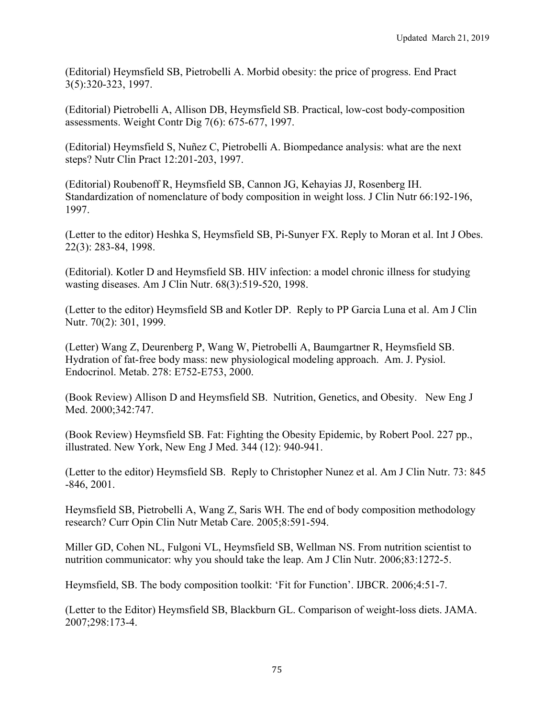(Editorial) Heymsfield SB, Pietrobelli A. Morbid obesity: the price of progress. End Pract 3(5):320-323, 1997.

(Editorial) Pietrobelli A, Allison DB, Heymsfield SB. Practical, low-cost body-composition assessments. Weight Contr Dig 7(6): 675-677, 1997.

(Editorial) Heymsfield S, Nuñez C, Pietrobelli A. Biompedance analysis: what are the next steps? Nutr Clin Pract 12:201-203, 1997.

(Editorial) Roubenoff R, Heymsfield SB, Cannon JG, Kehayias JJ, Rosenberg IH. Standardization of nomenclature of body composition in weight loss. J Clin Nutr 66:192-196, 1997.

(Letter to the editor) Heshka S, Heymsfield SB, Pi-Sunyer FX. Reply to Moran et al. Int J Obes. 22(3): 283-84, 1998.

(Editorial). Kotler D and Heymsfield SB. HIV infection: a model chronic illness for studying wasting diseases. Am J Clin Nutr. 68(3):519-520, 1998.

(Letter to the editor) Heymsfield SB and Kotler DP. Reply to PP Garcia Luna et al. Am J Clin Nutr. 70(2): 301, 1999.

(Letter) Wang Z, Deurenberg P, Wang W, Pietrobelli A, Baumgartner R, Heymsfield SB. Hydration of fat-free body mass: new physiological modeling approach. Am. J. Pysiol. Endocrinol. Metab. 278: E752-E753, 2000.

(Book Review) Allison D and Heymsfield SB. Nutrition, Genetics, and Obesity. New Eng J Med. 2000;342:747.

(Book Review) Heymsfield SB. Fat: Fighting the Obesity Epidemic, by Robert Pool. 227 pp., illustrated. New York, New Eng J Med. 344 (12): 940-941.

(Letter to the editor) Heymsfield SB. Reply to Christopher Nunez et al. Am J Clin Nutr. 73: 845 -846, 2001.

Heymsfield SB, Pietrobelli A, Wang Z, Saris WH. The end of body composition methodology research? Curr Opin Clin Nutr Metab Care. 2005;8:591-594.

Miller GD, Cohen NL, Fulgoni VL, Heymsfield SB, Wellman NS. From nutrition scientist to nutrition communicator: why you should take the leap. Am J Clin Nutr. 2006;83:1272-5.

Heymsfield, SB. The body composition toolkit: 'Fit for Function'. IJBCR. 2006;4:51-7.

(Letter to the Editor) Heymsfield SB, Blackburn GL. Comparison of weight-loss diets. JAMA. 2007;298:173-4.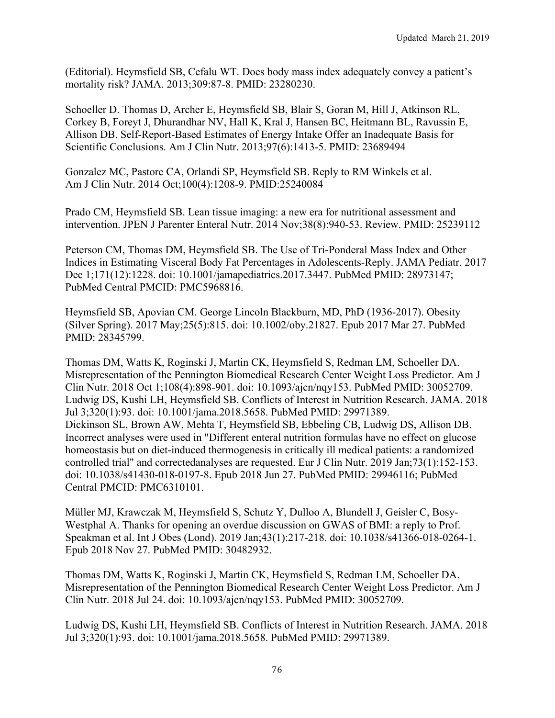(Editorial). Heymsfield SB, Cefalu WT. Does body mass index adequately convey a patient's mortality risk? JAMA. 2013;309:87-8. PMID: 23280230.

Schoeller D. Thomas D, Archer E, Heymsfield SB, Blair S, Goran M, Hill J, Atkinson RL, Corkey B, Foreyt J, Dhurandhar NV, Hall K, Kral J, Hansen BC, Heitmann BL, Ravussin E, Allison DB. Self-Report-Based Estimates of Energy Intake Offer an Inadequate Basis for Scientific Conclusions. Am J Clin Nutr. 2013;97(6):1413-5. PMID: 23689494

Gonzalez MC, Pastore CA, Orlandi SP, Heymsfield SB. Reply to RM Winkels et al. Am J Clin Nutr. 2014 Oct;100(4):1208-9. PMID:25240084

Prado CM, Heymsfield SB. Lean tissue imaging: a new era for nutritional assessment and intervention. JPEN J Parenter Enteral Nutr. 2014 Nov;38(8):940-53. Review. PMID: 25239112

Peterson CM, Thomas DM, Heymsfield SB. The Use of Tri-Ponderal Mass Index and Other Indices in Estimating Visceral Body Fat Percentages in Adolescents-Reply. JAMA Pediatr. 2017 Dec 1;171(12):1228. doi: 10.1001/jamapediatrics.2017.3447. PubMed PMID: 28973147; PubMed Central PMCID: PMC5968816.

Heymsfield SB, Apovian CM. George Lincoln Blackburn, MD, PhD (1936-2017). Obesity (Silver Spring). 2017 May;25(5):815. doi: 10.1002/oby.21827. Epub 2017 Mar 27. PubMed PMID: 28345799.

Thomas DM, Watts K, Roginski J, Martin CK, Heymsfield S, Redman LM, Schoeller DA. Misrepresentation of the Pennington Biomedical Research Center Weight Loss Predictor. Am J Clin Nutr. 2018 Oct 1;108(4):898-901. doi: 10.1093/ajcn/nqy153. PubMed PMID: 30052709. Ludwig DS, Kushi LH, Heymsfield SB. Conflicts of Interest in Nutrition Research. JAMA. 2018 Jul 3;320(1):93. doi: 10.1001/jama.2018.5658. PubMed PMID: 29971389. Dickinson SL, Brown AW, Mehta T, Heymsfield SB, Ebbeling CB, Ludwig DS, Allison DB. Incorrect analyses were used in "Different enteral nutrition formulas have no effect on glucose homeostasis but on diet-induced thermogenesis in critically ill medical patients: a randomized controlled trial" and correctedanalyses are requested. Eur J Clin Nutr. 2019 Jan;73(1):152-153. doi: 10.1038/s41430-018-0197-8. Epub 2018 Jun 27. PubMed PMID: 29946116; PubMed Central PMCID: PMC6310101.

Müller MJ, Krawczak M, Heymsfield S, Schutz Y, Dulloo A, Blundell J, Geisler C, Bosy-Westphal A. Thanks for opening an overdue discussion on GWAS of BMI: a reply to Prof. Speakman et al. Int J Obes (Lond). 2019 Jan;43(1):217-218. doi: 10.1038/s41366-018-0264-1. Epub 2018 Nov 27. PubMed PMID: 30482932.

Thomas DM, Watts K, Roginski J, Martin CK, Heymsfield S, Redman LM, Schoeller DA. Misrepresentation of the Pennington Biomedical Research Center Weight Loss Predictor. Am J Clin Nutr. 2018 Jul 24. doi: 10.1093/ajcn/nqy153. PubMed PMID: 30052709.

Ludwig DS, Kushi LH, Heymsfield SB. Conflicts of Interest in Nutrition Research. JAMA. 2018 Jul 3;320(1):93. doi: 10.1001/jama.2018.5658. PubMed PMID: 29971389.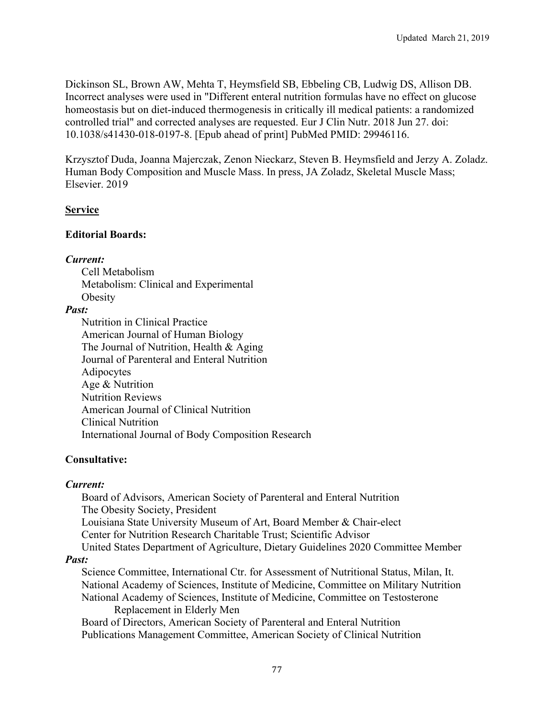Dickinson SL, Brown AW, Mehta T, Heymsfield SB, Ebbeling CB, Ludwig DS, Allison DB. Incorrect analyses were used in "Different enteral nutrition formulas have no effect on glucose homeostasis but on diet-induced thermogenesis in critically ill medical patients: a randomized controlled trial" and corrected analyses are requested. Eur J Clin Nutr. 2018 Jun 27. doi: 10.1038/s41430-018-0197-8. [Epub ahead of print] PubMed PMID: 29946116.

Krzysztof Duda, Joanna Majerczak, Zenon Nieckarz, Steven B. Heymsfield and Jerzy A. Zoladz. Human Body Composition and Muscle Mass. In press, JA Zoladz, Skeletal Muscle Mass; Elsevier. 2019

### **Service**

### **Editorial Boards:**

#### *Current:*

Cell Metabolism Metabolism: Clinical and Experimental **Obesity** 

### *Past:*

Nutrition in Clinical Practice American Journal of Human Biology The Journal of Nutrition, Health & Aging Journal of Parenteral and Enteral Nutrition Adipocytes Age & Nutrition Nutrition Reviews American Journal of Clinical Nutrition Clinical Nutrition International Journal of Body Composition Research

## **Consultative:**

## *Current:*

Board of Advisors, American Society of Parenteral and Enteral Nutrition The Obesity Society, President Louisiana State University Museum of Art, Board Member & Chair-elect Center for Nutrition Research Charitable Trust; Scientific Advisor United States Department of Agriculture, Dietary Guidelines 2020 Committee Member

#### *Past:*

Science Committee, International Ctr. for Assessment of Nutritional Status, Milan, It. National Academy of Sciences, Institute of Medicine, Committee on Military Nutrition National Academy of Sciences, Institute of Medicine, Committee on Testosterone Replacement in Elderly Men

Board of Directors, American Society of Parenteral and Enteral Nutrition Publications Management Committee, American Society of Clinical Nutrition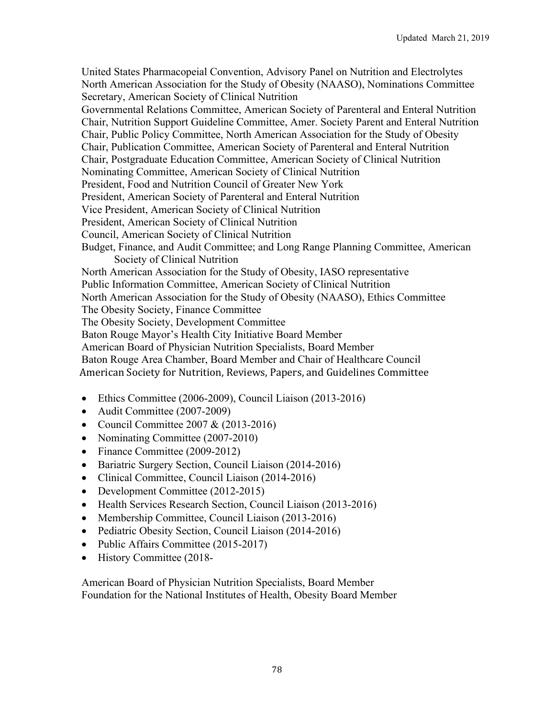United States Pharmacopeial Convention, Advisory Panel on Nutrition and Electrolytes North American Association for the Study of Obesity (NAASO), Nominations Committee Secretary, American Society of Clinical Nutrition

Governmental Relations Committee, American Society of Parenteral and Enteral Nutrition Chair, Nutrition Support Guideline Committee, Amer. Society Parent and Enteral Nutrition Chair, Public Policy Committee, North American Association for the Study of Obesity Chair, Publication Committee, American Society of Parenteral and Enteral Nutrition Chair, Postgraduate Education Committee, American Society of Clinical Nutrition Nominating Committee, American Society of Clinical Nutrition President, Food and Nutrition Council of Greater New York President, American Society of Parenteral and Enteral Nutrition Vice President, American Society of Clinical Nutrition President, American Society of Clinical Nutrition Council, American Society of Clinical Nutrition Budget, Finance, and Audit Committee; and Long Range Planning Committee, American Society of Clinical Nutrition North American Association for the Study of Obesity, IASO representative Public Information Committee, American Society of Clinical Nutrition North American Association for the Study of Obesity (NAASO), Ethics Committee The Obesity Society, Finance Committee The Obesity Society, Development Committee Baton Rouge Mayor's Health City Initiative Board Member American Board of Physician Nutrition Specialists, Board Member Baton Rouge Area Chamber, Board Member and Chair of Healthcare Council American Society for Nutrition, Reviews, Papers, and Guidelines Committee

- Ethics Committee (2006-2009), Council Liaison (2013-2016)
- Audit Committee (2007-2009)
- Council Committee 2007 &  $(2013-2016)$
- Nominating Committee (2007-2010)
- Finance Committee (2009-2012)
- Bariatric Surgery Section, Council Liaison (2014-2016)
- Clinical Committee, Council Liaison (2014-2016)
- Development Committee (2012-2015)
- Health Services Research Section, Council Liaison (2013-2016)
- Membership Committee, Council Liaison (2013-2016)
- Pediatric Obesity Section, Council Liaison (2014-2016)
- Public Affairs Committee (2015-2017)
- History Committee (2018-

American Board of Physician Nutrition Specialists, Board Member Foundation for the National Institutes of Health, Obesity Board Member